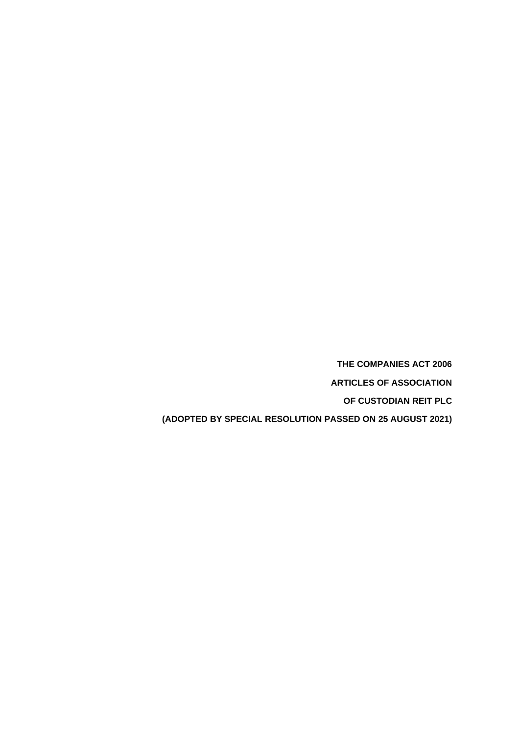**THE COMPANIES ACT 2006**

**ARTICLES OF ASSOCIATION**

**OF CUSTODIAN REIT PLC**

**(ADOPTED BY SPECIAL RESOLUTION PASSED ON 25 AUGUST 2021)**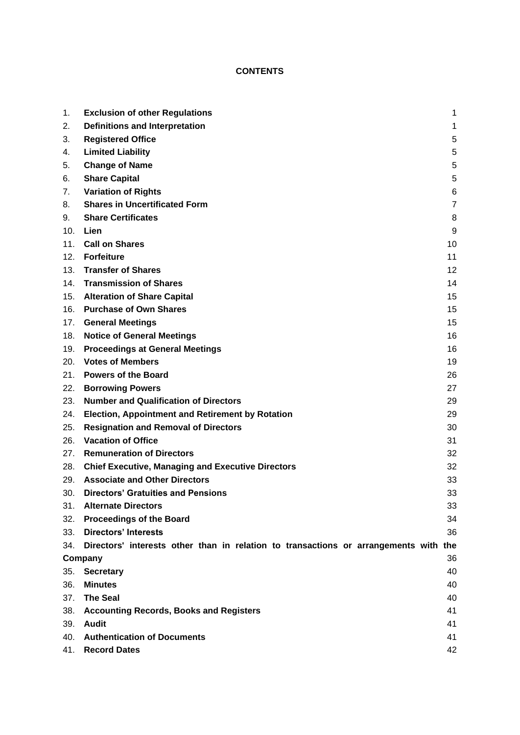# **CONTENTS**

| 1.  | <b>Exclusion of other Regulations</b>                                                | 1  |
|-----|--------------------------------------------------------------------------------------|----|
| 2.  | <b>Definitions and Interpretation</b>                                                | 1  |
| 3.  | <b>Registered Office</b>                                                             | 5  |
| 4.  | <b>Limited Liability</b>                                                             | 5  |
| 5.  | <b>Change of Name</b>                                                                | 5  |
| 6.  | <b>Share Capital</b>                                                                 | 5  |
| 7.  | <b>Variation of Rights</b>                                                           | 6  |
| 8.  | <b>Shares in Uncertificated Form</b>                                                 | 7  |
| 9.  | <b>Share Certificates</b>                                                            | 8  |
| 10. | Lien                                                                                 | 9  |
| 11. | <b>Call on Shares</b>                                                                | 10 |
| 12. | <b>Forfeiture</b>                                                                    | 11 |
| 13. | <b>Transfer of Shares</b>                                                            | 12 |
| 14. | <b>Transmission of Shares</b>                                                        | 14 |
| 15. | <b>Alteration of Share Capital</b>                                                   | 15 |
| 16. | <b>Purchase of Own Shares</b>                                                        | 15 |
| 17. | <b>General Meetings</b>                                                              | 15 |
| 18. | <b>Notice of General Meetings</b>                                                    | 16 |
| 19. | <b>Proceedings at General Meetings</b>                                               | 16 |
| 20. | <b>Votes of Members</b>                                                              | 19 |
| 21. | <b>Powers of the Board</b>                                                           | 26 |
| 22. | <b>Borrowing Powers</b>                                                              | 27 |
| 23. | <b>Number and Qualification of Directors</b>                                         | 29 |
| 24. | Election, Appointment and Retirement by Rotation                                     | 29 |
| 25. | <b>Resignation and Removal of Directors</b>                                          | 30 |
| 26. | <b>Vacation of Office</b>                                                            | 31 |
| 27. | <b>Remuneration of Directors</b>                                                     | 32 |
| 28. | <b>Chief Executive, Managing and Executive Directors</b>                             | 32 |
| 29. | <b>Associate and Other Directors</b>                                                 | 33 |
| 30. | <b>Directors' Gratuities and Pensions</b>                                            | 33 |
| 31. | <b>Alternate Directors</b>                                                           | 33 |
| 32. | <b>Proceedings of the Board</b>                                                      | 34 |
| 33. | <b>Directors' Interests</b>                                                          | 36 |
| 34. | Directors' interests other than in relation to transactions or arrangements with the |    |
|     | Company                                                                              | 36 |
| 35. | <b>Secretary</b>                                                                     | 40 |
| 36. | <b>Minutes</b>                                                                       | 40 |
| 37. | <b>The Seal</b>                                                                      | 40 |
| 38. | <b>Accounting Records, Books and Registers</b>                                       | 41 |
| 39. | <b>Audit</b>                                                                         | 41 |
| 40. | <b>Authentication of Documents</b>                                                   | 41 |
|     | 41. Record Dates                                                                     | 42 |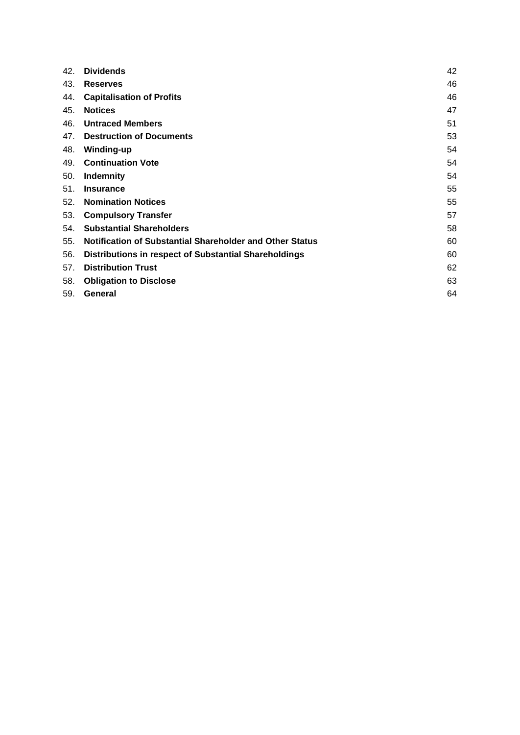| 42. | <b>Dividends</b>                                         | 42 |
|-----|----------------------------------------------------------|----|
| 43. | <b>Reserves</b>                                          | 46 |
| 44. | <b>Capitalisation of Profits</b>                         | 46 |
| 45. | <b>Notices</b>                                           | 47 |
| 46. | <b>Untraced Members</b>                                  | 51 |
| 47. | <b>Destruction of Documents</b>                          | 53 |
| 48. | Winding-up                                               | 54 |
| 49. | <b>Continuation Vote</b>                                 | 54 |
| 50. | <b>Indemnity</b>                                         | 54 |
| 51. | <b>Insurance</b>                                         | 55 |
| 52. | <b>Nomination Notices</b>                                | 55 |
| 53. | <b>Compulsory Transfer</b>                               | 57 |
| 54. | <b>Substantial Shareholders</b>                          | 58 |
| 55. | Notification of Substantial Shareholder and Other Status | 60 |
| 56. | Distributions in respect of Substantial Shareholdings    | 60 |
| 57. | <b>Distribution Trust</b>                                | 62 |
| 58. | <b>Obligation to Disclose</b>                            | 63 |
| 59. | General                                                  | 64 |
|     |                                                          |    |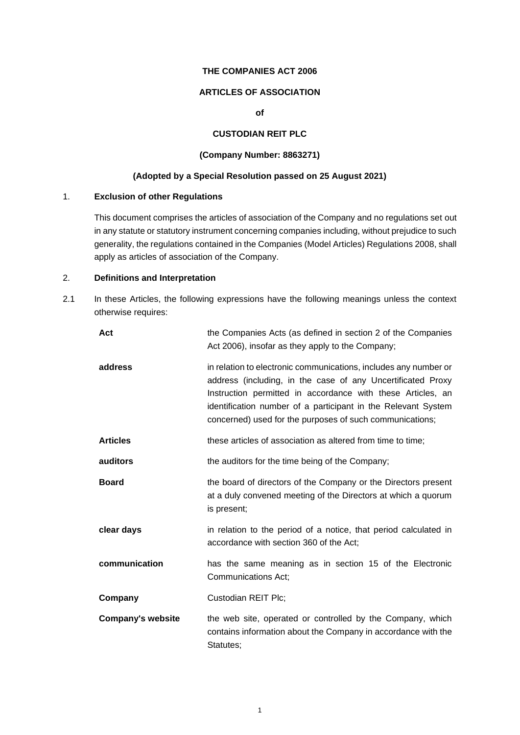#### **THE COMPANIES ACT 2006**

# **ARTICLES OF ASSOCIATION**

**of**

# **CUSTODIAN REIT PLC**

# **(Company Number: 8863271)**

# **(Adopted by a Special Resolution passed on 25 August 2021)**

### <span id="page-3-0"></span>1. **Exclusion of other Regulations**

This document comprises the articles of association of the Company and no regulations set out in any statute or statutory instrument concerning companies including, without prejudice to such generality, the regulations contained in the Companies (Model Articles) Regulations 2008, shall apply as articles of association of the Company.

# <span id="page-3-1"></span>2. **Definitions and Interpretation**

2.1 In these Articles, the following expressions have the following meanings unless the context otherwise requires:

| Act                      | the Companies Acts (as defined in section 2 of the Companies<br>Act 2006), insofar as they apply to the Company;                                                                                                                                                                                                            |
|--------------------------|-----------------------------------------------------------------------------------------------------------------------------------------------------------------------------------------------------------------------------------------------------------------------------------------------------------------------------|
| address                  | in relation to electronic communications, includes any number or<br>address (including, in the case of any Uncertificated Proxy<br>Instruction permitted in accordance with these Articles, an<br>identification number of a participant in the Relevant System<br>concerned) used for the purposes of such communications; |
| <b>Articles</b>          | these articles of association as altered from time to time;                                                                                                                                                                                                                                                                 |
| auditors                 | the auditors for the time being of the Company;                                                                                                                                                                                                                                                                             |
| <b>Board</b>             | the board of directors of the Company or the Directors present<br>at a duly convened meeting of the Directors at which a quorum<br>is present;                                                                                                                                                                              |
| clear days               | in relation to the period of a notice, that period calculated in<br>accordance with section 360 of the Act;                                                                                                                                                                                                                 |
| communication            | has the same meaning as in section 15 of the Electronic<br>Communications Act;                                                                                                                                                                                                                                              |
| Company                  | Custodian REIT Plc;                                                                                                                                                                                                                                                                                                         |
| <b>Company's website</b> | the web site, operated or controlled by the Company, which<br>contains information about the Company in accordance with the<br>Statutes;                                                                                                                                                                                    |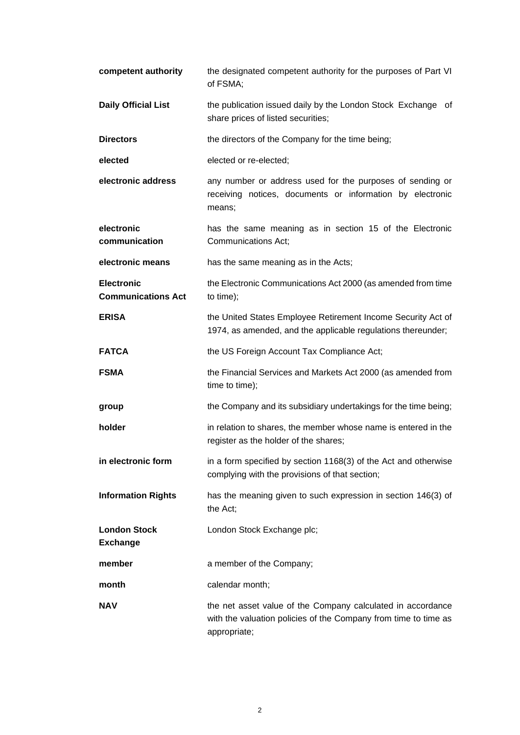| competent authority                            | the designated competent authority for the purposes of Part VI<br>of FSMA;                                                                     |
|------------------------------------------------|------------------------------------------------------------------------------------------------------------------------------------------------|
| <b>Daily Official List</b>                     | the publication issued daily by the London Stock Exchange of<br>share prices of listed securities;                                             |
| <b>Directors</b>                               | the directors of the Company for the time being;                                                                                               |
| elected                                        | elected or re-elected;                                                                                                                         |
| electronic address                             | any number or address used for the purposes of sending or<br>receiving notices, documents or information by electronic<br>means;               |
| electronic<br>communication                    | has the same meaning as in section 15 of the Electronic<br>Communications Act;                                                                 |
| electronic means                               | has the same meaning as in the Acts;                                                                                                           |
| <b>Electronic</b><br><b>Communications Act</b> | the Electronic Communications Act 2000 (as amended from time<br>to time);                                                                      |
| <b>ERISA</b>                                   | the United States Employee Retirement Income Security Act of<br>1974, as amended, and the applicable regulations thereunder;                   |
| <b>FATCA</b>                                   | the US Foreign Account Tax Compliance Act;                                                                                                     |
| <b>FSMA</b>                                    | the Financial Services and Markets Act 2000 (as amended from<br>time to time);                                                                 |
| group                                          | the Company and its subsidiary undertakings for the time being;                                                                                |
| holder                                         | in relation to shares, the member whose name is entered in the<br>register as the holder of the shares;                                        |
| in electronic form                             | in a form specified by section 1168(3) of the Act and otherwise<br>complying with the provisions of that section;                              |
| <b>Information Rights</b>                      | has the meaning given to such expression in section 146(3) of<br>the Act;                                                                      |
| <b>London Stock</b><br><b>Exchange</b>         | London Stock Exchange plc;                                                                                                                     |
| member                                         | a member of the Company;                                                                                                                       |
| month                                          | calendar month;                                                                                                                                |
| <b>NAV</b>                                     | the net asset value of the Company calculated in accordance<br>with the valuation policies of the Company from time to time as<br>appropriate; |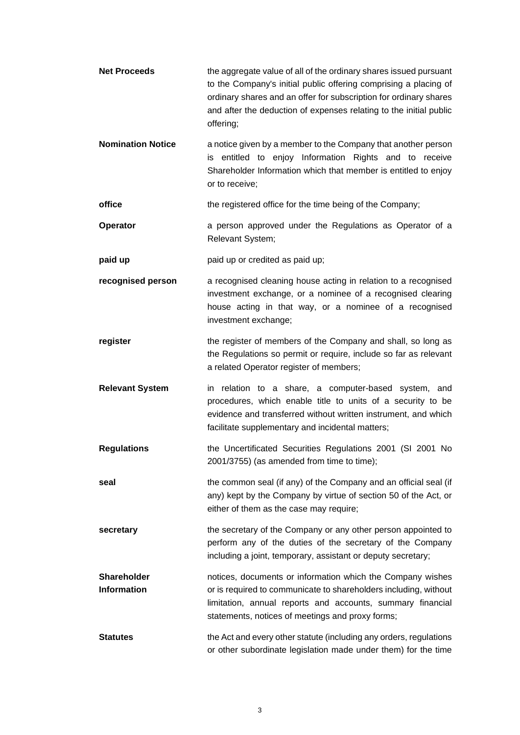**Net Proceeds** the aggregate value of all of the ordinary shares issued pursuant to the Company's initial public offering comprising a placing of ordinary shares and an offer for subscription for ordinary shares and after the deduction of expenses relating to the initial public offering; **Nomination Notice** a notice given by a member to the Company that another person is entitled to enjoy Information Rights and to receive Shareholder Information which that member is entitled to enjoy or to receive; **office** the registered office for the time being of the Company; **Operator a** person approved under the Regulations as Operator of a Relevant System; **paid up paid up** paid up or credited as paid up; **recognised person** a recognised cleaning house acting in relation to a recognised investment exchange, or a nominee of a recognised clearing house acting in that way, or a nominee of a recognised investment exchange; **register register** the register of members of the Company and shall, so long as the Regulations so permit or require, include so far as relevant a related Operator register of members; **Relevant System** in relation to a share, a computer-based system, and procedures, which enable title to units of a security to be evidence and transferred without written instrument, and which facilitate supplementary and incidental matters; **Regulations** the Uncertificated Securities Regulations 2001 (SI 2001 No 2001/3755) (as amended from time to time); **seal** seal the common seal (if any) of the Company and an official seal (if any) kept by the Company by virtue of section 50 of the Act, or either of them as the case may require; **secretary** the secretary of the Company or any other person appointed to perform any of the duties of the secretary of the Company including a joint, temporary, assistant or deputy secretary; **Shareholder Information** notices, documents or information which the Company wishes or is required to communicate to shareholders including, without limitation, annual reports and accounts, summary financial statements, notices of meetings and proxy forms; **Statutes** the Act and every other statute (including any orders, regulations or other subordinate legislation made under them) for the time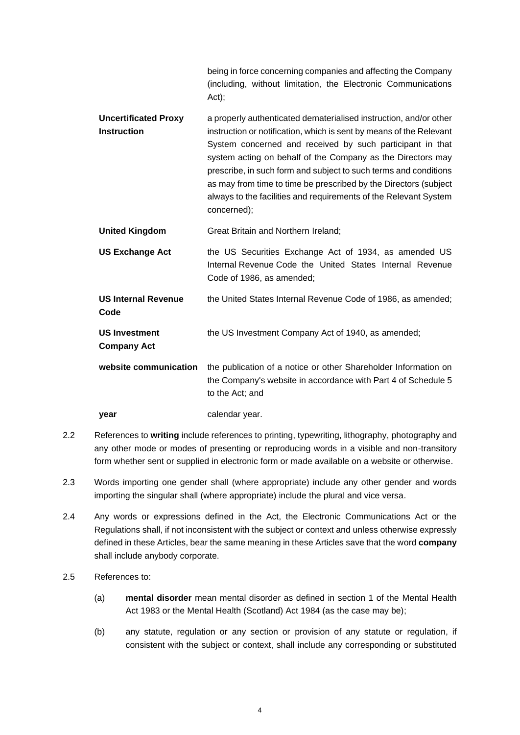being in force concerning companies and affecting the Company (including, without limitation, the Electronic Communications Act);

- **Uncertificated Proxy Instruction** a properly authenticated dematerialised instruction, and/or other instruction or notification, which is sent by means of the Relevant System concerned and received by such participant in that system acting on behalf of the Company as the Directors may prescribe, in such form and subject to such terms and conditions as may from time to time be prescribed by the Directors (subject always to the facilities and requirements of the Relevant System concerned);
- **United Kingdom** Great Britain and Northern Ireland;
- **US Exchange Act** the US Securities Exchange Act of 1934, as amended US Internal Revenue Code the United States Internal Revenue Code of 1986, as amended;
- **US Internal Revenue Code** the United States Internal Revenue Code of 1986, as amended; **US Investment Company Act** the US Investment Company Act of 1940, as amended;
- **website communication** the publication of a notice or other Shareholder Information on the Company's website in accordance with Part 4 of Schedule 5 to the Act; and

**year** calendar year.

- 2.2 References to **writing** include references to printing, typewriting, lithography, photography and any other mode or modes of presenting or reproducing words in a visible and non-transitory form whether sent or supplied in electronic form or made available on a website or otherwise.
- 2.3 Words importing one gender shall (where appropriate) include any other gender and words importing the singular shall (where appropriate) include the plural and vice versa.
- 2.4 Any words or expressions defined in the Act, the Electronic Communications Act or the Regulations shall, if not inconsistent with the subject or context and unless otherwise expressly defined in these Articles, bear the same meaning in these Articles save that the word **company** shall include anybody corporate.
- 2.5 References to:
	- (a) **mental disorder** mean mental disorder as defined in section 1 of the Mental Health Act 1983 or the Mental Health (Scotland) Act 1984 (as the case may be);
	- (b) any statute, regulation or any section or provision of any statute or regulation, if consistent with the subject or context, shall include any corresponding or substituted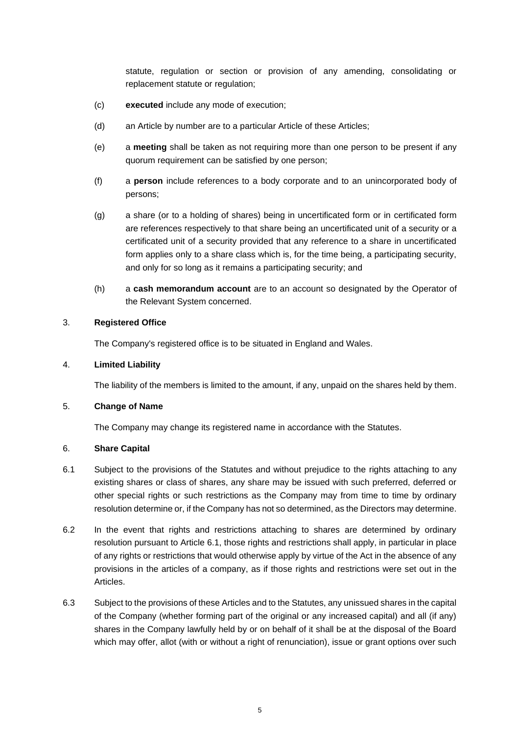statute, regulation or section or provision of any amending, consolidating or replacement statute or regulation;

- (c) **executed** include any mode of execution;
- (d) an Article by number are to a particular Article of these Articles;
- (e) a **meeting** shall be taken as not requiring more than one person to be present if any quorum requirement can be satisfied by one person;
- (f) a **person** include references to a body corporate and to an unincorporated body of persons;
- (g) a share (or to a holding of shares) being in uncertificated form or in certificated form are references respectively to that share being an uncertificated unit of a security or a certificated unit of a security provided that any reference to a share in uncertificated form applies only to a share class which is, for the time being, a participating security, and only for so long as it remains a participating security; and
- (h) a **cash memorandum account** are to an account so designated by the Operator of the Relevant System concerned.

# <span id="page-7-0"></span>3. **Registered Office**

The Company's registered office is to be situated in England and Wales.

#### <span id="page-7-1"></span>4. **Limited Liability**

The liability of the members is limited to the amount, if any, unpaid on the shares held by them.

### <span id="page-7-2"></span>5. **Change of Name**

The Company may change its registered name in accordance with the Statutes.

# <span id="page-7-3"></span>6. **Share Capital**

- <span id="page-7-4"></span>6.1 Subject to the provisions of the Statutes and without prejudice to the rights attaching to any existing shares or class of shares, any share may be issued with such preferred, deferred or other special rights or such restrictions as the Company may from time to time by ordinary resolution determine or, if the Company has not so determined, as the Directors may determine.
- 6.2 In the event that rights and restrictions attaching to shares are determined by ordinary resolution pursuant to Article [6.1,](#page-7-4) those rights and restrictions shall apply, in particular in place of any rights or restrictions that would otherwise apply by virtue of the Act in the absence of any provisions in the articles of a company, as if those rights and restrictions were set out in the Articles.
- 6.3 Subject to the provisions of these Articles and to the Statutes, any unissued shares in the capital of the Company (whether forming part of the original or any increased capital) and all (if any) shares in the Company lawfully held by or on behalf of it shall be at the disposal of the Board which may offer, allot (with or without a right of renunciation), issue or grant options over such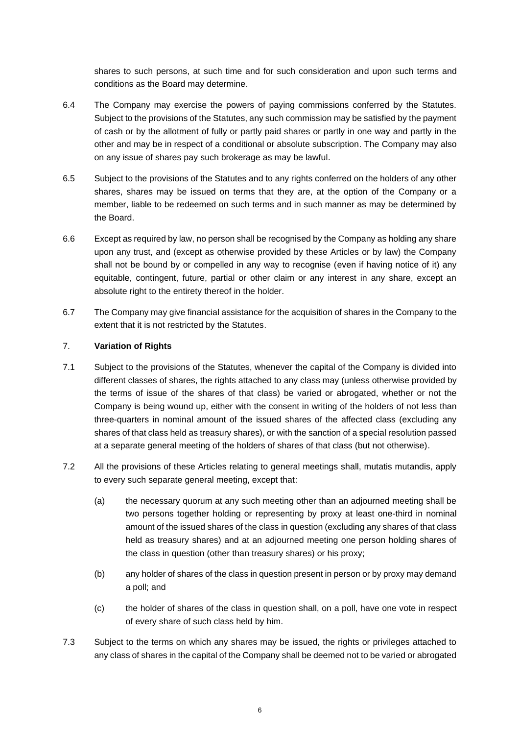shares to such persons, at such time and for such consideration and upon such terms and conditions as the Board may determine.

- 6.4 The Company may exercise the powers of paying commissions conferred by the Statutes. Subject to the provisions of the Statutes, any such commission may be satisfied by the payment of cash or by the allotment of fully or partly paid shares or partly in one way and partly in the other and may be in respect of a conditional or absolute subscription. The Company may also on any issue of shares pay such brokerage as may be lawful.
- 6.5 Subject to the provisions of the Statutes and to any rights conferred on the holders of any other shares, shares may be issued on terms that they are, at the option of the Company or a member, liable to be redeemed on such terms and in such manner as may be determined by the Board.
- 6.6 Except as required by law, no person shall be recognised by the Company as holding any share upon any trust, and (except as otherwise provided by these Articles or by law) the Company shall not be bound by or compelled in any way to recognise (even if having notice of it) any equitable, contingent, future, partial or other claim or any interest in any share, except an absolute right to the entirety thereof in the holder.
- 6.7 The Company may give financial assistance for the acquisition of shares in the Company to the extent that it is not restricted by the Statutes.

# <span id="page-8-0"></span>7. **Variation of Rights**

- <span id="page-8-1"></span>7.1 Subject to the provisions of the Statutes, whenever the capital of the Company is divided into different classes of shares, the rights attached to any class may (unless otherwise provided by the terms of issue of the shares of that class) be varied or abrogated, whether or not the Company is being wound up, either with the consent in writing of the holders of not less than three-quarters in nominal amount of the issued shares of the affected class (excluding any shares of that class held as treasury shares), or with the sanction of a special resolution passed at a separate general meeting of the holders of shares of that class (but not otherwise).
- 7.2 All the provisions of these Articles relating to general meetings shall, mutatis mutandis, apply to every such separate general meeting, except that:
	- (a) the necessary quorum at any such meeting other than an adjourned meeting shall be two persons together holding or representing by proxy at least one-third in nominal amount of the issued shares of the class in question (excluding any shares of that class held as treasury shares) and at an adjourned meeting one person holding shares of the class in question (other than treasury shares) or his proxy;
	- (b) any holder of shares of the class in question present in person or by proxy may demand a poll; and
	- (c) the holder of shares of the class in question shall, on a poll, have one vote in respect of every share of such class held by him.
- <span id="page-8-2"></span>7.3 Subject to the terms on which any shares may be issued, the rights or privileges attached to any class of shares in the capital of the Company shall be deemed not to be varied or abrogated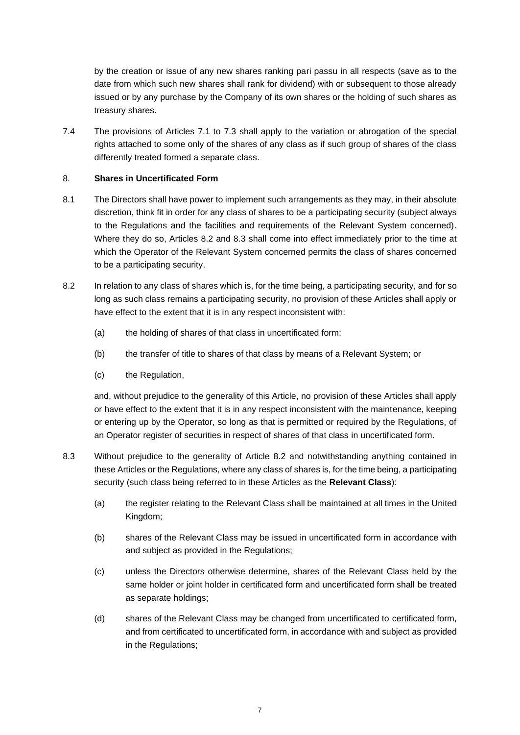by the creation or issue of any new shares ranking pari passu in all respects (save as to the date from which such new shares shall rank for dividend) with or subsequent to those already issued or by any purchase by the Company of its own shares or the holding of such shares as treasury shares.

7.4 The provisions of Articles [7.1](#page-8-1) to [7.3](#page-8-2) shall apply to the variation or abrogation of the special rights attached to some only of the shares of any class as if such group of shares of the class differently treated formed a separate class.

# <span id="page-9-0"></span>8. **Shares in Uncertificated Form**

- 8.1 The Directors shall have power to implement such arrangements as they may, in their absolute discretion, think fit in order for any class of shares to be a participating security (subject always to the Regulations and the facilities and requirements of the Relevant System concerned). Where they do so, Articles [8.2](#page-9-1) and [8.3](#page-9-2) shall come into effect immediately prior to the time at which the Operator of the Relevant System concerned permits the class of shares concerned to be a participating security.
- <span id="page-9-1"></span>8.2 In relation to any class of shares which is, for the time being, a participating security, and for so long as such class remains a participating security, no provision of these Articles shall apply or have effect to the extent that it is in any respect inconsistent with:
	- (a) the holding of shares of that class in uncertificated form;
	- (b) the transfer of title to shares of that class by means of a Relevant System; or
	- (c) the Regulation,

and, without prejudice to the generality of this Article, no provision of these Articles shall apply or have effect to the extent that it is in any respect inconsistent with the maintenance, keeping or entering up by the Operator, so long as that is permitted or required by the Regulations, of an Operator register of securities in respect of shares of that class in uncertificated form.

- <span id="page-9-2"></span>8.3 Without prejudice to the generality of Article [8.2](#page-9-1) and notwithstanding anything contained in these Articles or the Regulations, where any class of shares is, for the time being, a participating security (such class being referred to in these Articles as the **Relevant Class**):
	- (a) the register relating to the Relevant Class shall be maintained at all times in the United Kingdom;
	- (b) shares of the Relevant Class may be issued in uncertificated form in accordance with and subject as provided in the Regulations;
	- (c) unless the Directors otherwise determine, shares of the Relevant Class held by the same holder or joint holder in certificated form and uncertificated form shall be treated as separate holdings;
	- (d) shares of the Relevant Class may be changed from uncertificated to certificated form, and from certificated to uncertificated form, in accordance with and subject as provided in the Regulations;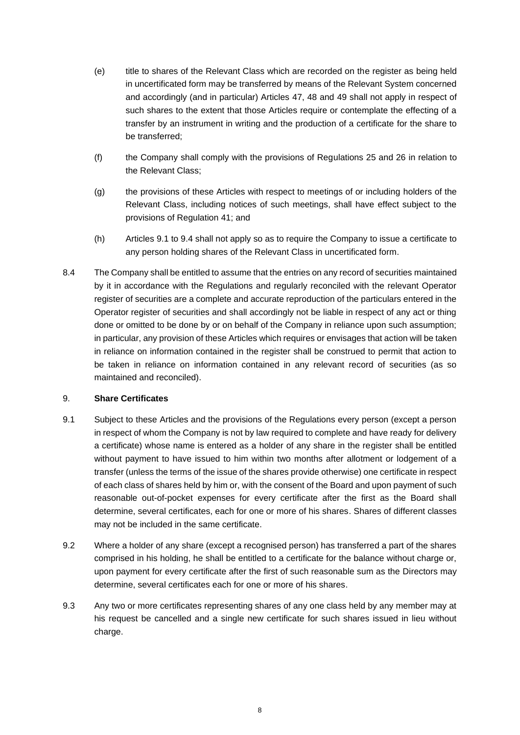- (e) title to shares of the Relevant Class which are recorded on the register as being held in uncertificated form may be transferred by means of the Relevant System concerned and accordingly (and in particular) Articles [47,](#page-55-0) [48](#page-56-0) and [49](#page-56-1) shall not apply in respect of such shares to the extent that those Articles require or contemplate the effecting of a transfer by an instrument in writing and the production of a certificate for the share to be transferred;
- (f) the Company shall comply with the provisions of Regulations 25 and 26 in relation to the Relevant Class;
- (g) the provisions of these Articles with respect to meetings of or including holders of the Relevant Class, including notices of such meetings, shall have effect subject to the provisions of Regulation 41; and
- (h) Articles [9.1](#page-10-1) to [9.4](#page-11-1) shall not apply so as to require the Company to issue a certificate to any person holding shares of the Relevant Class in uncertificated form.
- 8.4 The Company shall be entitled to assume that the entries on any record of securities maintained by it in accordance with the Regulations and regularly reconciled with the relevant Operator register of securities are a complete and accurate reproduction of the particulars entered in the Operator register of securities and shall accordingly not be liable in respect of any act or thing done or omitted to be done by or on behalf of the Company in reliance upon such assumption; in particular, any provision of these Articles which requires or envisages that action will be taken in reliance on information contained in the register shall be construed to permit that action to be taken in reliance on information contained in any relevant record of securities (as so maintained and reconciled).

#### <span id="page-10-0"></span>9. **Share Certificates**

- <span id="page-10-1"></span>9.1 Subject to these Articles and the provisions of the Regulations every person (except a person in respect of whom the Company is not by law required to complete and have ready for delivery a certificate) whose name is entered as a holder of any share in the register shall be entitled without payment to have issued to him within two months after allotment or lodgement of a transfer (unless the terms of the issue of the shares provide otherwise) one certificate in respect of each class of shares held by him or, with the consent of the Board and upon payment of such reasonable out-of-pocket expenses for every certificate after the first as the Board shall determine, several certificates, each for one or more of his shares. Shares of different classes may not be included in the same certificate.
- <span id="page-10-2"></span>9.2 Where a holder of any share (except a recognised person) has transferred a part of the shares comprised in his holding, he shall be entitled to a certificate for the balance without charge or, upon payment for every certificate after the first of such reasonable sum as the Directors may determine, several certificates each for one or more of his shares.
- <span id="page-10-3"></span>9.3 Any two or more certificates representing shares of any one class held by any member may at his request be cancelled and a single new certificate for such shares issued in lieu without charge.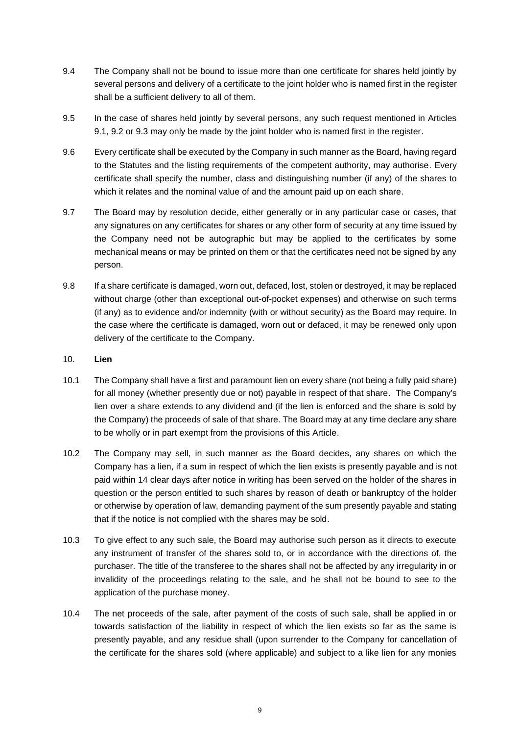- <span id="page-11-1"></span>9.4 The Company shall not be bound to issue more than one certificate for shares held jointly by several persons and delivery of a certificate to the joint holder who is named first in the register shall be a sufficient delivery to all of them.
- 9.5 In the case of shares held jointly by several persons, any such request mentioned in Articles [9.1,](#page-10-1) [9.2](#page-10-2) or [9.3](#page-10-3) may only be made by the joint holder who is named first in the register.
- 9.6 Every certificate shall be executed by the Company in such manner as the Board, having regard to the Statutes and the listing requirements of the competent authority, may authorise. Every certificate shall specify the number, class and distinguishing number (if any) of the shares to which it relates and the nominal value of and the amount paid up on each share.
- 9.7 The Board may by resolution decide, either generally or in any particular case or cases, that any signatures on any certificates for shares or any other form of security at any time issued by the Company need not be autographic but may be applied to the certificates by some mechanical means or may be printed on them or that the certificates need not be signed by any person.
- 9.8 If a share certificate is damaged, worn out, defaced, lost, stolen or destroyed, it may be replaced without charge (other than exceptional out-of-pocket expenses) and otherwise on such terms (if any) as to evidence and/or indemnity (with or without security) as the Board may require. In the case where the certificate is damaged, worn out or defaced, it may be renewed only upon delivery of the certificate to the Company.
- <span id="page-11-0"></span>10. **Lien**
- 10.1 The Company shall have a first and paramount lien on every share (not being a fully paid share) for all money (whether presently due or not) payable in respect of that share. The Company's lien over a share extends to any dividend and (if the lien is enforced and the share is sold by the Company) the proceeds of sale of that share. The Board may at any time declare any share to be wholly or in part exempt from the provisions of this Article.
- 10.2 The Company may sell, in such manner as the Board decides, any shares on which the Company has a lien, if a sum in respect of which the lien exists is presently payable and is not paid within 14 clear days after notice in writing has been served on the holder of the shares in question or the person entitled to such shares by reason of death or bankruptcy of the holder or otherwise by operation of law, demanding payment of the sum presently payable and stating that if the notice is not complied with the shares may be sold.
- 10.3 To give effect to any such sale, the Board may authorise such person as it directs to execute any instrument of transfer of the shares sold to, or in accordance with the directions of, the purchaser. The title of the transferee to the shares shall not be affected by any irregularity in or invalidity of the proceedings relating to the sale, and he shall not be bound to see to the application of the purchase money.
- 10.4 The net proceeds of the sale, after payment of the costs of such sale, shall be applied in or towards satisfaction of the liability in respect of which the lien exists so far as the same is presently payable, and any residue shall (upon surrender to the Company for cancellation of the certificate for the shares sold (where applicable) and subject to a like lien for any monies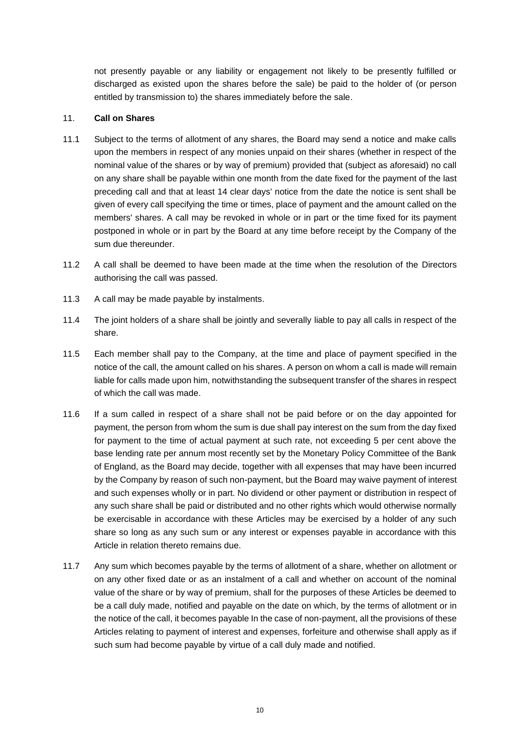not presently payable or any liability or engagement not likely to be presently fulfilled or discharged as existed upon the shares before the sale) be paid to the holder of (or person entitled by transmission to) the shares immediately before the sale.

### <span id="page-12-0"></span>11. **Call on Shares**

- 11.1 Subject to the terms of allotment of any shares, the Board may send a notice and make calls upon the members in respect of any monies unpaid on their shares (whether in respect of the nominal value of the shares or by way of premium) provided that (subject as aforesaid) no call on any share shall be payable within one month from the date fixed for the payment of the last preceding call and that at least 14 clear days' notice from the date the notice is sent shall be given of every call specifying the time or times, place of payment and the amount called on the members' shares. A call may be revoked in whole or in part or the time fixed for its payment postponed in whole or in part by the Board at any time before receipt by the Company of the sum due thereunder.
- 11.2 A call shall be deemed to have been made at the time when the resolution of the Directors authorising the call was passed.
- 11.3 A call may be made payable by instalments.
- 11.4 The joint holders of a share shall be jointly and severally liable to pay all calls in respect of the share.
- 11.5 Each member shall pay to the Company, at the time and place of payment specified in the notice of the call, the amount called on his shares. A person on whom a call is made will remain liable for calls made upon him, notwithstanding the subsequent transfer of the shares in respect of which the call was made.
- 11.6 If a sum called in respect of a share shall not be paid before or on the day appointed for payment, the person from whom the sum is due shall pay interest on the sum from the day fixed for payment to the time of actual payment at such rate, not exceeding 5 per cent above the base lending rate per annum most recently set by the Monetary Policy Committee of the Bank of England, as the Board may decide, together with all expenses that may have been incurred by the Company by reason of such non-payment, but the Board may waive payment of interest and such expenses wholly or in part. No dividend or other payment or distribution in respect of any such share shall be paid or distributed and no other rights which would otherwise normally be exercisable in accordance with these Articles may be exercised by a holder of any such share so long as any such sum or any interest or expenses payable in accordance with this Article in relation thereto remains due.
- 11.7 Any sum which becomes payable by the terms of allotment of a share, whether on allotment or on any other fixed date or as an instalment of a call and whether on account of the nominal value of the share or by way of premium, shall for the purposes of these Articles be deemed to be a call duly made, notified and payable on the date on which, by the terms of allotment or in the notice of the call, it becomes payable In the case of non-payment, all the provisions of these Articles relating to payment of interest and expenses, forfeiture and otherwise shall apply as if such sum had become payable by virtue of a call duly made and notified.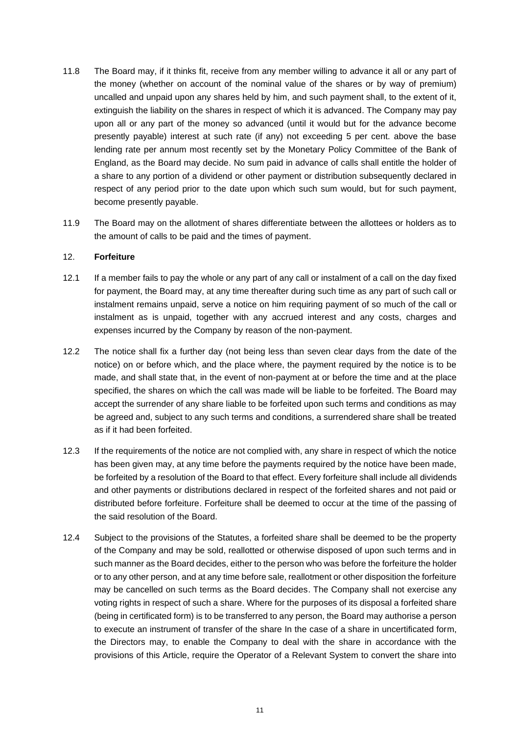- 11.8 The Board may, if it thinks fit, receive from any member willing to advance it all or any part of the money (whether on account of the nominal value of the shares or by way of premium) uncalled and unpaid upon any shares held by him, and such payment shall, to the extent of it, extinguish the liability on the shares in respect of which it is advanced. The Company may pay upon all or any part of the money so advanced (until it would but for the advance become presently payable) interest at such rate (if any) not exceeding 5 per cent. above the base lending rate per annum most recently set by the Monetary Policy Committee of the Bank of England, as the Board may decide. No sum paid in advance of calls shall entitle the holder of a share to any portion of a dividend or other payment or distribution subsequently declared in respect of any period prior to the date upon which such sum would, but for such payment, become presently payable.
- 11.9 The Board may on the allotment of shares differentiate between the allottees or holders as to the amount of calls to be paid and the times of payment.

#### <span id="page-13-0"></span>12. **Forfeiture**

- 12.1 If a member fails to pay the whole or any part of any call or instalment of a call on the day fixed for payment, the Board may, at any time thereafter during such time as any part of such call or instalment remains unpaid, serve a notice on him requiring payment of so much of the call or instalment as is unpaid, together with any accrued interest and any costs, charges and expenses incurred by the Company by reason of the non-payment.
- 12.2 The notice shall fix a further day (not being less than seven clear days from the date of the notice) on or before which, and the place where, the payment required by the notice is to be made, and shall state that, in the event of non-payment at or before the time and at the place specified, the shares on which the call was made will be liable to be forfeited. The Board may accept the surrender of any share liable to be forfeited upon such terms and conditions as may be agreed and, subject to any such terms and conditions, a surrendered share shall be treated as if it had been forfeited.
- 12.3 If the requirements of the notice are not complied with, any share in respect of which the notice has been given may, at any time before the payments required by the notice have been made, be forfeited by a resolution of the Board to that effect. Every forfeiture shall include all dividends and other payments or distributions declared in respect of the forfeited shares and not paid or distributed before forfeiture. Forfeiture shall be deemed to occur at the time of the passing of the said resolution of the Board.
- 12.4 Subject to the provisions of the Statutes, a forfeited share shall be deemed to be the property of the Company and may be sold, reallotted or otherwise disposed of upon such terms and in such manner as the Board decides, either to the person who was before the forfeiture the holder or to any other person, and at any time before sale, reallotment or other disposition the forfeiture may be cancelled on such terms as the Board decides. The Company shall not exercise any voting rights in respect of such a share. Where for the purposes of its disposal a forfeited share (being in certificated form) is to be transferred to any person, the Board may authorise a person to execute an instrument of transfer of the share In the case of a share in uncertificated form, the Directors may, to enable the Company to deal with the share in accordance with the provisions of this Article, require the Operator of a Relevant System to convert the share into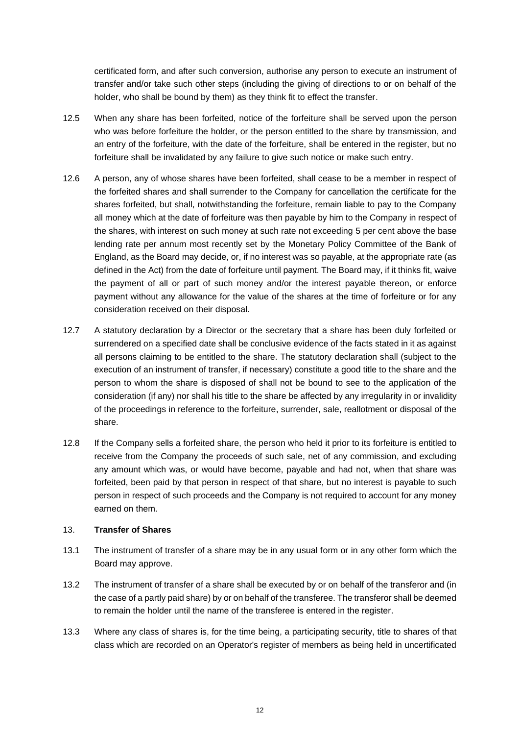certificated form, and after such conversion, authorise any person to execute an instrument of transfer and/or take such other steps (including the giving of directions to or on behalf of the holder, who shall be bound by them) as they think fit to effect the transfer.

- 12.5 When any share has been forfeited, notice of the forfeiture shall be served upon the person who was before forfeiture the holder, or the person entitled to the share by transmission, and an entry of the forfeiture, with the date of the forfeiture, shall be entered in the register, but no forfeiture shall be invalidated by any failure to give such notice or make such entry.
- 12.6 A person, any of whose shares have been forfeited, shall cease to be a member in respect of the forfeited shares and shall surrender to the Company for cancellation the certificate for the shares forfeited, but shall, notwithstanding the forfeiture, remain liable to pay to the Company all money which at the date of forfeiture was then payable by him to the Company in respect of the shares, with interest on such money at such rate not exceeding 5 per cent above the base lending rate per annum most recently set by the Monetary Policy Committee of the Bank of England, as the Board may decide, or, if no interest was so payable, at the appropriate rate (as defined in the Act) from the date of forfeiture until payment. The Board may, if it thinks fit, waive the payment of all or part of such money and/or the interest payable thereon, or enforce payment without any allowance for the value of the shares at the time of forfeiture or for any consideration received on their disposal.
- 12.7 A statutory declaration by a Director or the secretary that a share has been duly forfeited or surrendered on a specified date shall be conclusive evidence of the facts stated in it as against all persons claiming to be entitled to the share. The statutory declaration shall (subject to the execution of an instrument of transfer, if necessary) constitute a good title to the share and the person to whom the share is disposed of shall not be bound to see to the application of the consideration (if any) nor shall his title to the share be affected by any irregularity in or invalidity of the proceedings in reference to the forfeiture, surrender, sale, reallotment or disposal of the share.
- 12.8 If the Company sells a forfeited share, the person who held it prior to its forfeiture is entitled to receive from the Company the proceeds of such sale, net of any commission, and excluding any amount which was, or would have become, payable and had not, when that share was forfeited, been paid by that person in respect of that share, but no interest is payable to such person in respect of such proceeds and the Company is not required to account for any money earned on them.

# <span id="page-14-0"></span>13. **Transfer of Shares**

- 13.1 The instrument of transfer of a share may be in any usual form or in any other form which the Board may approve.
- 13.2 The instrument of transfer of a share shall be executed by or on behalf of the transferor and (in the case of a partly paid share) by or on behalf of the transferee. The transferor shall be deemed to remain the holder until the name of the transferee is entered in the register.
- 13.3 Where any class of shares is, for the time being, a participating security, title to shares of that class which are recorded on an Operator's register of members as being held in uncertificated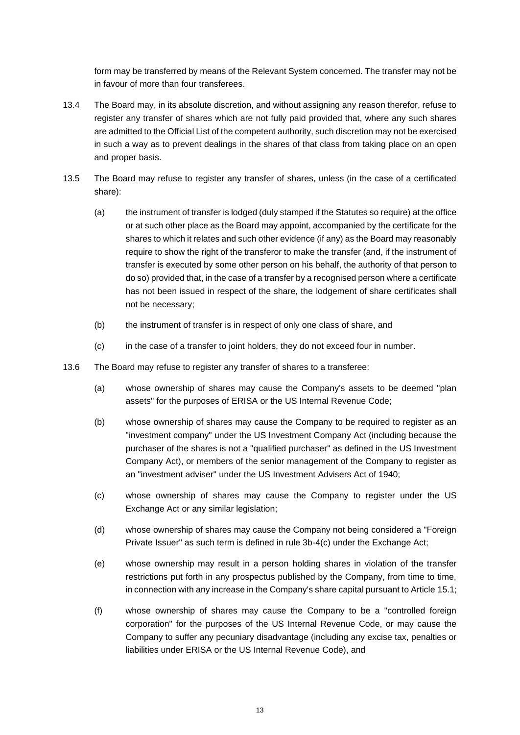form may be transferred by means of the Relevant System concerned. The transfer may not be in favour of more than four transferees.

- 13.4 The Board may, in its absolute discretion, and without assigning any reason therefor, refuse to register any transfer of shares which are not fully paid provided that, where any such shares are admitted to the Official List of the competent authority, such discretion may not be exercised in such a way as to prevent dealings in the shares of that class from taking place on an open and proper basis.
- 13.5 The Board may refuse to register any transfer of shares, unless (in the case of a certificated share):
	- (a) the instrument of transfer is lodged (duly stamped if the Statutes so require) at the office or at such other place as the Board may appoint, accompanied by the certificate for the shares to which it relates and such other evidence (if any) as the Board may reasonably require to show the right of the transferor to make the transfer (and, if the instrument of transfer is executed by some other person on his behalf, the authority of that person to do so) provided that, in the case of a transfer by a recognised person where a certificate has not been issued in respect of the share, the lodgement of share certificates shall not be necessary;
	- (b) the instrument of transfer is in respect of only one class of share, and
	- (c) in the case of a transfer to joint holders, they do not exceed four in number.
- 13.6 The Board may refuse to register any transfer of shares to a transferee:
	- (a) whose ownership of shares may cause the Company's assets to be deemed "plan assets" for the purposes of ERISA or the US Internal Revenue Code;
	- (b) whose ownership of shares may cause the Company to be required to register as an "investment company" under the US Investment Company Act (including because the purchaser of the shares is not a "qualified purchaser" as defined in the US Investment Company Act), or members of the senior management of the Company to register as an "investment adviser" under the US Investment Advisers Act of 1940;
	- (c) whose ownership of shares may cause the Company to register under the US Exchange Act or any similar legislation;
	- (d) whose ownership of shares may cause the Company not being considered a "Foreign Private Issuer" as such term is defined in rule 3b-4(c) under the Exchange Act;
	- (e) whose ownership may result in a person holding shares in violation of the transfer restrictions put forth in any prospectus published by the Company, from time to time, in connection with any increase in the Company's share capital pursuant to Article [15.1;](#page-17-3)
	- (f) whose ownership of shares may cause the Company to be a "controlled foreign corporation" for the purposes of the US Internal Revenue Code, or may cause the Company to suffer any pecuniary disadvantage (including any excise tax, penalties or liabilities under ERISA or the US Internal Revenue Code), and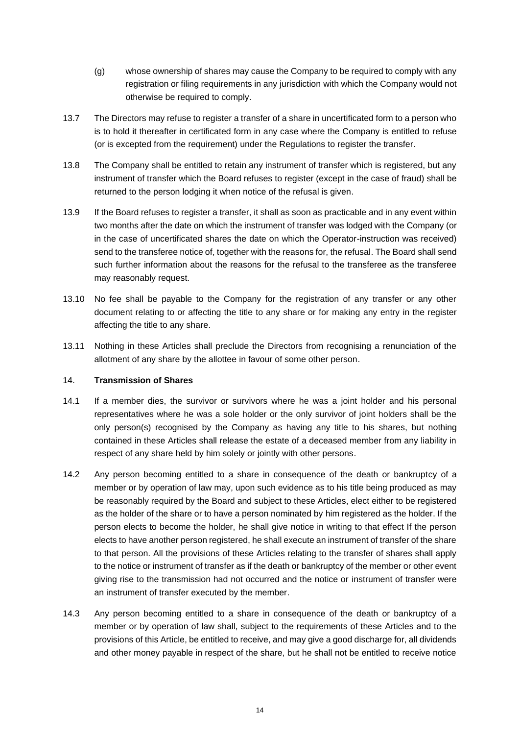- (g) whose ownership of shares may cause the Company to be required to comply with any registration or filing requirements in any jurisdiction with which the Company would not otherwise be required to comply.
- 13.7 The Directors may refuse to register a transfer of a share in uncertificated form to a person who is to hold it thereafter in certificated form in any case where the Company is entitled to refuse (or is excepted from the requirement) under the Regulations to register the transfer.
- 13.8 The Company shall be entitled to retain any instrument of transfer which is registered, but any instrument of transfer which the Board refuses to register (except in the case of fraud) shall be returned to the person lodging it when notice of the refusal is given.
- 13.9 If the Board refuses to register a transfer, it shall as soon as practicable and in any event within two months after the date on which the instrument of transfer was lodged with the Company (or in the case of uncertificated shares the date on which the Operator-instruction was received) send to the transferee notice of, together with the reasons for, the refusal. The Board shall send such further information about the reasons for the refusal to the transferee as the transferee may reasonably request.
- 13.10 No fee shall be payable to the Company for the registration of any transfer or any other document relating to or affecting the title to any share or for making any entry in the register affecting the title to any share.
- 13.11 Nothing in these Articles shall preclude the Directors from recognising a renunciation of the allotment of any share by the allottee in favour of some other person.

# <span id="page-16-0"></span>14. **Transmission of Shares**

- 14.1 If a member dies, the survivor or survivors where he was a joint holder and his personal representatives where he was a sole holder or the only survivor of joint holders shall be the only person(s) recognised by the Company as having any title to his shares, but nothing contained in these Articles shall release the estate of a deceased member from any liability in respect of any share held by him solely or jointly with other persons.
- 14.2 Any person becoming entitled to a share in consequence of the death or bankruptcy of a member or by operation of law may, upon such evidence as to his title being produced as may be reasonably required by the Board and subject to these Articles, elect either to be registered as the holder of the share or to have a person nominated by him registered as the holder. If the person elects to become the holder, he shall give notice in writing to that effect If the person elects to have another person registered, he shall execute an instrument of transfer of the share to that person. All the provisions of these Articles relating to the transfer of shares shall apply to the notice or instrument of transfer as if the death or bankruptcy of the member or other event giving rise to the transmission had not occurred and the notice or instrument of transfer were an instrument of transfer executed by the member.
- 14.3 Any person becoming entitled to a share in consequence of the death or bankruptcy of a member or by operation of law shall, subject to the requirements of these Articles and to the provisions of this Article, be entitled to receive, and may give a good discharge for, all dividends and other money payable in respect of the share, but he shall not be entitled to receive notice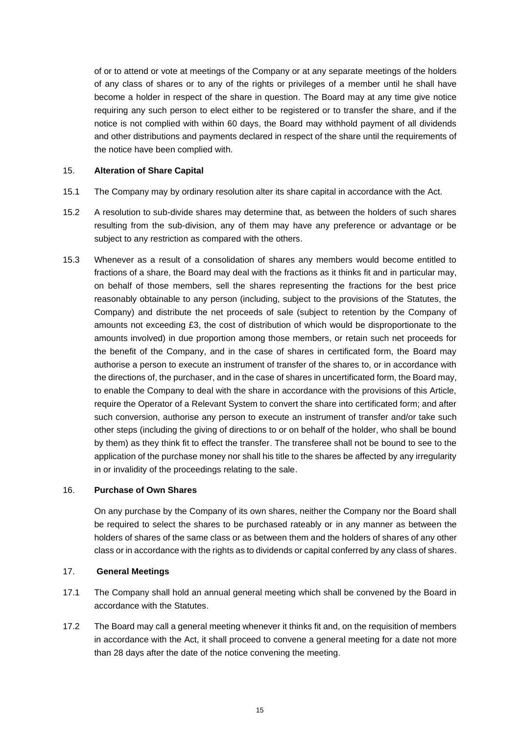of or to attend or vote at meetings of the Company or at any separate meetings of the holders of any class of shares or to any of the rights or privileges of a member until he shall have become a holder in respect of the share in question. The Board may at any time give notice requiring any such person to elect either to be registered or to transfer the share, and if the notice is not complied with within 60 days, the Board may withhold payment of all dividends and other distributions and payments declared in respect of the share until the requirements of the notice have been complied with.

### <span id="page-17-0"></span>15. **Alteration of Share Capital**

- <span id="page-17-3"></span>15.1 The Company may by ordinary resolution alter its share capital in accordance with the Act.
- 15.2 A resolution to sub-divide shares may determine that, as between the holders of such shares resulting from the sub-division, any of them may have any preference or advantage or be subject to any restriction as compared with the others.
- 15.3 Whenever as a result of a consolidation of shares any members would become entitled to fractions of a share, the Board may deal with the fractions as it thinks fit and in particular may, on behalf of those members, sell the shares representing the fractions for the best price reasonably obtainable to any person (including, subject to the provisions of the Statutes, the Company) and distribute the net proceeds of sale (subject to retention by the Company of amounts not exceeding £3, the cost of distribution of which would be disproportionate to the amounts involved) in due proportion among those members, or retain such net proceeds for the benefit of the Company, and in the case of shares in certificated form, the Board may authorise a person to execute an instrument of transfer of the shares to, or in accordance with the directions of, the purchaser, and in the case of shares in uncertificated form, the Board may, to enable the Company to deal with the share in accordance with the provisions of this Article, require the Operator of a Relevant System to convert the share into certificated form; and after such conversion, authorise any person to execute an instrument of transfer and/or take such other steps (including the giving of directions to or on behalf of the holder, who shall be bound by them) as they think fit to effect the transfer. The transferee shall not be bound to see to the application of the purchase money nor shall his title to the shares be affected by any irregularity in or invalidity of the proceedings relating to the sale.

#### <span id="page-17-1"></span>16. **Purchase of Own Shares**

On any purchase by the Company of its own shares, neither the Company nor the Board shall be required to select the shares to be purchased rateably or in any manner as between the holders of shares of the same class or as between them and the holders of shares of any other class or in accordance with the rights as to dividends or capital conferred by any class of shares.

### <span id="page-17-2"></span>17. **General Meetings**

- 17.1 The Company shall hold an annual general meeting which shall be convened by the Board in accordance with the Statutes.
- 17.2 The Board may call a general meeting whenever it thinks fit and, on the requisition of members in accordance with the Act, it shall proceed to convene a general meeting for a date not more than 28 days after the date of the notice convening the meeting.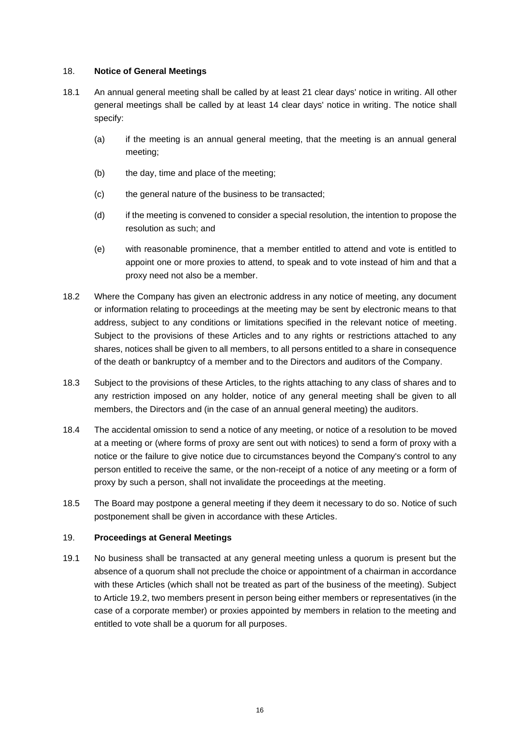### <span id="page-18-0"></span>18. **Notice of General Meetings**

- 18.1 An annual general meeting shall be called by at least 21 clear days' notice in writing. All other general meetings shall be called by at least 14 clear days' notice in writing. The notice shall specify:
	- (a) if the meeting is an annual general meeting, that the meeting is an annual general meeting;
	- (b) the day, time and place of the meeting;
	- (c) the general nature of the business to be transacted;
	- (d) if the meeting is convened to consider a special resolution, the intention to propose the resolution as such; and
	- (e) with reasonable prominence, that a member entitled to attend and vote is entitled to appoint one or more proxies to attend, to speak and to vote instead of him and that a proxy need not also be a member.
- 18.2 Where the Company has given an electronic address in any notice of meeting, any document or information relating to proceedings at the meeting may be sent by electronic means to that address, subject to any conditions or limitations specified in the relevant notice of meeting. Subject to the provisions of these Articles and to any rights or restrictions attached to any shares, notices shall be given to all members, to all persons entitled to a share in consequence of the death or bankruptcy of a member and to the Directors and auditors of the Company.
- 18.3 Subject to the provisions of these Articles, to the rights attaching to any class of shares and to any restriction imposed on any holder, notice of any general meeting shall be given to all members, the Directors and (in the case of an annual general meeting) the auditors.
- 18.4 The accidental omission to send a notice of any meeting, or notice of a resolution to be moved at a meeting or (where forms of proxy are sent out with notices) to send a form of proxy with a notice or the failure to give notice due to circumstances beyond the Company's control to any person entitled to receive the same, or the non-receipt of a notice of any meeting or a form of proxy by such a person, shall not invalidate the proceedings at the meeting.
- 18.5 The Board may postpone a general meeting if they deem it necessary to do so. Notice of such postponement shall be given in accordance with these Articles.

# <span id="page-18-1"></span>19. **Proceedings at General Meetings**

19.1 No business shall be transacted at any general meeting unless a quorum is present but the absence of a quorum shall not preclude the choice or appointment of a chairman in accordance with these Articles (which shall not be treated as part of the business of the meeting). Subject to Article [19.2,](#page-19-0) two members present in person being either members or representatives (in the case of a corporate member) or proxies appointed by members in relation to the meeting and entitled to vote shall be a quorum for all purposes.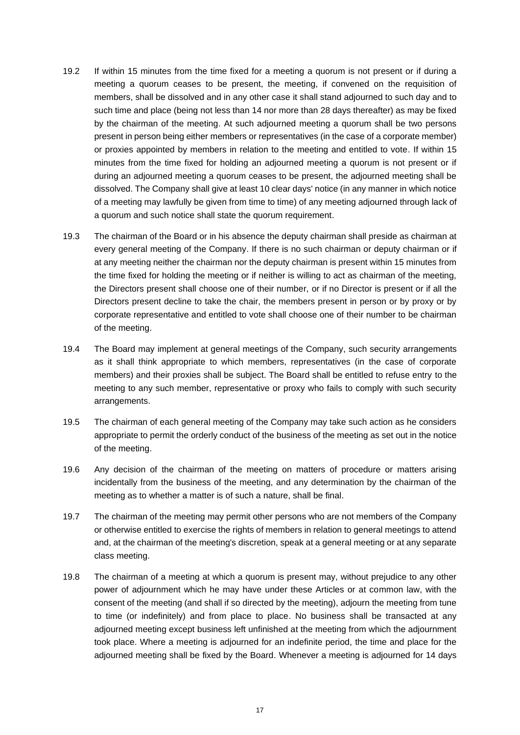- <span id="page-19-0"></span>19.2 If within 15 minutes from the time fixed for a meeting a quorum is not present or if during a meeting a quorum ceases to be present, the meeting, if convened on the requisition of members, shall be dissolved and in any other case it shall stand adjourned to such day and to such time and place (being not less than 14 nor more than 28 days thereafter) as may be fixed by the chairman of the meeting. At such adjourned meeting a quorum shall be two persons present in person being either members or representatives (in the case of a corporate member) or proxies appointed by members in relation to the meeting and entitled to vote. If within 15 minutes from the time fixed for holding an adjourned meeting a quorum is not present or if during an adjourned meeting a quorum ceases to be present, the adjourned meeting shall be dissolved. The Company shall give at least 10 clear days' notice (in any manner in which notice of a meeting may lawfully be given from time to time) of any meeting adjourned through lack of a quorum and such notice shall state the quorum requirement.
- 19.3 The chairman of the Board or in his absence the deputy chairman shall preside as chairman at every general meeting of the Company. If there is no such chairman or deputy chairman or if at any meeting neither the chairman nor the deputy chairman is present within 15 minutes from the time fixed for holding the meeting or if neither is willing to act as chairman of the meeting, the Directors present shall choose one of their number, or if no Director is present or if all the Directors present decline to take the chair, the members present in person or by proxy or by corporate representative and entitled to vote shall choose one of their number to be chairman of the meeting.
- 19.4 The Board may implement at general meetings of the Company, such security arrangements as it shall think appropriate to which members, representatives (in the case of corporate members) and their proxies shall be subject. The Board shall be entitled to refuse entry to the meeting to any such member, representative or proxy who fails to comply with such security arrangements.
- 19.5 The chairman of each general meeting of the Company may take such action as he considers appropriate to permit the orderly conduct of the business of the meeting as set out in the notice of the meeting.
- 19.6 Any decision of the chairman of the meeting on matters of procedure or matters arising incidentally from the business of the meeting, and any determination by the chairman of the meeting as to whether a matter is of such a nature, shall be final.
- 19.7 The chairman of the meeting may permit other persons who are not members of the Company or otherwise entitled to exercise the rights of members in relation to general meetings to attend and, at the chairman of the meeting's discretion, speak at a general meeting or at any separate class meeting.
- 19.8 The chairman of a meeting at which a quorum is present may, without prejudice to any other power of adjournment which he may have under these Articles or at common law, with the consent of the meeting (and shall if so directed by the meeting), adjourn the meeting from tune to time (or indefinitely) and from place to place. No business shall be transacted at any adjourned meeting except business left unfinished at the meeting from which the adjournment took place. Where a meeting is adjourned for an indefinite period, the time and place for the adjourned meeting shall be fixed by the Board. Whenever a meeting is adjourned for 14 days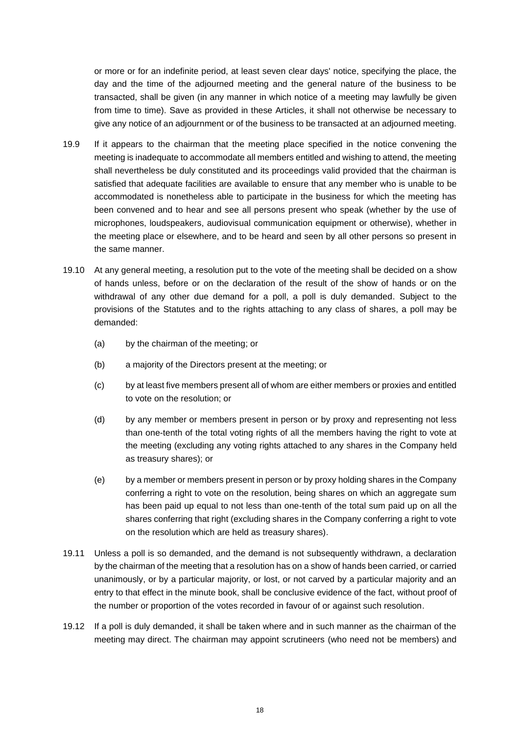or more or for an indefinite period, at least seven clear days' notice, specifying the place, the day and the time of the adjourned meeting and the general nature of the business to be transacted, shall be given (in any manner in which notice of a meeting may lawfully be given from time to time). Save as provided in these Articles, it shall not otherwise be necessary to give any notice of an adjournment or of the business to be transacted at an adjourned meeting.

- 19.9 If it appears to the chairman that the meeting place specified in the notice convening the meeting is inadequate to accommodate all members entitled and wishing to attend, the meeting shall nevertheless be duly constituted and its proceedings valid provided that the chairman is satisfied that adequate facilities are available to ensure that any member who is unable to be accommodated is nonetheless able to participate in the business for which the meeting has been convened and to hear and see all persons present who speak (whether by the use of microphones, loudspeakers, audiovisual communication equipment or otherwise), whether in the meeting place or elsewhere, and to be heard and seen by all other persons so present in the same manner.
- 19.10 At any general meeting, a resolution put to the vote of the meeting shall be decided on a show of hands unless, before or on the declaration of the result of the show of hands or on the withdrawal of any other due demand for a poll, a poll is duly demanded. Subject to the provisions of the Statutes and to the rights attaching to any class of shares, a poll may be demanded:
	- (a) by the chairman of the meeting; or
	- (b) a majority of the Directors present at the meeting; or
	- (c) by at least five members present all of whom are either members or proxies and entitled to vote on the resolution; or
	- (d) by any member or members present in person or by proxy and representing not less than one-tenth of the total voting rights of all the members having the right to vote at the meeting (excluding any voting rights attached to any shares in the Company held as treasury shares); or
	- (e) by a member or members present in person or by proxy holding shares in the Company conferring a right to vote on the resolution, being shares on which an aggregate sum has been paid up equal to not less than one-tenth of the total sum paid up on all the shares conferring that right (excluding shares in the Company conferring a right to vote on the resolution which are held as treasury shares).
- 19.11 Unless a poll is so demanded, and the demand is not subsequently withdrawn, a declaration by the chairman of the meeting that a resolution has on a show of hands been carried, or carried unanimously, or by a particular majority, or lost, or not carved by a particular majority and an entry to that effect in the minute book, shall be conclusive evidence of the fact, without proof of the number or proportion of the votes recorded in favour of or against such resolution.
- 19.12 If a poll is duly demanded, it shall be taken where and in such manner as the chairman of the meeting may direct. The chairman may appoint scrutineers (who need not be members) and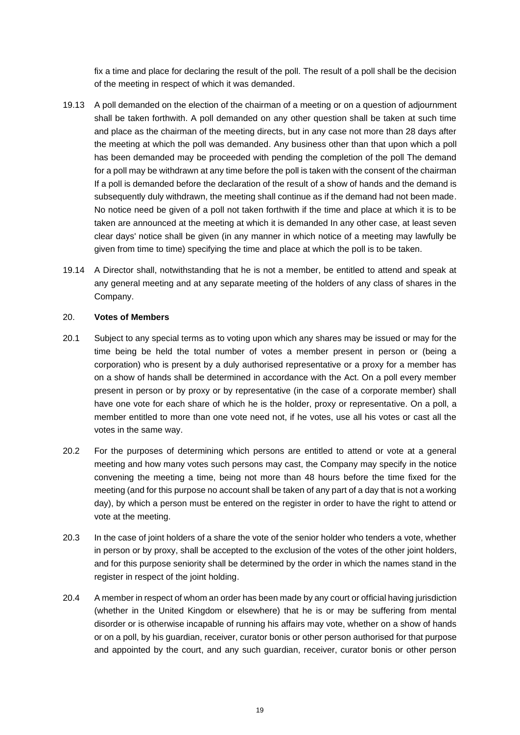fix a time and place for declaring the result of the poll. The result of a poll shall be the decision of the meeting in respect of which it was demanded.

- 19.13 A poll demanded on the election of the chairman of a meeting or on a question of adjournment shall be taken forthwith. A poll demanded on any other question shall be taken at such time and place as the chairman of the meeting directs, but in any case not more than 28 days after the meeting at which the poll was demanded. Any business other than that upon which a poll has been demanded may be proceeded with pending the completion of the poll The demand for a poll may be withdrawn at any time before the poll is taken with the consent of the chairman If a poll is demanded before the declaration of the result of a show of hands and the demand is subsequently duly withdrawn, the meeting shall continue as if the demand had not been made. No notice need be given of a poll not taken forthwith if the time and place at which it is to be taken are announced at the meeting at which it is demanded In any other case, at least seven clear days' notice shall be given (in any manner in which notice of a meeting may lawfully be given from time to time) specifying the time and place at which the poll is to be taken.
- 19.14 A Director shall, notwithstanding that he is not a member, be entitled to attend and speak at any general meeting and at any separate meeting of the holders of any class of shares in the Company.

#### <span id="page-21-0"></span>20. **Votes of Members**

- 20.1 Subject to any special terms as to voting upon which any shares may be issued or may for the time being be held the total number of votes a member present in person or (being a corporation) who is present by a duly authorised representative or a proxy for a member has on a show of hands shall be determined in accordance with the Act. On a poll every member present in person or by proxy or by representative (in the case of a corporate member) shall have one vote for each share of which he is the holder, proxy or representative. On a poll, a member entitled to more than one vote need not, if he votes, use all his votes or cast all the votes in the same way.
- 20.2 For the purposes of determining which persons are entitled to attend or vote at a general meeting and how many votes such persons may cast, the Company may specify in the notice convening the meeting a time, being not more than 48 hours before the time fixed for the meeting (and for this purpose no account shall be taken of any part of a day that is not a working day), by which a person must be entered on the register in order to have the right to attend or vote at the meeting.
- 20.3 In the case of joint holders of a share the vote of the senior holder who tenders a vote, whether in person or by proxy, shall be accepted to the exclusion of the votes of the other joint holders, and for this purpose seniority shall be determined by the order in which the names stand in the register in respect of the joint holding.
- 20.4 A member in respect of whom an order has been made by any court or official having jurisdiction (whether in the United Kingdom or elsewhere) that he is or may be suffering from mental disorder or is otherwise incapable of running his affairs may vote, whether on a show of hands or on a poll, by his guardian, receiver, curator bonis or other person authorised for that purpose and appointed by the court, and any such guardian, receiver, curator bonis or other person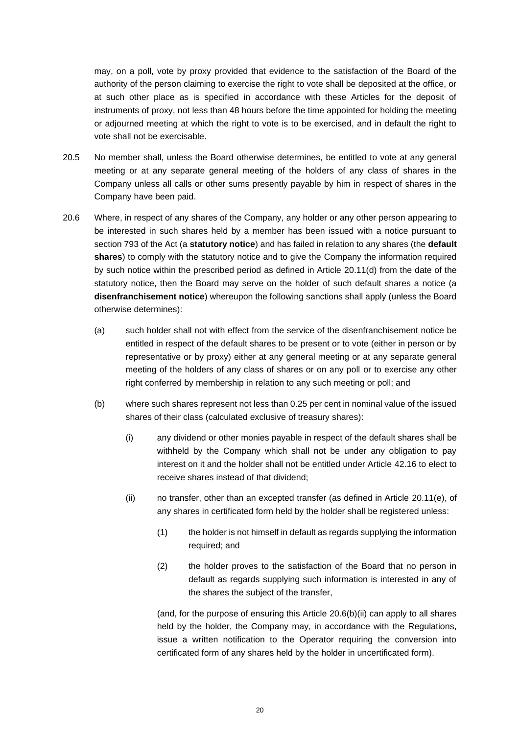may, on a poll, vote by proxy provided that evidence to the satisfaction of the Board of the authority of the person claiming to exercise the right to vote shall be deposited at the office, or at such other place as is specified in accordance with these Articles for the deposit of instruments of proxy, not less than 48 hours before the time appointed for holding the meeting or adjourned meeting at which the right to vote is to be exercised, and in default the right to vote shall not be exercisable.

- 20.5 No member shall, unless the Board otherwise determines, be entitled to vote at any general meeting or at any separate general meeting of the holders of any class of shares in the Company unless all calls or other sums presently payable by him in respect of shares in the Company have been paid.
- <span id="page-22-1"></span>20.6 Where, in respect of any shares of the Company, any holder or any other person appearing to be interested in such shares held by a member has been issued with a notice pursuant to section 793 of the Act (a **statutory notice**) and has failed in relation to any shares (the **default shares**) to comply with the statutory notice and to give the Company the information required by such notice within the prescribed period as defined in Article [20.11\(d\)](#page-24-0) from the date of the statutory notice, then the Board may serve on the holder of such default shares a notice (a **disenfranchisement notice**) whereupon the following sanctions shall apply (unless the Board otherwise determines):
	- (a) such holder shall not with effect from the service of the disenfranchisement notice be entitled in respect of the default shares to be present or to vote (either in person or by representative or by proxy) either at any general meeting or at any separate general meeting of the holders of any class of shares or on any poll or to exercise any other right conferred by membership in relation to any such meeting or poll; and
	- (b) where such shares represent not less than 0.25 per cent in nominal value of the issued shares of their class (calculated exclusive of treasury shares):
		- (i) any dividend or other monies payable in respect of the default shares shall be withheld by the Company which shall not be under any obligation to pay interest on it and the holder shall not be entitled under Article [42.16](#page-46-0) to elect to receive shares instead of that dividend;
		- (ii) no transfer, other than an excepted transfer (as defined in Article [20.11\(e\),](#page-24-1) of any shares in certificated form held by the holder shall be registered unless:
			- (1) the holder is not himself in default as regards supplying the information required; and
			- (2) the holder proves to the satisfaction of the Board that no person in default as regards supplying such information is interested in any of the shares the subject of the transfer,

<span id="page-22-0"></span>(and, for the purpose of ensuring this Article [20.6\(b\)\(ii\)](#page-22-0) can apply to all shares held by the holder, the Company may, in accordance with the Regulations, issue a written notification to the Operator requiring the conversion into certificated form of any shares held by the holder in uncertificated form).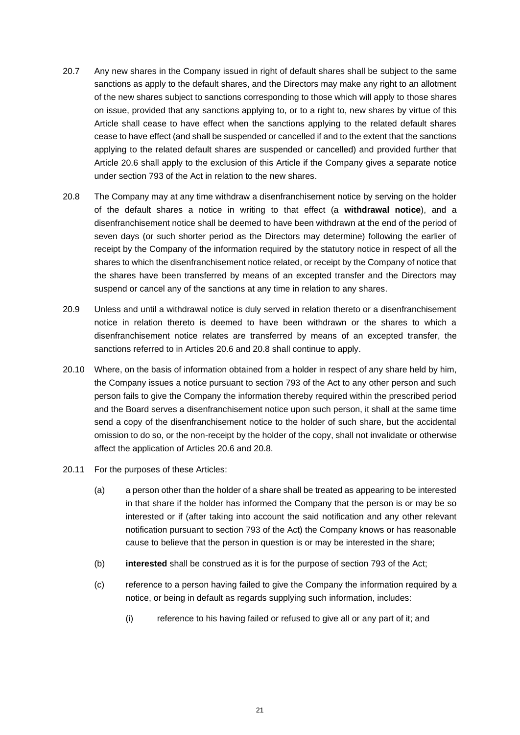- 20.7 Any new shares in the Company issued in right of default shares shall be subject to the same sanctions as apply to the default shares, and the Directors may make any right to an allotment of the new shares subject to sanctions corresponding to those which will apply to those shares on issue, provided that any sanctions applying to, or to a right to, new shares by virtue of this Article shall cease to have effect when the sanctions applying to the related default shares cease to have effect (and shall be suspended or cancelled if and to the extent that the sanctions applying to the related default shares are suspended or cancelled) and provided further that Article [20.6](#page-22-1) shall apply to the exclusion of this Article if the Company gives a separate notice under section 793 of the Act in relation to the new shares.
- <span id="page-23-0"></span>20.8 The Company may at any time withdraw a disenfranchisement notice by serving on the holder of the default shares a notice in writing to that effect (a **withdrawal notice**), and a disenfranchisement notice shall be deemed to have been withdrawn at the end of the period of seven days (or such shorter period as the Directors may determine) following the earlier of receipt by the Company of the information required by the statutory notice in respect of all the shares to which the disenfranchisement notice related, or receipt by the Company of notice that the shares have been transferred by means of an excepted transfer and the Directors may suspend or cancel any of the sanctions at any time in relation to any shares.
- 20.9 Unless and until a withdrawal notice is duly served in relation thereto or a disenfranchisement notice in relation thereto is deemed to have been withdrawn or the shares to which a disenfranchisement notice relates are transferred by means of an excepted transfer, the sanctions referred to in Articles [20.6](#page-22-1) and [20.8](#page-23-0) shall continue to apply.
- 20.10 Where, on the basis of information obtained from a holder in respect of any share held by him, the Company issues a notice pursuant to section 793 of the Act to any other person and such person fails to give the Company the information thereby required within the prescribed period and the Board serves a disenfranchisement notice upon such person, it shall at the same time send a copy of the disenfranchisement notice to the holder of such share, but the accidental omission to do so, or the non-receipt by the holder of the copy, shall not invalidate or otherwise affect the application of Articles [20.6](#page-22-1) and [20.8.](#page-23-0)
- 20.11 For the purposes of these Articles:
	- (a) a person other than the holder of a share shall be treated as appearing to be interested in that share if the holder has informed the Company that the person is or may be so interested or if (after taking into account the said notification and any other relevant notification pursuant to section 793 of the Act) the Company knows or has reasonable cause to believe that the person in question is or may be interested in the share;
	- (b) **interested** shall be construed as it is for the purpose of section 793 of the Act;
	- (c) reference to a person having failed to give the Company the information required by a notice, or being in default as regards supplying such information, includes:
		- (i) reference to his having failed or refused to give all or any part of it; and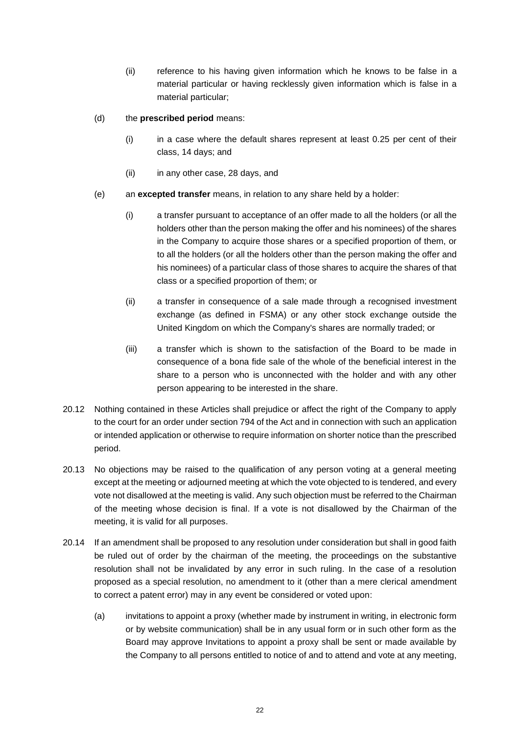- (ii) reference to his having given information which he knows to be false in a material particular or having recklessly given information which is false in a material particular;
- <span id="page-24-0"></span>(d) the **prescribed period** means:
	- $(i)$  in a case where the default shares represent at least 0.25 per cent of their class, 14 days; and
	- (ii) in any other case, 28 days, and
- <span id="page-24-1"></span>(e) an **excepted transfer** means, in relation to any share held by a holder:
	- (i) a transfer pursuant to acceptance of an offer made to all the holders (or all the holders other than the person making the offer and his nominees) of the shares in the Company to acquire those shares or a specified proportion of them, or to all the holders (or all the holders other than the person making the offer and his nominees) of a particular class of those shares to acquire the shares of that class or a specified proportion of them; or
	- (ii) a transfer in consequence of a sale made through a recognised investment exchange (as defined in FSMA) or any other stock exchange outside the United Kingdom on which the Company's shares are normally traded; or
	- (iii) a transfer which is shown to the satisfaction of the Board to be made in consequence of a bona fide sale of the whole of the beneficial interest in the share to a person who is unconnected with the holder and with any other person appearing to be interested in the share.
- 20.12 Nothing contained in these Articles shall prejudice or affect the right of the Company to apply to the court for an order under section 794 of the Act and in connection with such an application or intended application or otherwise to require information on shorter notice than the prescribed period.
- 20.13 No objections may be raised to the qualification of any person voting at a general meeting except at the meeting or adjourned meeting at which the vote objected to is tendered, and every vote not disallowed at the meeting is valid. Any such objection must be referred to the Chairman of the meeting whose decision is final. If a vote is not disallowed by the Chairman of the meeting, it is valid for all purposes.
- 20.14 If an amendment shall be proposed to any resolution under consideration but shall in good faith be ruled out of order by the chairman of the meeting, the proceedings on the substantive resolution shall not be invalidated by any error in such ruling. In the case of a resolution proposed as a special resolution, no amendment to it (other than a mere clerical amendment to correct a patent error) may in any event be considered or voted upon:
	- (a) invitations to appoint a proxy (whether made by instrument in writing, in electronic form or by website communication) shall be in any usual form or in such other form as the Board may approve Invitations to appoint a proxy shall be sent or made available by the Company to all persons entitled to notice of and to attend and vote at any meeting,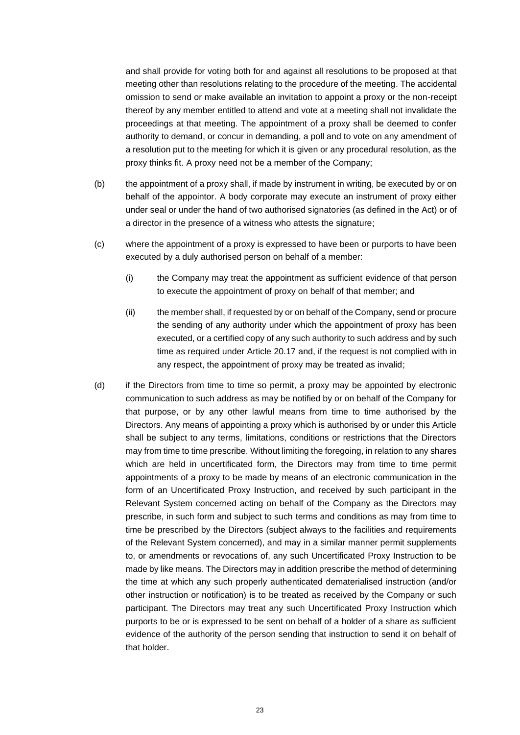and shall provide for voting both for and against all resolutions to be proposed at that meeting other than resolutions relating to the procedure of the meeting. The accidental omission to send or make available an invitation to appoint a proxy or the non-receipt thereof by any member entitled to attend and vote at a meeting shall not invalidate the proceedings at that meeting. The appointment of a proxy shall be deemed to confer authority to demand, or concur in demanding, a poll and to vote on any amendment of a resolution put to the meeting for which it is given or any procedural resolution, as the proxy thinks fit. A proxy need not be a member of the Company;

- (b) the appointment of a proxy shall, if made by instrument in writing, be executed by or on behalf of the appointor. A body corporate may execute an instrument of proxy either under seal or under the hand of two authorised signatories (as defined in the Act) or of a director in the presence of a witness who attests the signature;
- (c) where the appointment of a proxy is expressed to have been or purports to have been executed by a duly authorised person on behalf of a member:
	- (i) the Company may treat the appointment as sufficient evidence of that person to execute the appointment of proxy on behalf of that member; and
	- (ii) the member shall, if requested by or on behalf of the Company, send or procure the sending of any authority under which the appointment of proxy has been executed, or a certified copy of any such authority to such address and by such time as required under Article [20.17](#page-26-0) and, if the request is not complied with in any respect, the appointment of proxy may be treated as invalid;
- (d) if the Directors from time to time so permit, a proxy may be appointed by electronic communication to such address as may be notified by or on behalf of the Company for that purpose, or by any other lawful means from time to time authorised by the Directors. Any means of appointing a proxy which is authorised by or under this Article shall be subject to any terms, limitations, conditions or restrictions that the Directors may from time to time prescribe. Without limiting the foregoing, in relation to any shares which are held in uncertificated form, the Directors may from time to time permit appointments of a proxy to be made by means of an electronic communication in the form of an Uncertificated Proxy Instruction, and received by such participant in the Relevant System concerned acting on behalf of the Company as the Directors may prescribe, in such form and subject to such terms and conditions as may from time to time be prescribed by the Directors (subject always to the facilities and requirements of the Relevant System concerned), and may in a similar manner permit supplements to, or amendments or revocations of, any such Uncertificated Proxy Instruction to be made by like means. The Directors may in addition prescribe the method of determining the time at which any such properly authenticated dematerialised instruction (and/or other instruction or notification) is to be treated as received by the Company or such participant. The Directors may treat any such Uncertificated Proxy Instruction which purports to be or is expressed to be sent on behalf of a holder of a share as sufficient evidence of the authority of the person sending that instruction to send it on behalf of that holder.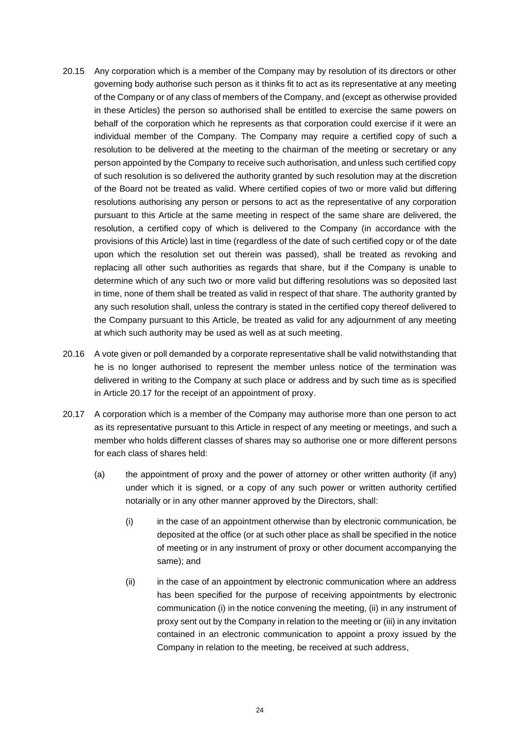- 20.15 Any corporation which is a member of the Company may by resolution of its directors or other governing body authorise such person as it thinks fit to act as its representative at any meeting of the Company or of any class of members of the Company, and (except as otherwise provided in these Articles) the person so authorised shall be entitled to exercise the same powers on behalf of the corporation which he represents as that corporation could exercise if it were an individual member of the Company. The Company may require a certified copy of such a resolution to be delivered at the meeting to the chairman of the meeting or secretary or any person appointed by the Company to receive such authorisation, and unless such certified copy of such resolution is so delivered the authority granted by such resolution may at the discretion of the Board not be treated as valid. Where certified copies of two or more valid but differing resolutions authorising any person or persons to act as the representative of any corporation pursuant to this Article at the same meeting in respect of the same share are delivered, the resolution, a certified copy of which is delivered to the Company (in accordance with the provisions of this Article) last in time (regardless of the date of such certified copy or of the date upon which the resolution set out therein was passed), shall be treated as revoking and replacing all other such authorities as regards that share, but if the Company is unable to determine which of any such two or more valid but differing resolutions was so deposited last in time, none of them shall be treated as valid in respect of that share. The authority granted by any such resolution shall, unless the contrary is stated in the certified copy thereof delivered to the Company pursuant to this Article, be treated as valid for any adjournment of any meeting at which such authority may be used as well as at such meeting.
- 20.16 A vote given or poll demanded by a corporate representative shall be valid notwithstanding that he is no longer authorised to represent the member unless notice of the termination was delivered in writing to the Company at such place or address and by such time as is specified in Article [20.17](#page-26-0) for the receipt of an appointment of proxy.
- <span id="page-26-1"></span><span id="page-26-0"></span>20.17 A corporation which is a member of the Company may authorise more than one person to act as its representative pursuant to this Article in respect of any meeting or meetings, and such a member who holds different classes of shares may so authorise one or more different persons for each class of shares held:
	- (a) the appointment of proxy and the power of attorney or other written authority (if any) under which it is signed, or a copy of any such power or written authority certified notarially or in any other manner approved by the Directors, shall:
		- (i) in the case of an appointment otherwise than by electronic communication, be deposited at the office (or at such other place as shall be specified in the notice of meeting or in any instrument of proxy or other document accompanying the same); and
		- (ii) in the case of an appointment by electronic communication where an address has been specified for the purpose of receiving appointments by electronic communication (i) in the notice convening the meeting, (ii) in any instrument of proxy sent out by the Company in relation to the meeting or (iii) in any invitation contained in an electronic communication to appoint a proxy issued by the Company in relation to the meeting, be received at such address,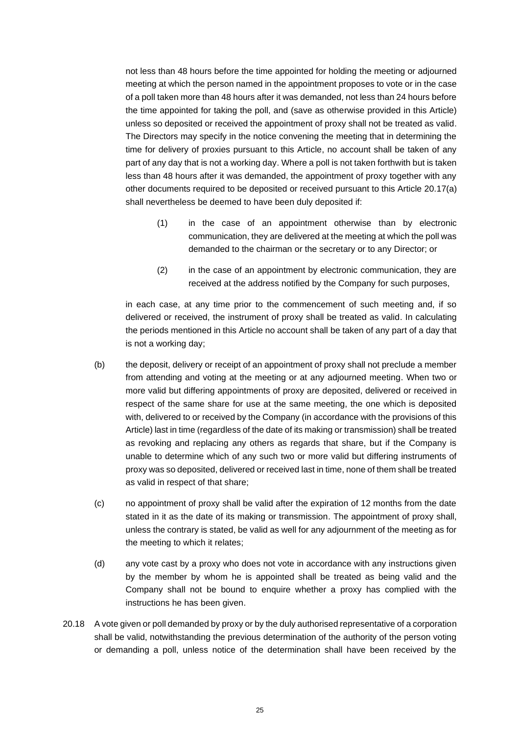not less than 48 hours before the time appointed for holding the meeting or adjourned meeting at which the person named in the appointment proposes to vote or in the case of a poll taken more than 48 hours after it was demanded, not less than 24 hours before the time appointed for taking the poll, and (save as otherwise provided in this Article) unless so deposited or received the appointment of proxy shall not be treated as valid. The Directors may specify in the notice convening the meeting that in determining the time for delivery of proxies pursuant to this Article, no account shall be taken of any part of any day that is not a working day. Where a poll is not taken forthwith but is taken less than 48 hours after it was demanded, the appointment of proxy together with any other documents required to be deposited or received pursuant to this Article [20.17\(a\)](#page-26-1) shall nevertheless be deemed to have been duly deposited if:

- (1) in the case of an appointment otherwise than by electronic communication, they are delivered at the meeting at which the poll was demanded to the chairman or the secretary or to any Director; or
- (2) in the case of an appointment by electronic communication, they are received at the address notified by the Company for such purposes,

in each case, at any time prior to the commencement of such meeting and, if so delivered or received, the instrument of proxy shall be treated as valid. In calculating the periods mentioned in this Article no account shall be taken of any part of a day that is not a working day;

- (b) the deposit, delivery or receipt of an appointment of proxy shall not preclude a member from attending and voting at the meeting or at any adjourned meeting. When two or more valid but differing appointments of proxy are deposited, delivered or received in respect of the same share for use at the same meeting, the one which is deposited with, delivered to or received by the Company (in accordance with the provisions of this Article) last in time (regardless of the date of its making or transmission) shall be treated as revoking and replacing any others as regards that share, but if the Company is unable to determine which of any such two or more valid but differing instruments of proxy was so deposited, delivered or received last in time, none of them shall be treated as valid in respect of that share;
- (c) no appointment of proxy shall be valid after the expiration of 12 months from the date stated in it as the date of its making or transmission. The appointment of proxy shall, unless the contrary is stated, be valid as well for any adjournment of the meeting as for the meeting to which it relates;
- (d) any vote cast by a proxy who does not vote in accordance with any instructions given by the member by whom he is appointed shall be treated as being valid and the Company shall not be bound to enquire whether a proxy has complied with the instructions he has been given.
- 20.18 A vote given or poll demanded by proxy or by the duly authorised representative of a corporation shall be valid, notwithstanding the previous determination of the authority of the person voting or demanding a poll, unless notice of the determination shall have been received by the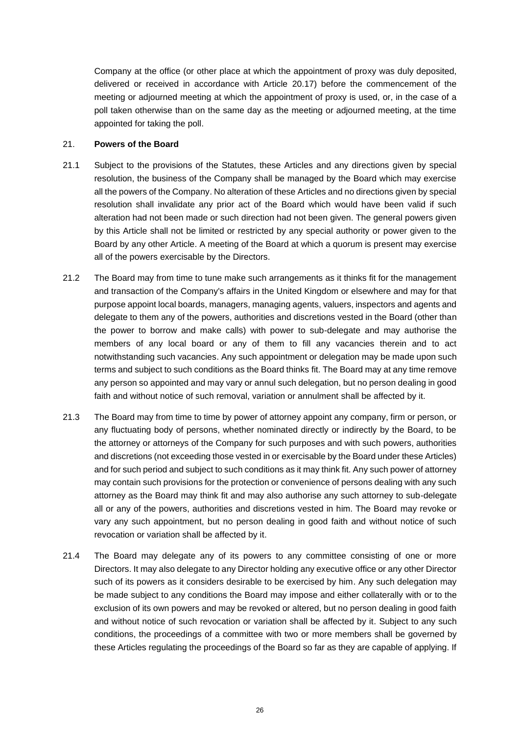Company at the office (or other place at which the appointment of proxy was duly deposited, delivered or received in accordance with Article [20.17\)](#page-26-0) before the commencement of the meeting or adjourned meeting at which the appointment of proxy is used, or, in the case of a poll taken otherwise than on the same day as the meeting or adjourned meeting, at the time appointed for taking the poll.

#### <span id="page-28-0"></span>21. **Powers of the Board**

- 21.1 Subject to the provisions of the Statutes, these Articles and any directions given by special resolution, the business of the Company shall be managed by the Board which may exercise all the powers of the Company. No alteration of these Articles and no directions given by special resolution shall invalidate any prior act of the Board which would have been valid if such alteration had not been made or such direction had not been given. The general powers given by this Article shall not be limited or restricted by any special authority or power given to the Board by any other Article. A meeting of the Board at which a quorum is present may exercise all of the powers exercisable by the Directors.
- 21.2 The Board may from time to tune make such arrangements as it thinks fit for the management and transaction of the Company's affairs in the United Kingdom or elsewhere and may for that purpose appoint local boards, managers, managing agents, valuers, inspectors and agents and delegate to them any of the powers, authorities and discretions vested in the Board (other than the power to borrow and make calls) with power to sub-delegate and may authorise the members of any local board or any of them to fill any vacancies therein and to act notwithstanding such vacancies. Any such appointment or delegation may be made upon such terms and subject to such conditions as the Board thinks fit. The Board may at any time remove any person so appointed and may vary or annul such delegation, but no person dealing in good faith and without notice of such removal, variation or annulment shall be affected by it.
- 21.3 The Board may from time to time by power of attorney appoint any company, firm or person, or any fluctuating body of persons, whether nominated directly or indirectly by the Board, to be the attorney or attorneys of the Company for such purposes and with such powers, authorities and discretions (not exceeding those vested in or exercisable by the Board under these Articles) and for such period and subject to such conditions as it may think fit. Any such power of attorney may contain such provisions for the protection or convenience of persons dealing with any such attorney as the Board may think fit and may also authorise any such attorney to sub-delegate all or any of the powers, authorities and discretions vested in him. The Board may revoke or vary any such appointment, but no person dealing in good faith and without notice of such revocation or variation shall be affected by it.
- <span id="page-28-1"></span>21.4 The Board may delegate any of its powers to any committee consisting of one or more Directors. It may also delegate to any Director holding any executive office or any other Director such of its powers as it considers desirable to be exercised by him. Any such delegation may be made subject to any conditions the Board may impose and either collaterally with or to the exclusion of its own powers and may be revoked or altered, but no person dealing in good faith and without notice of such revocation or variation shall be affected by it. Subject to any such conditions, the proceedings of a committee with two or more members shall be governed by these Articles regulating the proceedings of the Board so far as they are capable of applying. If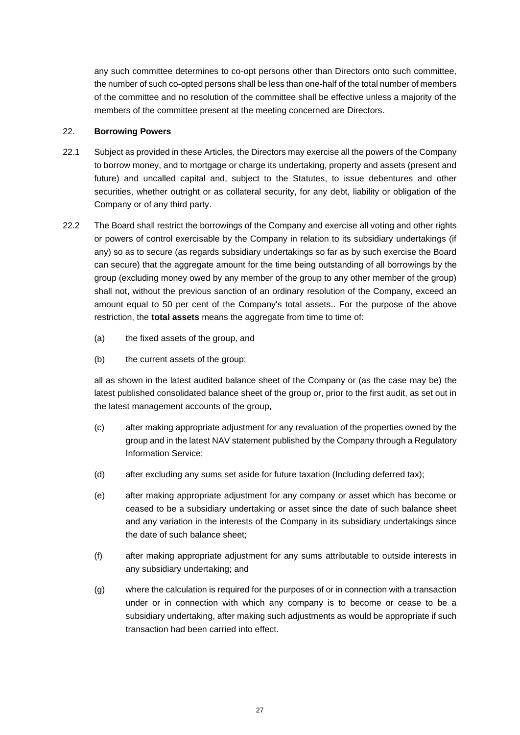any such committee determines to co-opt persons other than Directors onto such committee, the number of such co-opted persons shall be less than one-half of the total number of members of the committee and no resolution of the committee shall be effective unless a majority of the members of the committee present at the meeting concerned are Directors.

# <span id="page-29-0"></span>22. **Borrowing Powers**

- 22.1 Subject as provided in these Articles, the Directors may exercise all the powers of the Company to borrow money, and to mortgage or charge its undertaking, property and assets (present and future) and uncalled capital and, subject to the Statutes, to issue debentures and other securities, whether outright or as collateral security, for any debt, liability or obligation of the Company or of any third party.
- <span id="page-29-1"></span>22.2 The Board shall restrict the borrowings of the Company and exercise all voting and other rights or powers of control exercisable by the Company in relation to its subsidiary undertakings (if any) so as to secure (as regards subsidiary undertakings so far as by such exercise the Board can secure) that the aggregate amount for the time being outstanding of all borrowings by the group (excluding money owed by any member of the group to any other member of the group) shall not, without the previous sanction of an ordinary resolution of the Company, exceed an amount equal to 50 per cent of the Company's total assets.. For the purpose of the above restriction, the **total assets** means the aggregate from time to time of:
	- (a) the fixed assets of the group, and
	- (b) the current assets of the group;

all as shown in the latest audited balance sheet of the Company or (as the case may be) the latest published consolidated balance sheet of the group or, prior to the first audit, as set out in the latest management accounts of the group,

- (c) after making appropriate adjustment for any revaluation of the properties owned by the group and in the latest NAV statement published by the Company through a Regulatory Information Service;
- (d) after excluding any sums set aside for future taxation (Including deferred tax);
- (e) after making appropriate adjustment for any company or asset which has become or ceased to be a subsidiary undertaking or asset since the date of such balance sheet and any variation in the interests of the Company in its subsidiary undertakings since the date of such balance sheet;
- (f) after making appropriate adjustment for any sums attributable to outside interests in any subsidiary undertaking; and
- (g) where the calculation is required for the purposes of or in connection with a transaction under or in connection with which any company is to become or cease to be a subsidiary undertaking, after making such adjustments as would be appropriate if such transaction had been carried into effect.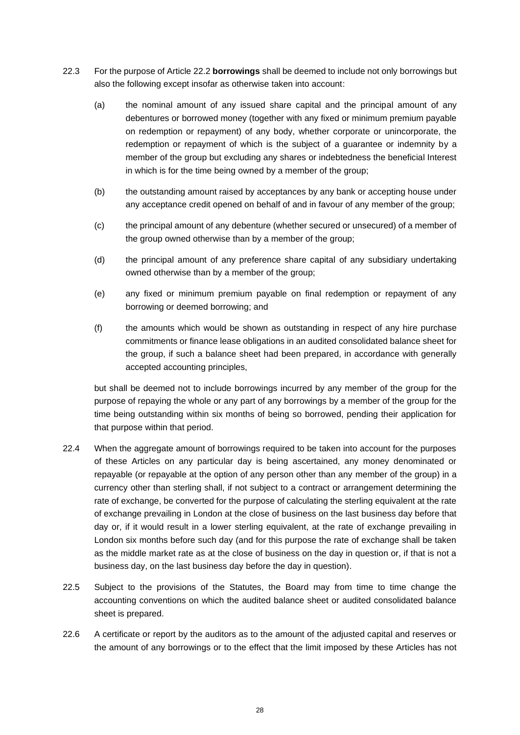- 22.3 For the purpose of Article [22.2](#page-29-1) **borrowings** shall be deemed to include not only borrowings but also the following except insofar as otherwise taken into account:
	- (a) the nominal amount of any issued share capital and the principal amount of any debentures or borrowed money (together with any fixed or minimum premium payable on redemption or repayment) of any body, whether corporate or unincorporate, the redemption or repayment of which is the subject of a guarantee or indemnity by a member of the group but excluding any shares or indebtedness the beneficial Interest in which is for the time being owned by a member of the group;
	- (b) the outstanding amount raised by acceptances by any bank or accepting house under any acceptance credit opened on behalf of and in favour of any member of the group;
	- (c) the principal amount of any debenture (whether secured or unsecured) of a member of the group owned otherwise than by a member of the group;
	- (d) the principal amount of any preference share capital of any subsidiary undertaking owned otherwise than by a member of the group;
	- (e) any fixed or minimum premium payable on final redemption or repayment of any borrowing or deemed borrowing; and
	- (f) the amounts which would be shown as outstanding in respect of any hire purchase commitments or finance lease obligations in an audited consolidated balance sheet for the group, if such a balance sheet had been prepared, in accordance with generally accepted accounting principles,

but shall be deemed not to include borrowings incurred by any member of the group for the purpose of repaying the whole or any part of any borrowings by a member of the group for the time being outstanding within six months of being so borrowed, pending their application for that purpose within that period.

- 22.4 When the aggregate amount of borrowings required to be taken into account for the purposes of these Articles on any particular day is being ascertained, any money denominated or repayable (or repayable at the option of any person other than any member of the group) in a currency other than sterling shall, if not subject to a contract or arrangement determining the rate of exchange, be converted for the purpose of calculating the sterling equivalent at the rate of exchange prevailing in London at the close of business on the last business day before that day or, if it would result in a lower sterling equivalent, at the rate of exchange prevailing in London six months before such day (and for this purpose the rate of exchange shall be taken as the middle market rate as at the close of business on the day in question or, if that is not a business day, on the last business day before the day in question).
- 22.5 Subject to the provisions of the Statutes, the Board may from time to time change the accounting conventions on which the audited balance sheet or audited consolidated balance sheet is prepared.
- <span id="page-30-0"></span>22.6 A certificate or report by the auditors as to the amount of the adjusted capital and reserves or the amount of any borrowings or to the effect that the limit imposed by these Articles has not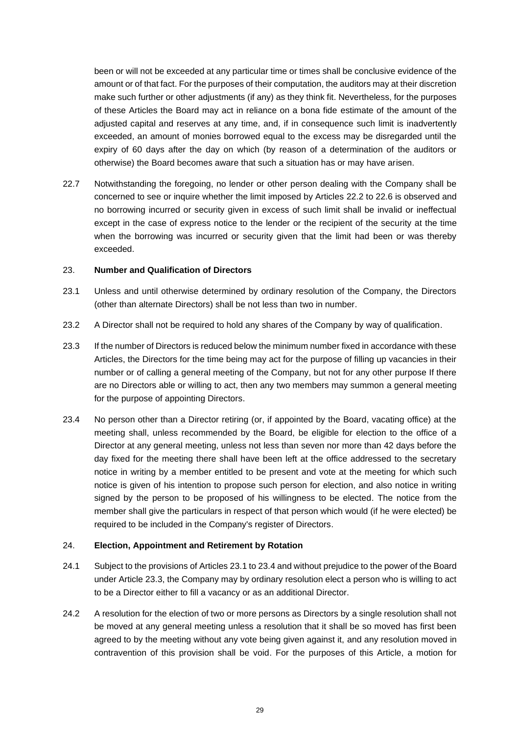been or will not be exceeded at any particular time or times shall be conclusive evidence of the amount or of that fact. For the purposes of their computation, the auditors may at their discretion make such further or other adjustments (if any) as they think fit. Nevertheless, for the purposes of these Articles the Board may act in reliance on a bona fide estimate of the amount of the adjusted capital and reserves at any time, and, if in consequence such limit is inadvertently exceeded, an amount of monies borrowed equal to the excess may be disregarded until the expiry of 60 days after the day on which (by reason of a determination of the auditors or otherwise) the Board becomes aware that such a situation has or may have arisen.

22.7 Notwithstanding the foregoing, no lender or other person dealing with the Company shall be concerned to see or inquire whether the limit imposed by Articles [22.2](#page-29-1) to [22.6](#page-30-0) is observed and no borrowing incurred or security given in excess of such limit shall be invalid or ineffectual except in the case of express notice to the lender or the recipient of the security at the time when the borrowing was incurred or security given that the limit had been or was thereby exceeded.

#### <span id="page-31-0"></span>23. **Number and Qualification of Directors**

- <span id="page-31-2"></span>23.1 Unless and until otherwise determined by ordinary resolution of the Company, the Directors (other than alternate Directors) shall be not less than two in number.
- 23.2 A Director shall not be required to hold any shares of the Company by way of qualification.
- <span id="page-31-4"></span>23.3 If the number of Directors is reduced below the minimum number fixed in accordance with these Articles, the Directors for the time being may act for the purpose of filling up vacancies in their number or of calling a general meeting of the Company, but not for any other purpose If there are no Directors able or willing to act, then any two members may summon a general meeting for the purpose of appointing Directors.
- <span id="page-31-3"></span>23.4 No person other than a Director retiring (or, if appointed by the Board, vacating office) at the meeting shall, unless recommended by the Board, be eligible for election to the office of a Director at any general meeting, unless not less than seven nor more than 42 days before the day fixed for the meeting there shall have been left at the office addressed to the secretary notice in writing by a member entitled to be present and vote at the meeting for which such notice is given of his intention to propose such person for election, and also notice in writing signed by the person to be proposed of his willingness to be elected. The notice from the member shall give the particulars in respect of that person which would (if he were elected) be required to be included in the Company's register of Directors.

# <span id="page-31-1"></span>24. **Election, Appointment and Retirement by Rotation**

- 24.1 Subject to the provisions of Article[s 23.1](#page-31-2) to [23.4](#page-31-3) and without prejudice to the power of the Board under Article [23.3,](#page-31-4) the Company may by ordinary resolution elect a person who is willing to act to be a Director either to fill a vacancy or as an additional Director.
- 24.2 A resolution for the election of two or more persons as Directors by a single resolution shall not be moved at any general meeting unless a resolution that it shall be so moved has first been agreed to by the meeting without any vote being given against it, and any resolution moved in contravention of this provision shall be void. For the purposes of this Article, a motion for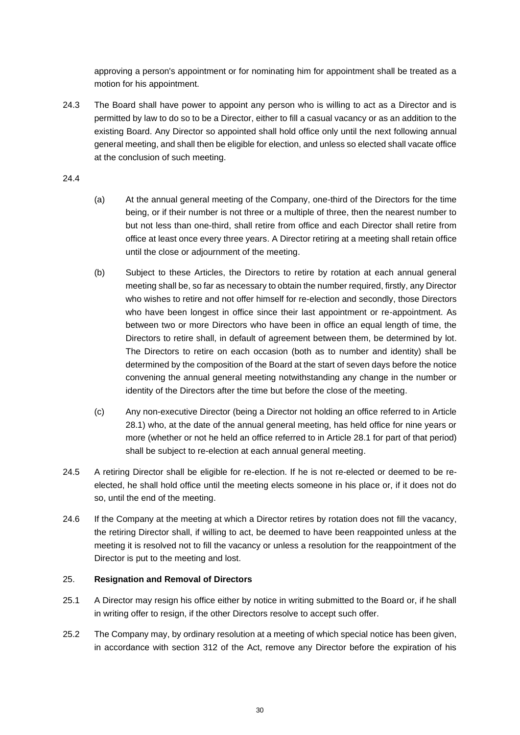approving a person's appointment or for nominating him for appointment shall be treated as a motion for his appointment.

24.3 The Board shall have power to appoint any person who is willing to act as a Director and is permitted by law to do so to be a Director, either to fill a casual vacancy or as an addition to the existing Board. Any Director so appointed shall hold office only until the next following annual general meeting, and shall then be eligible for election, and unless so elected shall vacate office at the conclusion of such meeting.

24.4

- (a) At the annual general meeting of the Company, one-third of the Directors for the time being, or if their number is not three or a multiple of three, then the nearest number to but not less than one-third, shall retire from office and each Director shall retire from office at least once every three years. A Director retiring at a meeting shall retain office until the close or adjournment of the meeting.
- (b) Subject to these Articles, the Directors to retire by rotation at each annual general meeting shall be, so far as necessary to obtain the number required, firstly, any Director who wishes to retire and not offer himself for re-election and secondly, those Directors who have been longest in office since their last appointment or re-appointment. As between two or more Directors who have been in office an equal length of time, the Directors to retire shall, in default of agreement between them, be determined by lot. The Directors to retire on each occasion (both as to number and identity) shall be determined by the composition of the Board at the start of seven days before the notice convening the annual general meeting notwithstanding any change in the number or identity of the Directors after the time but before the close of the meeting.
- (c) Any non-executive Director (being a Director not holding an office referred to in Article [28.1\)](#page-34-2) who, at the date of the annual general meeting, has held office for nine years or more (whether or not he held an office referred to in Article [28.1](#page-34-2) for part of that period) shall be subject to re-election at each annual general meeting.
- 24.5 A retiring Director shall be eligible for re-election. If he is not re-elected or deemed to be reelected, he shall hold office until the meeting elects someone in his place or, if it does not do so, until the end of the meeting.
- 24.6 If the Company at the meeting at which a Director retires by rotation does not fill the vacancy, the retiring Director shall, if willing to act, be deemed to have been reappointed unless at the meeting it is resolved not to fill the vacancy or unless a resolution for the reappointment of the Director is put to the meeting and lost.

# <span id="page-32-0"></span>25. **Resignation and Removal of Directors**

- 25.1 A Director may resign his office either by notice in writing submitted to the Board or, if he shall in writing offer to resign, if the other Directors resolve to accept such offer.
- 25.2 The Company may, by ordinary resolution at a meeting of which special notice has been given, in accordance with section 312 of the Act, remove any Director before the expiration of his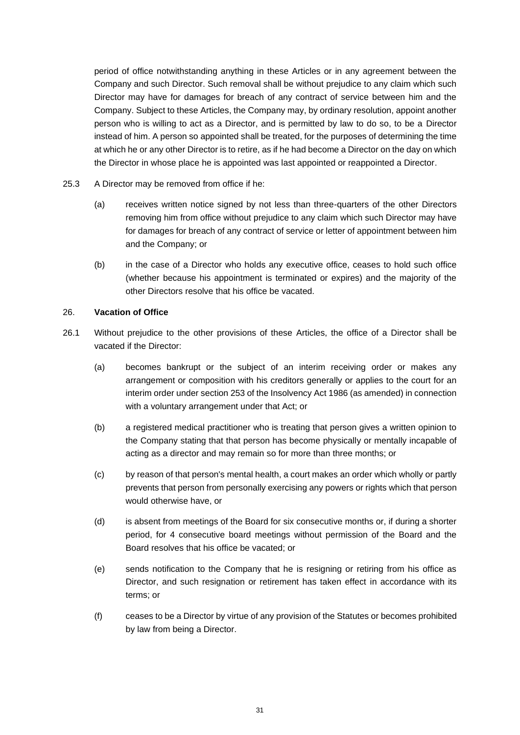period of office notwithstanding anything in these Articles or in any agreement between the Company and such Director. Such removal shall be without prejudice to any claim which such Director may have for damages for breach of any contract of service between him and the Company. Subject to these Articles, the Company may, by ordinary resolution, appoint another person who is willing to act as a Director, and is permitted by law to do so, to be a Director instead of him. A person so appointed shall be treated, for the purposes of determining the time at which he or any other Director is to retire, as if he had become a Director on the day on which the Director in whose place he is appointed was last appointed or reappointed a Director.

- <span id="page-33-1"></span>25.3 A Director may be removed from office if he:
	- (a) receives written notice signed by not less than three-quarters of the other Directors removing him from office without prejudice to any claim which such Director may have for damages for breach of any contract of service or letter of appointment between him and the Company; or
	- (b) in the case of a Director who holds any executive office, ceases to hold such office (whether because his appointment is terminated or expires) and the majority of the other Directors resolve that his office be vacated.

### <span id="page-33-0"></span>26. **Vacation of Office**

- <span id="page-33-2"></span>26.1 Without prejudice to the other provisions of these Articles, the office of a Director shall be vacated if the Director:
	- (a) becomes bankrupt or the subject of an interim receiving order or makes any arrangement or composition with his creditors generally or applies to the court for an interim order under section 253 of the Insolvency Act 1986 (as amended) in connection with a voluntary arrangement under that Act; or
	- (b) a registered medical practitioner who is treating that person gives a written opinion to the Company stating that that person has become physically or mentally incapable of acting as a director and may remain so for more than three months; or
	- (c) by reason of that person's mental health, a court makes an order which wholly or partly prevents that person from personally exercising any powers or rights which that person would otherwise have, or
	- (d) is absent from meetings of the Board for six consecutive months or, if during a shorter period, for 4 consecutive board meetings without permission of the Board and the Board resolves that his office be vacated; or
	- (e) sends notification to the Company that he is resigning or retiring from his office as Director, and such resignation or retirement has taken effect in accordance with its terms; or
	- (f) ceases to be a Director by virtue of any provision of the Statutes or becomes prohibited by law from being a Director.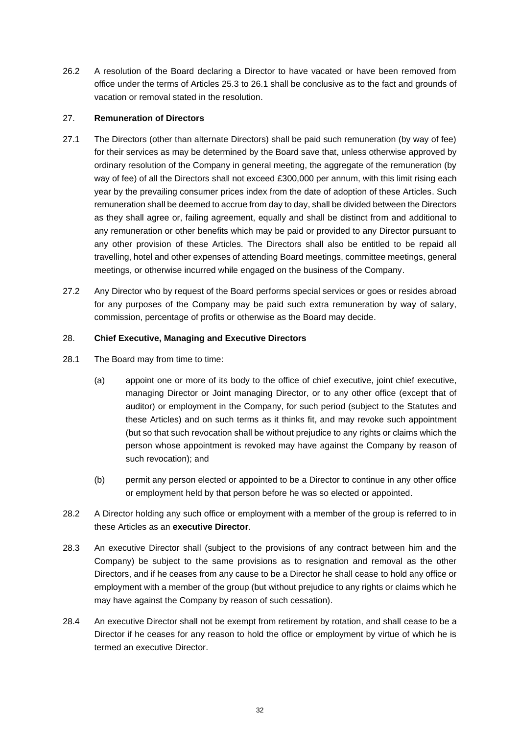26.2 A resolution of the Board declaring a Director to have vacated or have been removed from office under the terms of Articles [25.3](#page-33-1) to [26.1](#page-33-2) shall be conclusive as to the fact and grounds of vacation or removal stated in the resolution.

# <span id="page-34-0"></span>27. **Remuneration of Directors**

- 27.1 The Directors (other than alternate Directors) shall be paid such remuneration (by way of fee) for their services as may be determined by the Board save that, unless otherwise approved by ordinary resolution of the Company in general meeting, the aggregate of the remuneration (by way of fee) of all the Directors shall not exceed £300,000 per annum, with this limit rising each year by the prevailing consumer prices index from the date of adoption of these Articles. Such remuneration shall be deemed to accrue from day to day, shall be divided between the Directors as they shall agree or, failing agreement, equally and shall be distinct from and additional to any remuneration or other benefits which may be paid or provided to any Director pursuant to any other provision of these Articles. The Directors shall also be entitled to be repaid all travelling, hotel and other expenses of attending Board meetings, committee meetings, general meetings, or otherwise incurred while engaged on the business of the Company.
- 27.2 Any Director who by request of the Board performs special services or goes or resides abroad for any purposes of the Company may be paid such extra remuneration by way of salary, commission, percentage of profits or otherwise as the Board may decide.

# <span id="page-34-1"></span>28. **Chief Executive, Managing and Executive Directors**

- <span id="page-34-2"></span>28.1 The Board may from time to time:
	- (a) appoint one or more of its body to the office of chief executive, joint chief executive, managing Director or Joint managing Director, or to any other office (except that of auditor) or employment in the Company, for such period (subject to the Statutes and these Articles) and on such terms as it thinks fit, and may revoke such appointment (but so that such revocation shall be without prejudice to any rights or claims which the person whose appointment is revoked may have against the Company by reason of such revocation); and
	- (b) permit any person elected or appointed to be a Director to continue in any other office or employment held by that person before he was so elected or appointed.
- 28.2 A Director holding any such office or employment with a member of the group is referred to in these Articles as an **executive Director**.
- 28.3 An executive Director shall (subject to the provisions of any contract between him and the Company) be subject to the same provisions as to resignation and removal as the other Directors, and if he ceases from any cause to be a Director he shall cease to hold any office or employment with a member of the group (but without prejudice to any rights or claims which he may have against the Company by reason of such cessation).
- 28.4 An executive Director shall not be exempt from retirement by rotation, and shall cease to be a Director if he ceases for any reason to hold the office or employment by virtue of which he is termed an executive Director.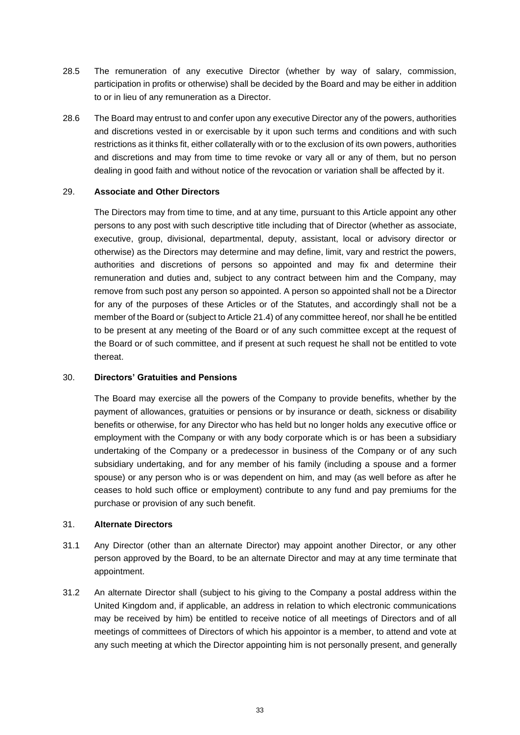- 28.5 The remuneration of any executive Director (whether by way of salary, commission, participation in profits or otherwise) shall be decided by the Board and may be either in addition to or in lieu of any remuneration as a Director.
- 28.6 The Board may entrust to and confer upon any executive Director any of the powers, authorities and discretions vested in or exercisable by it upon such terms and conditions and with such restrictions as it thinks fit, either collaterally with or to the exclusion of its own powers, authorities and discretions and may from time to time revoke or vary all or any of them, but no person dealing in good faith and without notice of the revocation or variation shall be affected by it.

# <span id="page-35-0"></span>29. **Associate and Other Directors**

The Directors may from time to time, and at any time, pursuant to this Article appoint any other persons to any post with such descriptive title including that of Director (whether as associate, executive, group, divisional, departmental, deputy, assistant, local or advisory director or otherwise) as the Directors may determine and may define, limit, vary and restrict the powers, authorities and discretions of persons so appointed and may fix and determine their remuneration and duties and, subject to any contract between him and the Company, may remove from such post any person so appointed. A person so appointed shall not be a Director for any of the purposes of these Articles or of the Statutes, and accordingly shall not be a member of the Board or (subject to Articl[e 21.4\)](#page-28-1) of any committee hereof, nor shall he be entitled to be present at any meeting of the Board or of any such committee except at the request of the Board or of such committee, and if present at such request he shall not be entitled to vote thereat.

# <span id="page-35-1"></span>30. **Directors' Gratuities and Pensions**

The Board may exercise all the powers of the Company to provide benefits, whether by the payment of allowances, gratuities or pensions or by insurance or death, sickness or disability benefits or otherwise, for any Director who has held but no longer holds any executive office or employment with the Company or with any body corporate which is or has been a subsidiary undertaking of the Company or a predecessor in business of the Company or of any such subsidiary undertaking, and for any member of his family (including a spouse and a former spouse) or any person who is or was dependent on him, and may (as well before as after he ceases to hold such office or employment) contribute to any fund and pay premiums for the purchase or provision of any such benefit.

#### <span id="page-35-2"></span>31. **Alternate Directors**

- 31.1 Any Director (other than an alternate Director) may appoint another Director, or any other person approved by the Board, to be an alternate Director and may at any time terminate that appointment.
- 31.2 An alternate Director shall (subject to his giving to the Company a postal address within the United Kingdom and, if applicable, an address in relation to which electronic communications may be received by him) be entitled to receive notice of all meetings of Directors and of all meetings of committees of Directors of which his appointor is a member, to attend and vote at any such meeting at which the Director appointing him is not personally present, and generally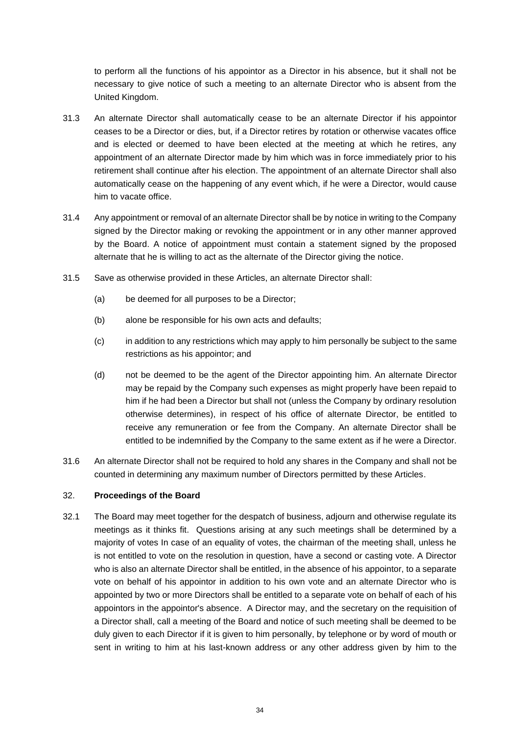to perform all the functions of his appointor as a Director in his absence, but it shall not be necessary to give notice of such a meeting to an alternate Director who is absent from the United Kingdom.

- 31.3 An alternate Director shall automatically cease to be an alternate Director if his appointor ceases to be a Director or dies, but, if a Director retires by rotation or otherwise vacates office and is elected or deemed to have been elected at the meeting at which he retires, any appointment of an alternate Director made by him which was in force immediately prior to his retirement shall continue after his election. The appointment of an alternate Director shall also automatically cease on the happening of any event which, if he were a Director, would cause him to vacate office.
- 31.4 Any appointment or removal of an alternate Director shall be by notice in writing to the Company signed by the Director making or revoking the appointment or in any other manner approved by the Board. A notice of appointment must contain a statement signed by the proposed alternate that he is willing to act as the alternate of the Director giving the notice.
- 31.5 Save as otherwise provided in these Articles, an alternate Director shall:
	- (a) be deemed for all purposes to be a Director;
	- (b) alone be responsible for his own acts and defaults;
	- (c) in addition to any restrictions which may apply to him personally be subject to the same restrictions as his appointor; and
	- (d) not be deemed to be the agent of the Director appointing him. An alternate Director may be repaid by the Company such expenses as might properly have been repaid to him if he had been a Director but shall not (unless the Company by ordinary resolution otherwise determines), in respect of his office of alternate Director, be entitled to receive any remuneration or fee from the Company. An alternate Director shall be entitled to be indemnified by the Company to the same extent as if he were a Director.
- 31.6 An alternate Director shall not be required to hold any shares in the Company and shall not be counted in determining any maximum number of Directors permitted by these Articles.

### <span id="page-36-0"></span>32. **Proceedings of the Board**

32.1 The Board may meet together for the despatch of business, adjourn and otherwise regulate its meetings as it thinks fit. Questions arising at any such meetings shall be determined by a majority of votes In case of an equality of votes, the chairman of the meeting shall, unless he is not entitled to vote on the resolution in question, have a second or casting vote. A Director who is also an alternate Director shall be entitled, in the absence of his appointor, to a separate vote on behalf of his appointor in addition to his own vote and an alternate Director who is appointed by two or more Directors shall be entitled to a separate vote on behalf of each of his appointors in the appointor's absence. A Director may, and the secretary on the requisition of a Director shall, call a meeting of the Board and notice of such meeting shall be deemed to be duly given to each Director if it is given to him personally, by telephone or by word of mouth or sent in writing to him at his last-known address or any other address given by him to the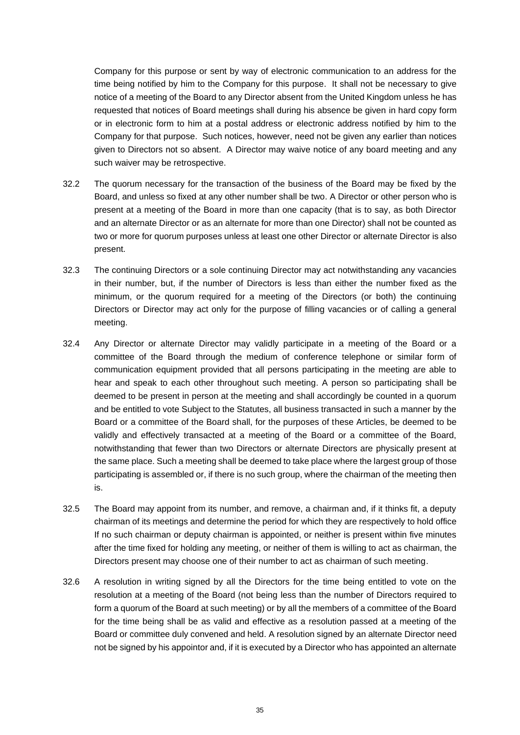Company for this purpose or sent by way of electronic communication to an address for the time being notified by him to the Company for this purpose. It shall not be necessary to give notice of a meeting of the Board to any Director absent from the United Kingdom unless he has requested that notices of Board meetings shall during his absence be given in hard copy form or in electronic form to him at a postal address or electronic address notified by him to the Company for that purpose. Such notices, however, need not be given any earlier than notices given to Directors not so absent. A Director may waive notice of any board meeting and any such waiver may be retrospective.

- 32.2 The quorum necessary for the transaction of the business of the Board may be fixed by the Board, and unless so fixed at any other number shall be two. A Director or other person who is present at a meeting of the Board in more than one capacity (that is to say, as both Director and an alternate Director or as an alternate for more than one Director) shall not be counted as two or more for quorum purposes unless at least one other Director or alternate Director is also present.
- 32.3 The continuing Directors or a sole continuing Director may act notwithstanding any vacancies in their number, but, if the number of Directors is less than either the number fixed as the minimum, or the quorum required for a meeting of the Directors (or both) the continuing Directors or Director may act only for the purpose of filling vacancies or of calling a general meeting.
- 32.4 Any Director or alternate Director may validly participate in a meeting of the Board or a committee of the Board through the medium of conference telephone or similar form of communication equipment provided that all persons participating in the meeting are able to hear and speak to each other throughout such meeting. A person so participating shall be deemed to be present in person at the meeting and shall accordingly be counted in a quorum and be entitled to vote Subject to the Statutes, all business transacted in such a manner by the Board or a committee of the Board shall, for the purposes of these Articles, be deemed to be validly and effectively transacted at a meeting of the Board or a committee of the Board, notwithstanding that fewer than two Directors or alternate Directors are physically present at the same place. Such a meeting shall be deemed to take place where the largest group of those participating is assembled or, if there is no such group, where the chairman of the meeting then is.
- 32.5 The Board may appoint from its number, and remove, a chairman and, if it thinks fit, a deputy chairman of its meetings and determine the period for which they are respectively to hold office If no such chairman or deputy chairman is appointed, or neither is present within five minutes after the time fixed for holding any meeting, or neither of them is willing to act as chairman, the Directors present may choose one of their number to act as chairman of such meeting.
- 32.6 A resolution in writing signed by all the Directors for the time being entitled to vote on the resolution at a meeting of the Board (not being less than the number of Directors required to form a quorum of the Board at such meeting) or by all the members of a committee of the Board for the time being shall be as valid and effective as a resolution passed at a meeting of the Board or committee duly convened and held. A resolution signed by an alternate Director need not be signed by his appointor and, if it is executed by a Director who has appointed an alternate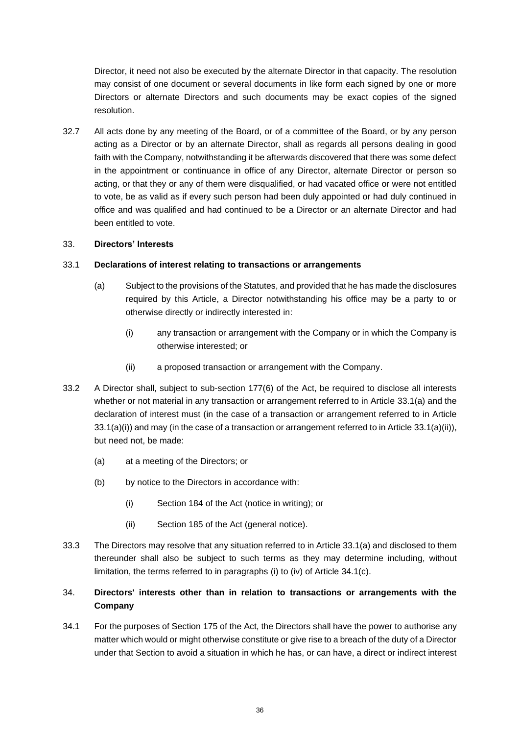Director, it need not also be executed by the alternate Director in that capacity. The resolution may consist of one document or several documents in like form each signed by one or more Directors or alternate Directors and such documents may be exact copies of the signed resolution.

32.7 All acts done by any meeting of the Board, or of a committee of the Board, or by any person acting as a Director or by an alternate Director, shall as regards all persons dealing in good faith with the Company, notwithstanding it be afterwards discovered that there was some defect in the appointment or continuance in office of any Director, alternate Director or person so acting, or that they or any of them were disqualified, or had vacated office or were not entitled to vote, be as valid as if every such person had been duly appointed or had duly continued in office and was qualified and had continued to be a Director or an alternate Director and had been entitled to vote.

### <span id="page-38-0"></span>33. **Directors' Interests**

#### <span id="page-38-2"></span>33.1 **Declarations of interest relating to transactions or arrangements**

- <span id="page-38-3"></span>(a) Subject to the provisions of the Statutes, and provided that he has made the disclosures required by this Article, a Director notwithstanding his office may be a party to or otherwise directly or indirectly interested in:
	- (i) any transaction or arrangement with the Company or in which the Company is otherwise interested; or
	- (ii) a proposed transaction or arrangement with the Company.
- <span id="page-38-4"></span>33.2 A Director shall, subject to sub-section 177(6) of the Act, be required to disclose all interests whether or not material in any transaction or arrangement referred to in Article [33.1\(a\)](#page-38-2) and the declaration of interest must (in the case of a transaction or arrangement referred to in Article  $33.1(a)(i)$ ) and may (in the case of a transaction or arrangement referred to in Article  $33.1(a)(ii)$ ), but need not, be made:
	- (a) at a meeting of the Directors; or
	- (b) by notice to the Directors in accordance with:
		- (i) Section 184 of the Act (notice in writing); or
		- (ii) Section 185 of the Act (general notice).
- <span id="page-38-5"></span>33.3 The Directors may resolve that any situation referred to in Article [33.1\(a\)](#page-38-2) and disclosed to them thereunder shall also be subject to such terms as they may determine including, without limitation, the terms referred to in paragraphs [\(i\)](#page-39-0) to [\(iv\)](#page-39-1) of Article [34.1\(c\).](#page-39-2)

# <span id="page-38-1"></span>34. **Directors' interests other than in relation to transactions or arrangements with the Company**

34.1 For the purposes of Section 175 of the Act, the Directors shall have the power to authorise any matter which would or might otherwise constitute or give rise to a breach of the duty of a Director under that Section to avoid a situation in which he has, or can have, a direct or indirect interest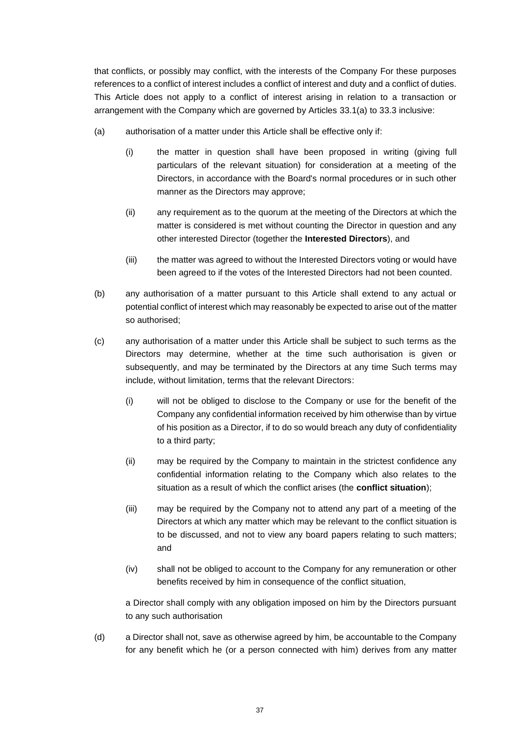that conflicts, or possibly may conflict, with the interests of the Company For these purposes references to a conflict of interest includes a conflict of interest and duty and a conflict of duties. This Article does not apply to a conflict of interest arising in relation to a transaction or arrangement with the Company which are governed by Articles [33.1\(a\)](#page-38-2) to [33.3](#page-38-5) inclusive:

- (a) authorisation of a matter under this Article shall be effective only if:
	- (i) the matter in question shall have been proposed in writing (giving full particulars of the relevant situation) for consideration at a meeting of the Directors, in accordance with the Board's normal procedures or in such other manner as the Directors may approve;
	- (ii) any requirement as to the quorum at the meeting of the Directors at which the matter is considered is met without counting the Director in question and any other interested Director (together the **Interested Directors**), and
	- (iii) the matter was agreed to without the Interested Directors voting or would have been agreed to if the votes of the Interested Directors had not been counted.
- (b) any authorisation of a matter pursuant to this Article shall extend to any actual or potential conflict of interest which may reasonably be expected to arise out of the matter so authorised;
- <span id="page-39-2"></span><span id="page-39-0"></span>(c) any authorisation of a matter under this Article shall be subject to such terms as the Directors may determine, whether at the time such authorisation is given or subsequently, and may be terminated by the Directors at any time Such terms may include, without limitation, terms that the relevant Directors:
	- (i) will not be obliged to disclose to the Company or use for the benefit of the Company any confidential information received by him otherwise than by virtue of his position as a Director, if to do so would breach any duty of confidentiality to a third party;
	- (ii) may be required by the Company to maintain in the strictest confidence any confidential information relating to the Company which also relates to the situation as a result of which the conflict arises (the **conflict situation**);
	- (iii) may be required by the Company not to attend any part of a meeting of the Directors at which any matter which may be relevant to the conflict situation is to be discussed, and not to view any board papers relating to such matters; and
	- (iv) shall not be obliged to account to the Company for any remuneration or other benefits received by him in consequence of the conflict situation,

<span id="page-39-1"></span>a Director shall comply with any obligation imposed on him by the Directors pursuant to any such authorisation

(d) a Director shall not, save as otherwise agreed by him, be accountable to the Company for any benefit which he (or a person connected with him) derives from any matter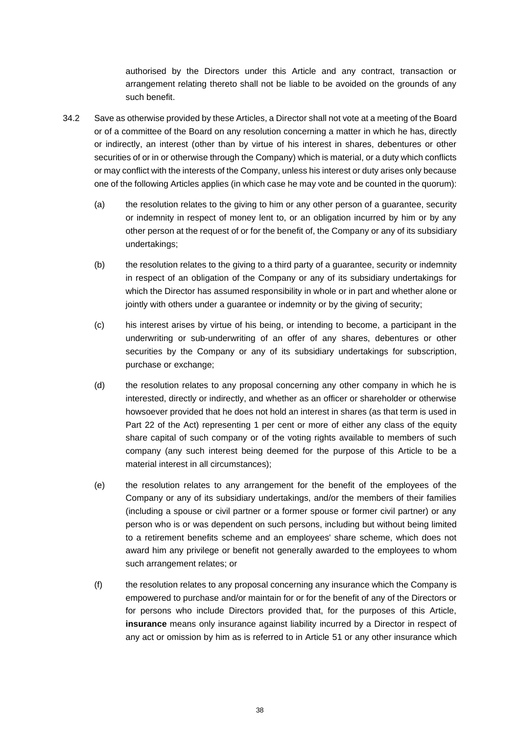authorised by the Directors under this Article and any contract, transaction or arrangement relating thereto shall not be liable to be avoided on the grounds of any such benefit.

- <span id="page-40-1"></span><span id="page-40-0"></span>34.2 Save as otherwise provided by these Articles, a Director shall not vote at a meeting of the Board or of a committee of the Board on any resolution concerning a matter in which he has, directly or indirectly, an interest (other than by virtue of his interest in shares, debentures or other securities of or in or otherwise through the Company) which is material, or a duty which conflicts or may conflict with the interests of the Company, unless his interest or duty arises only because one of the following Articles applies (in which case he may vote and be counted in the quorum):
	- (a) the resolution relates to the giving to him or any other person of a guarantee, security or indemnity in respect of money lent to, or an obligation incurred by him or by any other person at the request of or for the benefit of, the Company or any of its subsidiary undertakings;
	- (b) the resolution relates to the giving to a third party of a guarantee, security or indemnity in respect of an obligation of the Company or any of its subsidiary undertakings for which the Director has assumed responsibility in whole or in part and whether alone or jointly with others under a guarantee or indemnity or by the giving of security;
	- (c) his interest arises by virtue of his being, or intending to become, a participant in the underwriting or sub-underwriting of an offer of any shares, debentures or other securities by the Company or any of its subsidiary undertakings for subscription, purchase or exchange;
	- (d) the resolution relates to any proposal concerning any other company in which he is interested, directly or indirectly, and whether as an officer or shareholder or otherwise howsoever provided that he does not hold an interest in shares (as that term is used in Part 22 of the Act) representing 1 per cent or more of either any class of the equity share capital of such company or of the voting rights available to members of such company (any such interest being deemed for the purpose of this Article to be a material interest in all circumstances);
	- (e) the resolution relates to any arrangement for the benefit of the employees of the Company or any of its subsidiary undertakings, and/or the members of their families (including a spouse or civil partner or a former spouse or former civil partner) or any person who is or was dependent on such persons, including but without being limited to a retirement benefits scheme and an employees' share scheme, which does not award him any privilege or benefit not generally awarded to the employees to whom such arrangement relates; or
	- (f) the resolution relates to any proposal concerning any insurance which the Company is empowered to purchase and/or maintain for or for the benefit of any of the Directors or for persons who include Directors provided that, for the purposes of this Article, **insurance** means only insurance against liability incurred by a Director in respect of any act or omission by him as is referred to in Article [51](#page-57-0) or any other insurance which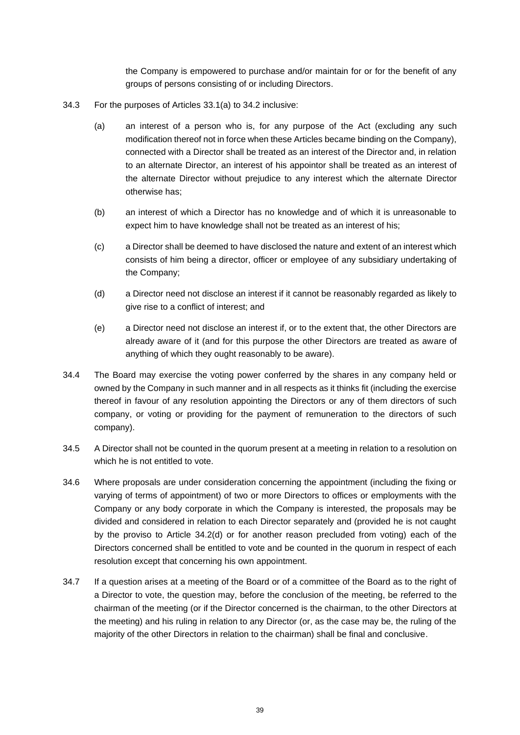the Company is empowered to purchase and/or maintain for or for the benefit of any groups of persons consisting of or including Directors.

- 34.3 For the purposes of Articles [33.1\(a\)](#page-38-2) to [34.2](#page-40-0) inclusive:
	- (a) an interest of a person who is, for any purpose of the Act (excluding any such modification thereof not in force when these Articles became binding on the Company), connected with a Director shall be treated as an interest of the Director and, in relation to an alternate Director, an interest of his appointor shall be treated as an interest of the alternate Director without prejudice to any interest which the alternate Director otherwise has;
	- (b) an interest of which a Director has no knowledge and of which it is unreasonable to expect him to have knowledge shall not be treated as an interest of his;
	- (c) a Director shall be deemed to have disclosed the nature and extent of an interest which consists of him being a director, officer or employee of any subsidiary undertaking of the Company;
	- (d) a Director need not disclose an interest if it cannot be reasonably regarded as likely to give rise to a conflict of interest; and
	- (e) a Director need not disclose an interest if, or to the extent that, the other Directors are already aware of it (and for this purpose the other Directors are treated as aware of anything of which they ought reasonably to be aware).
- 34.4 The Board may exercise the voting power conferred by the shares in any company held or owned by the Company in such manner and in all respects as it thinks fit (including the exercise thereof in favour of any resolution appointing the Directors or any of them directors of such company, or voting or providing for the payment of remuneration to the directors of such company).
- 34.5 A Director shall not be counted in the quorum present at a meeting in relation to a resolution on which he is not entitled to vote.
- 34.6 Where proposals are under consideration concerning the appointment (including the fixing or varying of terms of appointment) of two or more Directors to offices or employments with the Company or any body corporate in which the Company is interested, the proposals may be divided and considered in relation to each Director separately and (provided he is not caught by the proviso to Article [34.2\(d\)](#page-40-1) or for another reason precluded from voting) each of the Directors concerned shall be entitled to vote and be counted in the quorum in respect of each resolution except that concerning his own appointment.
- 34.7 If a question arises at a meeting of the Board or of a committee of the Board as to the right of a Director to vote, the question may, before the conclusion of the meeting, be referred to the chairman of the meeting (or if the Director concerned is the chairman, to the other Directors at the meeting) and his ruling in relation to any Director (or, as the case may be, the ruling of the majority of the other Directors in relation to the chairman) shall be final and conclusive.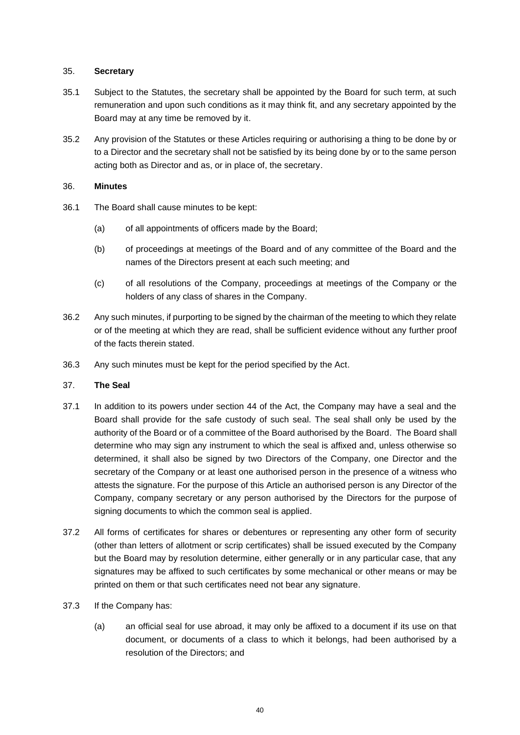### <span id="page-42-0"></span>35. **Secretary**

- 35.1 Subject to the Statutes, the secretary shall be appointed by the Board for such term, at such remuneration and upon such conditions as it may think fit, and any secretary appointed by the Board may at any time be removed by it.
- 35.2 Any provision of the Statutes or these Articles requiring or authorising a thing to be done by or to a Director and the secretary shall not be satisfied by its being done by or to the same person acting both as Director and as, or in place of, the secretary.

# <span id="page-42-1"></span>36. **Minutes**

- 36.1 The Board shall cause minutes to be kept:
	- (a) of all appointments of officers made by the Board;
	- (b) of proceedings at meetings of the Board and of any committee of the Board and the names of the Directors present at each such meeting; and
	- (c) of all resolutions of the Company, proceedings at meetings of the Company or the holders of any class of shares in the Company.
- 36.2 Any such minutes, if purporting to be signed by the chairman of the meeting to which they relate or of the meeting at which they are read, shall be sufficient evidence without any further proof of the facts therein stated.
- 36.3 Any such minutes must be kept for the period specified by the Act.

#### <span id="page-42-2"></span>37. **The Seal**

- 37.1 In addition to its powers under section 44 of the Act, the Company may have a seal and the Board shall provide for the safe custody of such seal. The seal shall only be used by the authority of the Board or of a committee of the Board authorised by the Board. The Board shall determine who may sign any instrument to which the seal is affixed and, unless otherwise so determined, it shall also be signed by two Directors of the Company, one Director and the secretary of the Company or at least one authorised person in the presence of a witness who attests the signature. For the purpose of this Article an authorised person is any Director of the Company, company secretary or any person authorised by the Directors for the purpose of signing documents to which the common seal is applied.
- 37.2 All forms of certificates for shares or debentures or representing any other form of security (other than letters of allotment or scrip certificates) shall be issued executed by the Company but the Board may by resolution determine, either generally or in any particular case, that any signatures may be affixed to such certificates by some mechanical or other means or may be printed on them or that such certificates need not bear any signature.
- 37.3 If the Company has:
	- (a) an official seal for use abroad, it may only be affixed to a document if its use on that document, or documents of a class to which it belongs, had been authorised by a resolution of the Directors; and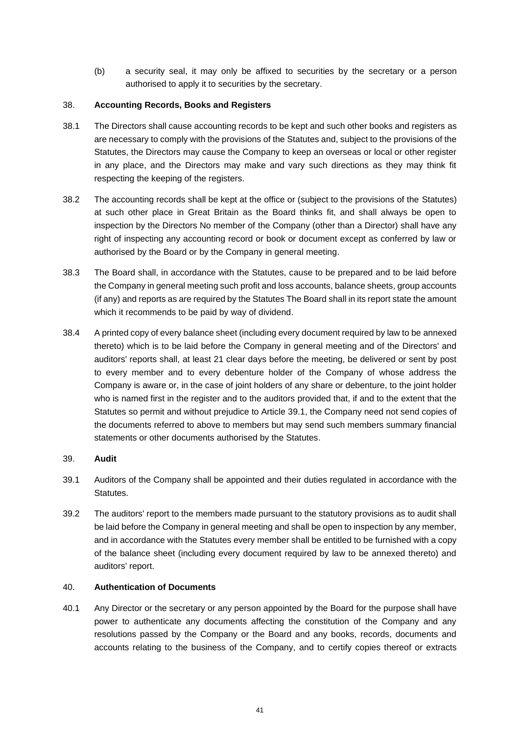(b) a security seal, it may only be affixed to securities by the secretary or a person authorised to apply it to securities by the secretary.

# <span id="page-43-0"></span>38. **Accounting Records, Books and Registers**

- 38.1 The Directors shall cause accounting records to be kept and such other books and registers as are necessary to comply with the provisions of the Statutes and, subject to the provisions of the Statutes, the Directors may cause the Company to keep an overseas or local or other register in any place, and the Directors may make and vary such directions as they may think fit respecting the keeping of the registers.
- 38.2 The accounting records shall be kept at the office or (subject to the provisions of the Statutes) at such other place in Great Britain as the Board thinks fit, and shall always be open to inspection by the Directors No member of the Company (other than a Director) shall have any right of inspecting any accounting record or book or document except as conferred by law or authorised by the Board or by the Company in general meeting.
- 38.3 The Board shall, in accordance with the Statutes, cause to be prepared and to be laid before the Company in general meeting such profit and loss accounts, balance sheets, group accounts (if any) and reports as are required by the Statutes The Board shall in its report state the amount which it recommends to be paid by way of dividend.
- 38.4 A printed copy of every balance sheet (including every document required by law to be annexed thereto) which is to be laid before the Company in general meeting and of the Directors' and auditors' reports shall, at least 21 clear days before the meeting, be delivered or sent by post to every member and to every debenture holder of the Company of whose address the Company is aware or, in the case of joint holders of any share or debenture, to the joint holder who is named first in the register and to the auditors provided that, if and to the extent that the Statutes so permit and without prejudice to Article [39.1,](#page-43-3) the Company need not send copies of the documents referred to above to members but may send such members summary financial statements or other documents authorised by the Statutes.

# <span id="page-43-1"></span>39. **Audit**

- <span id="page-43-3"></span>39.1 Auditors of the Company shall be appointed and their duties regulated in accordance with the Statutes.
- 39.2 The auditors' report to the members made pursuant to the statutory provisions as to audit shall be laid before the Company in general meeting and shall be open to inspection by any member, and in accordance with the Statutes every member shall be entitled to be furnished with a copy of the balance sheet (including every document required by law to be annexed thereto) and auditors' report.

# <span id="page-43-2"></span>40. **Authentication of Documents**

<span id="page-43-4"></span>40.1 Any Director or the secretary or any person appointed by the Board for the purpose shall have power to authenticate any documents affecting the constitution of the Company and any resolutions passed by the Company or the Board and any books, records, documents and accounts relating to the business of the Company, and to certify copies thereof or extracts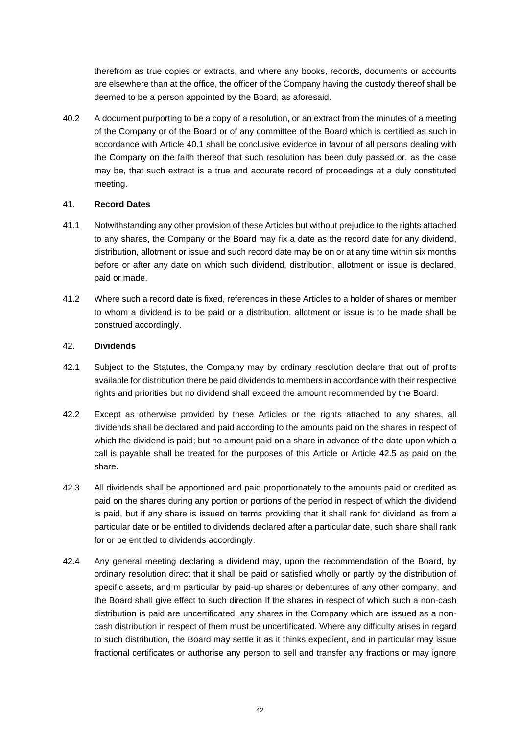therefrom as true copies or extracts, and where any books, records, documents or accounts are elsewhere than at the office, the officer of the Company having the custody thereof shall be deemed to be a person appointed by the Board, as aforesaid.

40.2 A document purporting to be a copy of a resolution, or an extract from the minutes of a meeting of the Company or of the Board or of any committee of the Board which is certified as such in accordance with Article [40.1](#page-43-4) shall be conclusive evidence in favour of all persons dealing with the Company on the faith thereof that such resolution has been duly passed or, as the case may be, that such extract is a true and accurate record of proceedings at a duly constituted meeting.

# <span id="page-44-0"></span>41. **Record Dates**

- 41.1 Notwithstanding any other provision of these Articles but without prejudice to the rights attached to any shares, the Company or the Board may fix a date as the record date for any dividend, distribution, allotment or issue and such record date may be on or at any time within six months before or after any date on which such dividend, distribution, allotment or issue is declared, paid or made.
- 41.2 Where such a record date is fixed, references in these Articles to a holder of shares or member to whom a dividend is to be paid or a distribution, allotment or issue is to be made shall be construed accordingly.

# <span id="page-44-1"></span>42. **Dividends**

- 42.1 Subject to the Statutes, the Company may by ordinary resolution declare that out of profits available for distribution there be paid dividends to members in accordance with their respective rights and priorities but no dividend shall exceed the amount recommended by the Board.
- 42.2 Except as otherwise provided by these Articles or the rights attached to any shares, all dividends shall be declared and paid according to the amounts paid on the shares in respect of which the dividend is paid; but no amount paid on a share in advance of the date upon which a call is payable shall be treated for the purposes of this Article or Article [42.5](#page-45-0) as paid on the share.
- 42.3 All dividends shall be apportioned and paid proportionately to the amounts paid or credited as paid on the shares during any portion or portions of the period in respect of which the dividend is paid, but if any share is issued on terms providing that it shall rank for dividend as from a particular date or be entitled to dividends declared after a particular date, such share shall rank for or be entitled to dividends accordingly.
- 42.4 Any general meeting declaring a dividend may, upon the recommendation of the Board, by ordinary resolution direct that it shall be paid or satisfied wholly or partly by the distribution of specific assets, and m particular by paid-up shares or debentures of any other company, and the Board shall give effect to such direction If the shares in respect of which such a non-cash distribution is paid are uncertificated, any shares in the Company which are issued as a noncash distribution in respect of them must be uncertificated. Where any difficulty arises in regard to such distribution, the Board may settle it as it thinks expedient, and in particular may issue fractional certificates or authorise any person to sell and transfer any fractions or may ignore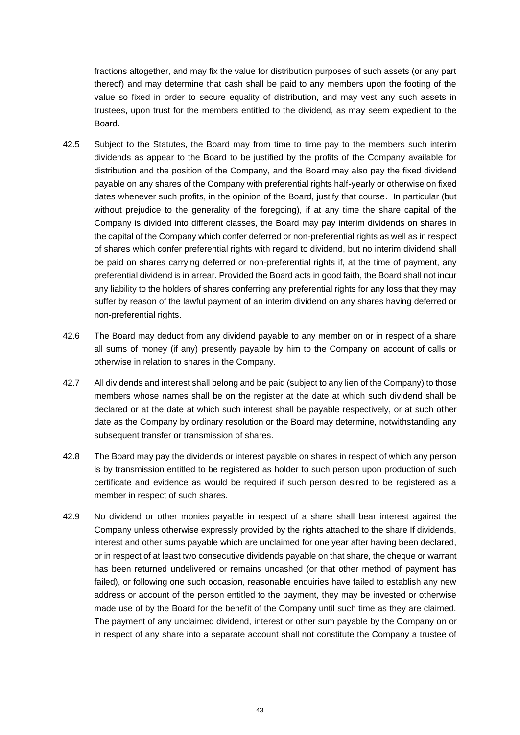fractions altogether, and may fix the value for distribution purposes of such assets (or any part thereof) and may determine that cash shall be paid to any members upon the footing of the value so fixed in order to secure equality of distribution, and may vest any such assets in trustees, upon trust for the members entitled to the dividend, as may seem expedient to the Board.

- <span id="page-45-0"></span>42.5 Subject to the Statutes, the Board may from time to time pay to the members such interim dividends as appear to the Board to be justified by the profits of the Company available for distribution and the position of the Company, and the Board may also pay the fixed dividend payable on any shares of the Company with preferential rights half-yearly or otherwise on fixed dates whenever such profits, in the opinion of the Board, justify that course. In particular (but without prejudice to the generality of the foregoing), if at any time the share capital of the Company is divided into different classes, the Board may pay interim dividends on shares in the capital of the Company which confer deferred or non-preferential rights as well as in respect of shares which confer preferential rights with regard to dividend, but no interim dividend shall be paid on shares carrying deferred or non-preferential rights if, at the time of payment, any preferential dividend is in arrear. Provided the Board acts in good faith, the Board shall not incur any liability to the holders of shares conferring any preferential rights for any loss that they may suffer by reason of the lawful payment of an interim dividend on any shares having deferred or non-preferential rights.
- 42.6 The Board may deduct from any dividend payable to any member on or in respect of a share all sums of money (if any) presently payable by him to the Company on account of calls or otherwise in relation to shares in the Company.
- 42.7 All dividends and interest shall belong and be paid (subject to any lien of the Company) to those members whose names shall be on the register at the date at which such dividend shall be declared or at the date at which such interest shall be payable respectively, or at such other date as the Company by ordinary resolution or the Board may determine, notwithstanding any subsequent transfer or transmission of shares.
- 42.8 The Board may pay the dividends or interest payable on shares in respect of which any person is by transmission entitled to be registered as holder to such person upon production of such certificate and evidence as would be required if such person desired to be registered as a member in respect of such shares.
- 42.9 No dividend or other monies payable in respect of a share shall bear interest against the Company unless otherwise expressly provided by the rights attached to the share If dividends, interest and other sums payable which are unclaimed for one year after having been declared, or in respect of at least two consecutive dividends payable on that share, the cheque or warrant has been returned undelivered or remains uncashed (or that other method of payment has failed), or following one such occasion, reasonable enquiries have failed to establish any new address or account of the person entitled to the payment, they may be invested or otherwise made use of by the Board for the benefit of the Company until such time as they are claimed. The payment of any unclaimed dividend, interest or other sum payable by the Company on or in respect of any share into a separate account shall not constitute the Company a trustee of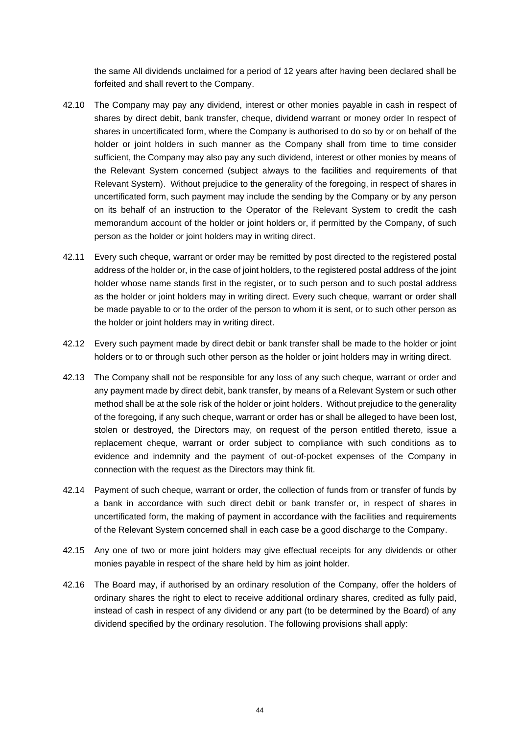the same All dividends unclaimed for a period of 12 years after having been declared shall be forfeited and shall revert to the Company.

- 42.10 The Company may pay any dividend, interest or other monies payable in cash in respect of shares by direct debit, bank transfer, cheque, dividend warrant or money order In respect of shares in uncertificated form, where the Company is authorised to do so by or on behalf of the holder or joint holders in such manner as the Company shall from time to time consider sufficient, the Company may also pay any such dividend, interest or other monies by means of the Relevant System concerned (subject always to the facilities and requirements of that Relevant System). Without prejudice to the generality of the foregoing, in respect of shares in uncertificated form, such payment may include the sending by the Company or by any person on its behalf of an instruction to the Operator of the Relevant System to credit the cash memorandum account of the holder or joint holders or, if permitted by the Company, of such person as the holder or joint holders may in writing direct.
- 42.11 Every such cheque, warrant or order may be remitted by post directed to the registered postal address of the holder or, in the case of joint holders, to the registered postal address of the joint holder whose name stands first in the register, or to such person and to such postal address as the holder or joint holders may in writing direct. Every such cheque, warrant or order shall be made payable to or to the order of the person to whom it is sent, or to such other person as the holder or joint holders may in writing direct.
- 42.12 Every such payment made by direct debit or bank transfer shall be made to the holder or joint holders or to or through such other person as the holder or joint holders may in writing direct.
- 42.13 The Company shall not be responsible for any loss of any such cheque, warrant or order and any payment made by direct debit, bank transfer, by means of a Relevant System or such other method shall be at the sole risk of the holder or joint holders. Without prejudice to the generality of the foregoing, if any such cheque, warrant or order has or shall be alleged to have been lost, stolen or destroyed, the Directors may, on request of the person entitled thereto, issue a replacement cheque, warrant or order subject to compliance with such conditions as to evidence and indemnity and the payment of out-of-pocket expenses of the Company in connection with the request as the Directors may think fit.
- 42.14 Payment of such cheque, warrant or order, the collection of funds from or transfer of funds by a bank in accordance with such direct debit or bank transfer or, in respect of shares in uncertificated form, the making of payment in accordance with the facilities and requirements of the Relevant System concerned shall in each case be a good discharge to the Company.
- 42.15 Any one of two or more joint holders may give effectual receipts for any dividends or other monies payable in respect of the share held by him as joint holder.
- <span id="page-46-0"></span>42.16 The Board may, if authorised by an ordinary resolution of the Company, offer the holders of ordinary shares the right to elect to receive additional ordinary shares, credited as fully paid, instead of cash in respect of any dividend or any part (to be determined by the Board) of any dividend specified by the ordinary resolution. The following provisions shall apply: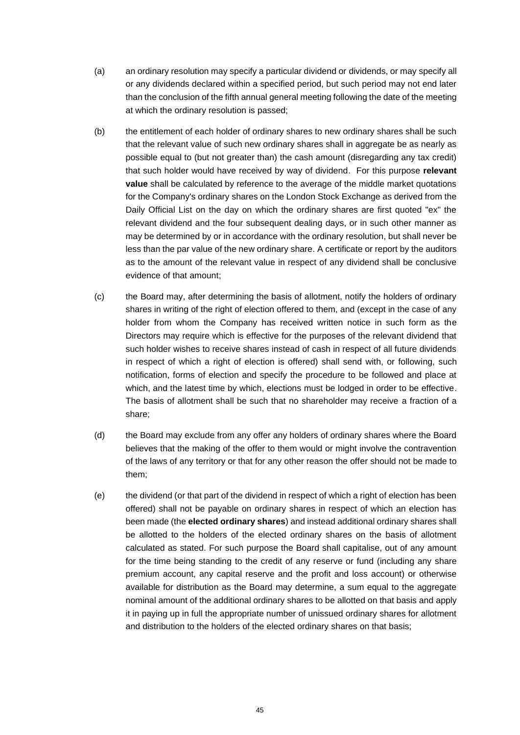- (a) an ordinary resolution may specify a particular dividend or dividends, or may specify all or any dividends declared within a specified period, but such period may not end later than the conclusion of the fifth annual general meeting following the date of the meeting at which the ordinary resolution is passed;
- (b) the entitlement of each holder of ordinary shares to new ordinary shares shall be such that the relevant value of such new ordinary shares shall in aggregate be as nearly as possible equal to (but not greater than) the cash amount (disregarding any tax credit) that such holder would have received by way of dividend. For this purpose **relevant value** shall be calculated by reference to the average of the middle market quotations for the Company's ordinary shares on the London Stock Exchange as derived from the Daily Official List on the day on which the ordinary shares are first quoted "ex" the relevant dividend and the four subsequent dealing days, or in such other manner as may be determined by or in accordance with the ordinary resolution, but shall never be less than the par value of the new ordinary share. A certificate or report by the auditors as to the amount of the relevant value in respect of any dividend shall be conclusive evidence of that amount;
- (c) the Board may, after determining the basis of allotment, notify the holders of ordinary shares in writing of the right of election offered to them, and (except in the case of any holder from whom the Company has received written notice in such form as the Directors may require which is effective for the purposes of the relevant dividend that such holder wishes to receive shares instead of cash in respect of all future dividends in respect of which a right of election is offered) shall send with, or following, such notification, forms of election and specify the procedure to be followed and place at which, and the latest time by which, elections must be lodged in order to be effective. The basis of allotment shall be such that no shareholder may receive a fraction of a share;
- (d) the Board may exclude from any offer any holders of ordinary shares where the Board believes that the making of the offer to them would or might involve the contravention of the laws of any territory or that for any other reason the offer should not be made to them;
- (e) the dividend (or that part of the dividend in respect of which a right of election has been offered) shall not be payable on ordinary shares in respect of which an election has been made (the **elected ordinary shares**) and instead additional ordinary shares shall be allotted to the holders of the elected ordinary shares on the basis of allotment calculated as stated. For such purpose the Board shall capitalise, out of any amount for the time being standing to the credit of any reserve or fund (including any share premium account, any capital reserve and the profit and loss account) or otherwise available for distribution as the Board may determine, a sum equal to the aggregate nominal amount of the additional ordinary shares to be allotted on that basis and apply it in paying up in full the appropriate number of unissued ordinary shares for allotment and distribution to the holders of the elected ordinary shares on that basis;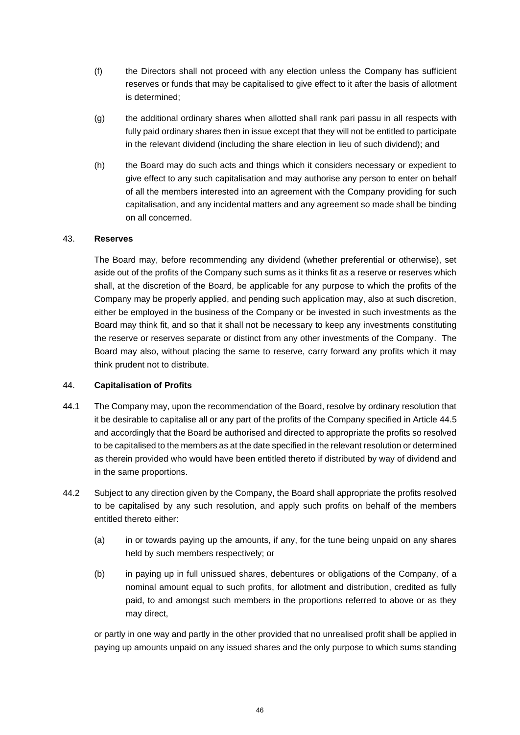- (f) the Directors shall not proceed with any election unless the Company has sufficient reserves or funds that may be capitalised to give effect to it after the basis of allotment is determined;
- (g) the additional ordinary shares when allotted shall rank pari passu in all respects with fully paid ordinary shares then in issue except that they will not be entitled to participate in the relevant dividend (including the share election in lieu of such dividend); and
- (h) the Board may do such acts and things which it considers necessary or expedient to give effect to any such capitalisation and may authorise any person to enter on behalf of all the members interested into an agreement with the Company providing for such capitalisation, and any incidental matters and any agreement so made shall be binding on all concerned.

# <span id="page-48-0"></span>43. **Reserves**

The Board may, before recommending any dividend (whether preferential or otherwise), set aside out of the profits of the Company such sums as it thinks fit as a reserve or reserves which shall, at the discretion of the Board, be applicable for any purpose to which the profits of the Company may be properly applied, and pending such application may, also at such discretion, either be employed in the business of the Company or be invested in such investments as the Board may think fit, and so that it shall not be necessary to keep any investments constituting the reserve or reserves separate or distinct from any other investments of the Company. The Board may also, without placing the same to reserve, carry forward any profits which it may think prudent not to distribute.

# <span id="page-48-1"></span>44. **Capitalisation of Profits**

- <span id="page-48-2"></span>44.1 The Company may, upon the recommendation of the Board, resolve by ordinary resolution that it be desirable to capitalise all or any part of the profits of the Company specified in Article [44.5](#page-49-1) and accordingly that the Board be authorised and directed to appropriate the profits so resolved to be capitalised to the members as at the date specified in the relevant resolution or determined as therein provided who would have been entitled thereto if distributed by way of dividend and in the same proportions.
- 44.2 Subject to any direction given by the Company, the Board shall appropriate the profits resolved to be capitalised by any such resolution, and apply such profits on behalf of the members entitled thereto either:
	- (a) in or towards paying up the amounts, if any, for the tune being unpaid on any shares held by such members respectively; or
	- (b) in paying up in full unissued shares, debentures or obligations of the Company, of a nominal amount equal to such profits, for allotment and distribution, credited as fully paid, to and amongst such members in the proportions referred to above or as they may direct,

or partly in one way and partly in the other provided that no unrealised profit shall be applied in paying up amounts unpaid on any issued shares and the only purpose to which sums standing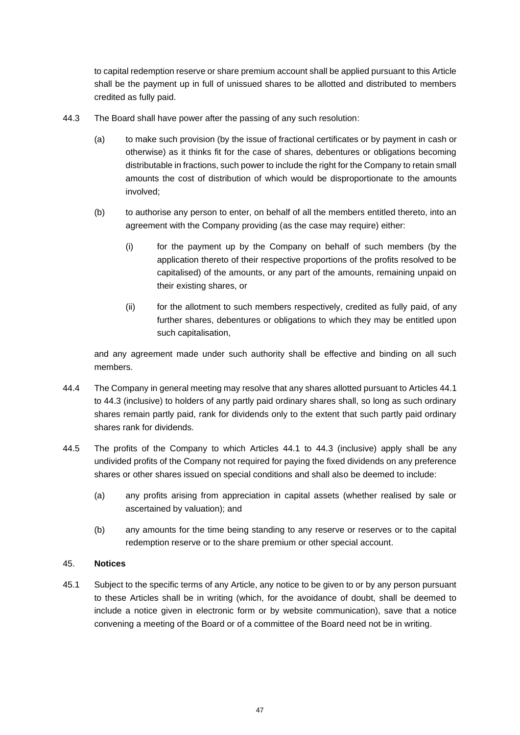to capital redemption reserve or share premium account shall be applied pursuant to this Article shall be the payment up in full of unissued shares to be allotted and distributed to members credited as fully paid.

- <span id="page-49-2"></span>44.3 The Board shall have power after the passing of any such resolution:
	- (a) to make such provision (by the issue of fractional certificates or by payment in cash or otherwise) as it thinks fit for the case of shares, debentures or obligations becoming distributable in fractions, such power to include the right for the Company to retain small amounts the cost of distribution of which would be disproportionate to the amounts involved;
	- (b) to authorise any person to enter, on behalf of all the members entitled thereto, into an agreement with the Company providing (as the case may require) either:
		- (i) for the payment up by the Company on behalf of such members (by the application thereto of their respective proportions of the profits resolved to be capitalised) of the amounts, or any part of the amounts, remaining unpaid on their existing shares, or
		- (ii) for the allotment to such members respectively, credited as fully paid, of any further shares, debentures or obligations to which they may be entitled upon such capitalisation,

and any agreement made under such authority shall be effective and binding on all such members.

- 44.4 The Company in general meeting may resolve that any shares allotted pursuant to Articles [44.1](#page-48-2) to [44.3](#page-49-2) (inclusive) to holders of any partly paid ordinary shares shall, so long as such ordinary shares remain partly paid, rank for dividends only to the extent that such partly paid ordinary shares rank for dividends.
- <span id="page-49-1"></span>44.5 The profits of the Company to which Articles [44.1](#page-48-2) to [44.3](#page-49-2) (inclusive) apply shall be any undivided profits of the Company not required for paying the fixed dividends on any preference shares or other shares issued on special conditions and shall also be deemed to include:
	- (a) any profits arising from appreciation in capital assets (whether realised by sale or ascertained by valuation); and
	- (b) any amounts for the time being standing to any reserve or reserves or to the capital redemption reserve or to the share premium or other special account.

# <span id="page-49-0"></span>45. **Notices**

45.1 Subject to the specific terms of any Article, any notice to be given to or by any person pursuant to these Articles shall be in writing (which, for the avoidance of doubt, shall be deemed to include a notice given in electronic form or by website communication), save that a notice convening a meeting of the Board or of a committee of the Board need not be in writing.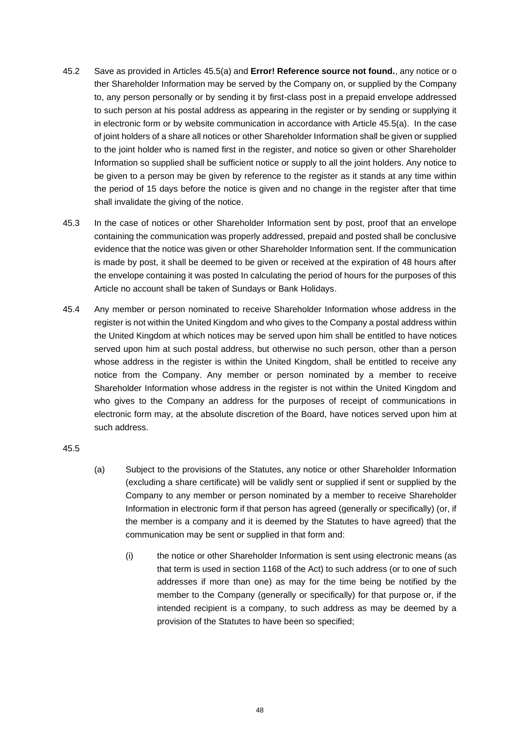- 45.2 Save as provided in Articles [45.5\(a\)](#page-50-0) and **Error! Reference source not found.**, any notice or o ther Shareholder Information may be served by the Company on, or supplied by the Company to, any person personally or by sending it by first-class post in a prepaid envelope addressed to such person at his postal address as appearing in the register or by sending or supplying it in electronic form or by website communication in accordance with Article [45.5\(a\).](#page-50-0) In the case of joint holders of a share all notices or other Shareholder Information shall be given or supplied to the joint holder who is named first in the register, and notice so given or other Shareholder Information so supplied shall be sufficient notice or supply to all the joint holders. Any notice to be given to a person may be given by reference to the register as it stands at any time within the period of 15 days before the notice is given and no change in the register after that time shall invalidate the giving of the notice.
- 45.3 In the case of notices or other Shareholder Information sent by post, proof that an envelope containing the communication was properly addressed, prepaid and posted shall be conclusive evidence that the notice was given or other Shareholder Information sent. If the communication is made by post, it shall be deemed to be given or received at the expiration of 48 hours after the envelope containing it was posted In calculating the period of hours for the purposes of this Article no account shall be taken of Sundays or Bank Holidays.
- <span id="page-50-2"></span>45.4 Any member or person nominated to receive Shareholder Information whose address in the register is not within the United Kingdom and who gives to the Company a postal address within the United Kingdom at which notices may be served upon him shall be entitled to have notices served upon him at such postal address, but otherwise no such person, other than a person whose address in the register is within the United Kingdom, shall be entitled to receive any notice from the Company. Any member or person nominated by a member to receive Shareholder Information whose address in the register is not within the United Kingdom and who gives to the Company an address for the purposes of receipt of communications in electronic form may, at the absolute discretion of the Board, have notices served upon him at such address.

- <span id="page-50-1"></span><span id="page-50-0"></span>(a) Subject to the provisions of the Statutes, any notice or other Shareholder Information (excluding a share certificate) will be validly sent or supplied if sent or supplied by the Company to any member or person nominated by a member to receive Shareholder Information in electronic form if that person has agreed (generally or specifically) (or, if the member is a company and it is deemed by the Statutes to have agreed) that the communication may be sent or supplied in that form and:
	- (i) the notice or other Shareholder Information is sent using electronic means (as that term is used in section 1168 of the Act) to such address (or to one of such addresses if more than one) as may for the time being be notified by the member to the Company (generally or specifically) for that purpose or, if the intended recipient is a company, to such address as may be deemed by a provision of the Statutes to have been so specified;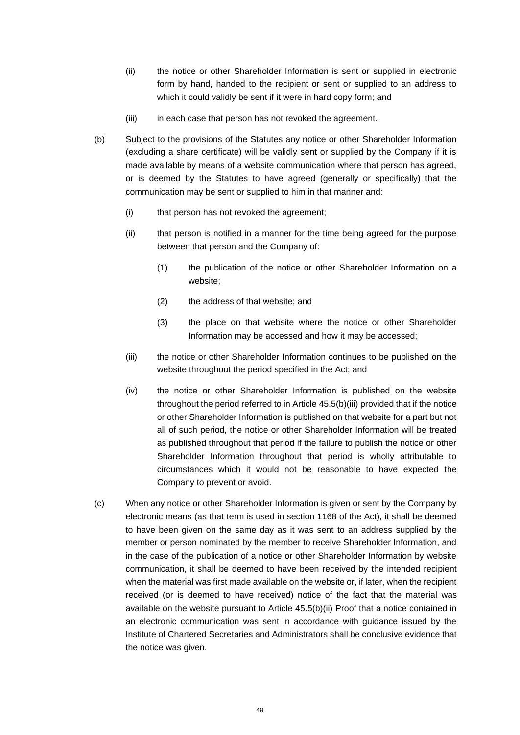- (ii) the notice or other Shareholder Information is sent or supplied in electronic form by hand, handed to the recipient or sent or supplied to an address to which it could validly be sent if it were in hard copy form; and
- (iii) in each case that person has not revoked the agreement.
- <span id="page-51-1"></span>(b) Subject to the provisions of the Statutes any notice or other Shareholder Information (excluding a share certificate) will be validly sent or supplied by the Company if it is made available by means of a website communication where that person has agreed, or is deemed by the Statutes to have agreed (generally or specifically) that the communication may be sent or supplied to him in that manner and:
	- (i) that person has not revoked the agreement;
	- (ii) that person is notified in a manner for the time being agreed for the purpose between that person and the Company of:
		- (1) the publication of the notice or other Shareholder Information on a website;
		- (2) the address of that website; and
		- (3) the place on that website where the notice or other Shareholder Information may be accessed and how it may be accessed;
	- (iii) the notice or other Shareholder Information continues to be published on the website throughout the period specified in the Act; and
	- (iv) the notice or other Shareholder Information is published on the website throughout the period referred to in Article [45.5\(b\)\(iii\)](#page-51-0) provided that if the notice or other Shareholder Information is published on that website for a part but not all of such period, the notice or other Shareholder Information will be treated as published throughout that period if the failure to publish the notice or other Shareholder Information throughout that period is wholly attributable to circumstances which it would not be reasonable to have expected the Company to prevent or avoid.
- <span id="page-51-0"></span>(c) When any notice or other Shareholder Information is given or sent by the Company by electronic means (as that term is used in section 1168 of the Act), it shall be deemed to have been given on the same day as it was sent to an address supplied by the member or person nominated by the member to receive Shareholder Information, and in the case of the publication of a notice or other Shareholder Information by website communication, it shall be deemed to have been received by the intended recipient when the material was first made available on the website or, if later, when the recipient received (or is deemed to have received) notice of the fact that the material was available on the website pursuant to Article [45.5\(b\)\(ii\)](#page-51-1) Proof that a notice contained in an electronic communication was sent in accordance with guidance issued by the Institute of Chartered Secretaries and Administrators shall be conclusive evidence that the notice was given.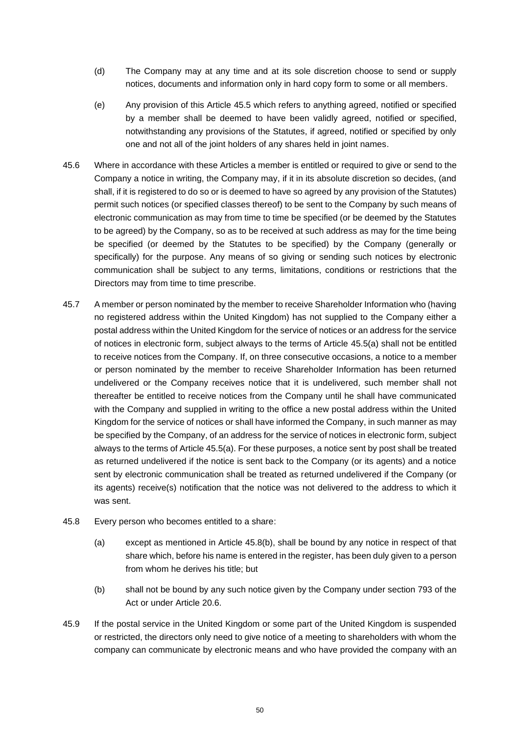- (d) The Company may at any time and at its sole discretion choose to send or supply notices, documents and information only in hard copy form to some or all members.
- (e) Any provision of this Article [45.5](#page-50-1) which refers to anything agreed, notified or specified by a member shall be deemed to have been validly agreed, notified or specified, notwithstanding any provisions of the Statutes, if agreed, notified or specified by only one and not all of the joint holders of any shares held in joint names.
- 45.6 Where in accordance with these Articles a member is entitled or required to give or send to the Company a notice in writing, the Company may, if it in its absolute discretion so decides, (and shall, if it is registered to do so or is deemed to have so agreed by any provision of the Statutes) permit such notices (or specified classes thereof) to be sent to the Company by such means of electronic communication as may from time to time be specified (or be deemed by the Statutes to be agreed) by the Company, so as to be received at such address as may for the time being be specified (or deemed by the Statutes to be specified) by the Company (generally or specifically) for the purpose. Any means of so giving or sending such notices by electronic communication shall be subject to any terms, limitations, conditions or restrictions that the Directors may from time to time prescribe.
- 45.7 A member or person nominated by the member to receive Shareholder Information who (having no registered address within the United Kingdom) has not supplied to the Company either a postal address within the United Kingdom for the service of notices or an address for the service of notices in electronic form, subject always to the terms of Article [45.5\(a\)](#page-50-0) shall not be entitled to receive notices from the Company. If, on three consecutive occasions, a notice to a member or person nominated by the member to receive Shareholder Information has been returned undelivered or the Company receives notice that it is undelivered, such member shall not thereafter be entitled to receive notices from the Company until he shall have communicated with the Company and supplied in writing to the office a new postal address within the United Kingdom for the service of notices or shall have informed the Company, in such manner as may be specified by the Company, of an address for the service of notices in electronic form, subject always to the terms of Article [45.5\(a\).](#page-50-0) For these purposes, a notice sent by post shall be treated as returned undelivered if the notice is sent back to the Company (or its agents) and a notice sent by electronic communication shall be treated as returned undelivered if the Company (or its agents) receive(s) notification that the notice was not delivered to the address to which it was sent.
- 45.8 Every person who becomes entitled to a share:
	- (a) except as mentioned in Article [45.8\(b\),](#page-52-0) shall be bound by any notice in respect of that share which, before his name is entered in the register, has been duly given to a person from whom he derives his title; but
	- (b) shall not be bound by any such notice given by the Company under section 793 of the Act or under Article [20.6.](#page-22-1)
- <span id="page-52-0"></span>45.9 If the postal service in the United Kingdom or some part of the United Kingdom is suspended or restricted, the directors only need to give notice of a meeting to shareholders with whom the company can communicate by electronic means and who have provided the company with an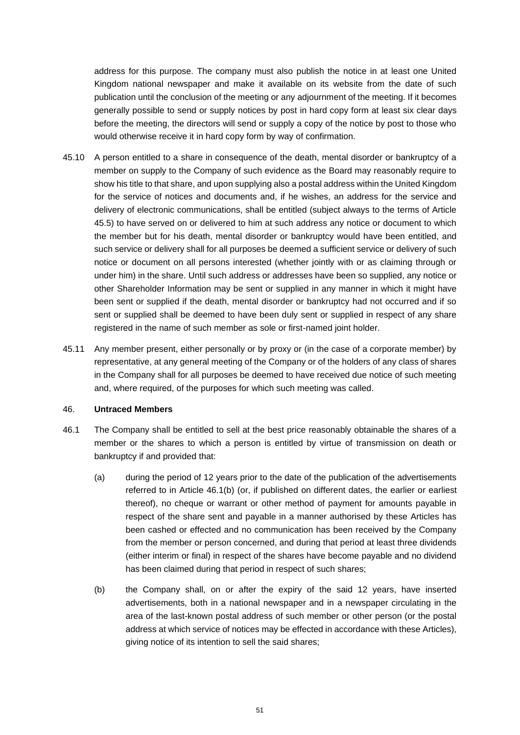address for this purpose. The company must also publish the notice in at least one United Kingdom national newspaper and make it available on its website from the date of such publication until the conclusion of the meeting or any adjournment of the meeting. If it becomes generally possible to send or supply notices by post in hard copy form at least six clear days before the meeting, the directors will send or supply a copy of the notice by post to those who would otherwise receive it in hard copy form by way of confirmation.

- 45.10 A person entitled to a share in consequence of the death, mental disorder or bankruptcy of a member on supply to the Company of such evidence as the Board may reasonably require to show his title to that share, and upon supplying also a postal address within the United Kingdom for the service of notices and documents and, if he wishes, an address for the service and delivery of electronic communications, shall be entitled (subject always to the terms of Article [45.5\)](#page-50-1) to have served on or delivered to him at such address any notice or document to which the member but for his death, mental disorder or bankruptcy would have been entitled, and such service or delivery shall for all purposes be deemed a sufficient service or delivery of such notice or document on all persons interested (whether jointly with or as claiming through or under him) in the share. Until such address or addresses have been so supplied, any notice or other Shareholder Information may be sent or supplied in any manner in which it might have been sent or supplied if the death, mental disorder or bankruptcy had not occurred and if so sent or supplied shall be deemed to have been duly sent or supplied in respect of any share registered in the name of such member as sole or first-named joint holder.
- 45.11 Any member present, either personally or by proxy or (in the case of a corporate member) by representative, at any general meeting of the Company or of the holders of any class of shares in the Company shall for all purposes be deemed to have received due notice of such meeting and, where required, of the purposes for which such meeting was called.

#### <span id="page-53-0"></span>46. **Untraced Members**

- <span id="page-53-2"></span><span id="page-53-1"></span>46.1 The Company shall be entitled to sell at the best price reasonably obtainable the shares of a member or the shares to which a person is entitled by virtue of transmission on death or bankruptcy if and provided that:
	- (a) during the period of 12 years prior to the date of the publication of the advertisements referred to in Article [46.1\(b\)](#page-53-1) (or, if published on different dates, the earlier or earliest thereof), no cheque or warrant or other method of payment for amounts payable in respect of the share sent and payable in a manner authorised by these Articles has been cashed or effected and no communication has been received by the Company from the member or person concerned, and during that period at least three dividends (either interim or final) in respect of the shares have become payable and no dividend has been claimed during that period in respect of such shares;
	- (b) the Company shall, on or after the expiry of the said 12 years, have inserted advertisements, both in a national newspaper and in a newspaper circulating in the area of the last-known postal address of such member or other person (or the postal address at which service of notices may be effected in accordance with these Articles), giving notice of its intention to sell the said shares;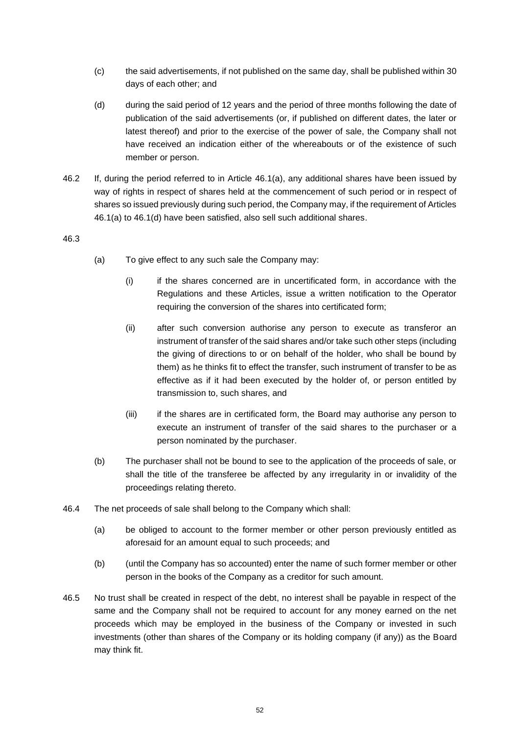- (c) the said advertisements, if not published on the same day, shall be published within 30 days of each other; and
- <span id="page-54-0"></span>(d) during the said period of 12 years and the period of three months following the date of publication of the said advertisements (or, if published on different dates, the later or latest thereof) and prior to the exercise of the power of sale, the Company shall not have received an indication either of the whereabouts or of the existence of such member or person.
- 46.2 If, during the period referred to in Article [46.1\(a\),](#page-53-2) any additional shares have been issued by way of rights in respect of shares held at the commencement of such period or in respect of shares so issued previously during such period, the Company may, if the requirement of Articles [46.1\(a\)](#page-53-2) to [46.1\(d\)](#page-54-0) have been satisfied, also sell such additional shares.

- (a) To give effect to any such sale the Company may:
	- (i) if the shares concerned are in uncertificated form, in accordance with the Regulations and these Articles, issue a written notification to the Operator requiring the conversion of the shares into certificated form;
	- (ii) after such conversion authorise any person to execute as transferor an instrument of transfer of the said shares and/or take such other steps (including the giving of directions to or on behalf of the holder, who shall be bound by them) as he thinks fit to effect the transfer, such instrument of transfer to be as effective as if it had been executed by the holder of, or person entitled by transmission to, such shares, and
	- (iii) if the shares are in certificated form, the Board may authorise any person to execute an instrument of transfer of the said shares to the purchaser or a person nominated by the purchaser.
- (b) The purchaser shall not be bound to see to the application of the proceeds of sale, or shall the title of the transferee be affected by any irregularity in or invalidity of the proceedings relating thereto.
- 46.4 The net proceeds of sale shall belong to the Company which shall:
	- (a) be obliged to account to the former member or other person previously entitled as aforesaid for an amount equal to such proceeds; and
	- (b) (until the Company has so accounted) enter the name of such former member or other person in the books of the Company as a creditor for such amount.
- 46.5 No trust shall be created in respect of the debt, no interest shall be payable in respect of the same and the Company shall not be required to account for any money earned on the net proceeds which may be employed in the business of the Company or invested in such investments (other than shares of the Company or its holding company (if any)) as the Board may think fit.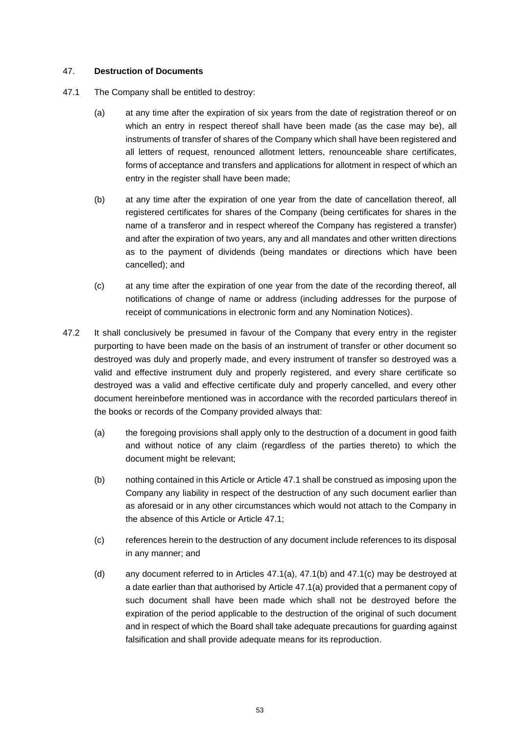# <span id="page-55-0"></span>47. **Destruction of Documents**

- <span id="page-55-3"></span><span id="page-55-2"></span><span id="page-55-1"></span>47.1 The Company shall be entitled to destroy:
	- (a) at any time after the expiration of six years from the date of registration thereof or on which an entry in respect thereof shall have been made (as the case may be), all instruments of transfer of shares of the Company which shall have been registered and all letters of request, renounced allotment letters, renounceable share certificates, forms of acceptance and transfers and applications for allotment in respect of which an entry in the register shall have been made;
	- (b) at any time after the expiration of one year from the date of cancellation thereof, all registered certificates for shares of the Company (being certificates for shares in the name of a transferor and in respect whereof the Company has registered a transfer) and after the expiration of two years, any and all mandates and other written directions as to the payment of dividends (being mandates or directions which have been cancelled); and
	- (c) at any time after the expiration of one year from the date of the recording thereof, all notifications of change of name or address (including addresses for the purpose of receipt of communications in electronic form and any Nomination Notices).
- <span id="page-55-4"></span>47.2 It shall conclusively be presumed in favour of the Company that every entry in the register purporting to have been made on the basis of an instrument of transfer or other document so destroyed was duly and properly made, and every instrument of transfer so destroyed was a valid and effective instrument duly and properly registered, and every share certificate so destroyed was a valid and effective certificate duly and properly cancelled, and every other document hereinbefore mentioned was in accordance with the recorded particulars thereof in the books or records of the Company provided always that:
	- (a) the foregoing provisions shall apply only to the destruction of a document in good faith and without notice of any claim (regardless of the parties thereto) to which the document might be relevant;
	- (b) nothing contained in this Article or Article [47.1](#page-55-1) shall be construed as imposing upon the Company any liability in respect of the destruction of any such document earlier than as aforesaid or in any other circumstances which would not attach to the Company in the absence of this Article or Article [47.1;](#page-55-1)
	- (c) references herein to the destruction of any document include references to its disposal in any manner; and
	- (d) any document referred to in Articles [47.1\(a\),](#page-55-2) [47.1\(b\)](#page-55-3) and [47.1\(c\)](#page-55-4) may be destroyed at a date earlier than that authorised by Article [47.1\(a\)](#page-55-2) provided that a permanent copy of such document shall have been made which shall not be destroyed before the expiration of the period applicable to the destruction of the original of such document and in respect of which the Board shall take adequate precautions for guarding against falsification and shall provide adequate means for its reproduction.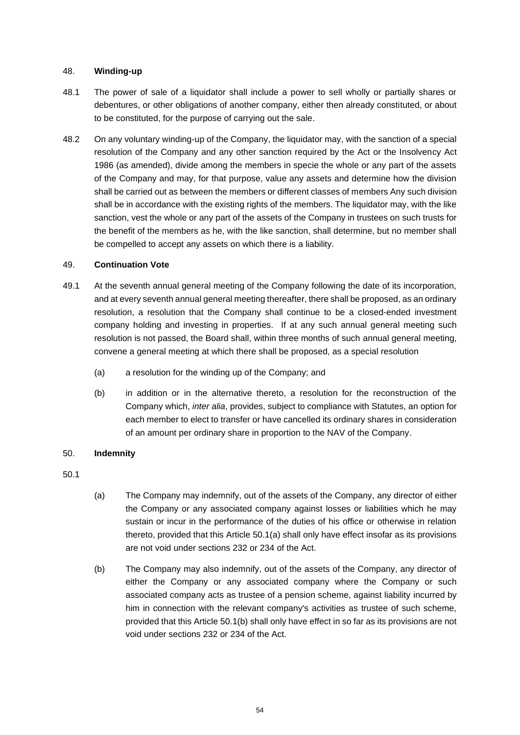# <span id="page-56-0"></span>48. **Winding-up**

- 48.1 The power of sale of a liquidator shall include a power to sell wholly or partially shares or debentures, or other obligations of another company, either then already constituted, or about to be constituted, for the purpose of carrying out the sale.
- 48.2 On any voluntary winding-up of the Company, the liquidator may, with the sanction of a special resolution of the Company and any other sanction required by the Act or the Insolvency Act 1986 (as amended), divide among the members in specie the whole or any part of the assets of the Company and may, for that purpose, value any assets and determine how the division shall be carried out as between the members or different classes of members Any such division shall be in accordance with the existing rights of the members. The liquidator may, with the like sanction, vest the whole or any part of the assets of the Company in trustees on such trusts for the benefit of the members as he, with the like sanction, shall determine, but no member shall be compelled to accept any assets on which there is a liability.

### <span id="page-56-1"></span>49. **Continuation Vote**

- 49.1 At the seventh annual general meeting of the Company following the date of its incorporation, and at every seventh annual general meeting thereafter, there shall be proposed, as an ordinary resolution, a resolution that the Company shall continue to be a closed-ended investment company holding and investing in properties. If at any such annual general meeting such resolution is not passed, the Board shall, within three months of such annual general meeting, convene a general meeting at which there shall be proposed, as a special resolution
	- (a) a resolution for the winding up of the Company; and
	- (b) in addition or in the alternative thereto, a resolution for the reconstruction of the Company which, *inter alia*, provides, subject to compliance with Statutes, an option for each member to elect to transfer or have cancelled its ordinary shares in consideration of an amount per ordinary share in proportion to the NAV of the Company.

# <span id="page-56-2"></span>50. **Indemnity**

- <span id="page-56-3"></span>(a) The Company may indemnify, out of the assets of the Company, any director of either the Company or any associated company against losses or liabilities which he may sustain or incur in the performance of the duties of his office or otherwise in relation thereto, provided that this Article [50.1\(a\)](#page-56-3) shall only have effect insofar as its provisions are not void under sections 232 or 234 of the Act.
- <span id="page-56-4"></span>(b) The Company may also indemnify, out of the assets of the Company, any director of either the Company or any associated company where the Company or such associated company acts as trustee of a pension scheme, against liability incurred by him in connection with the relevant company's activities as trustee of such scheme, provided that this Article [50.1\(b\)](#page-56-4) shall only have effect in so far as its provisions are not void under sections 232 or 234 of the Act.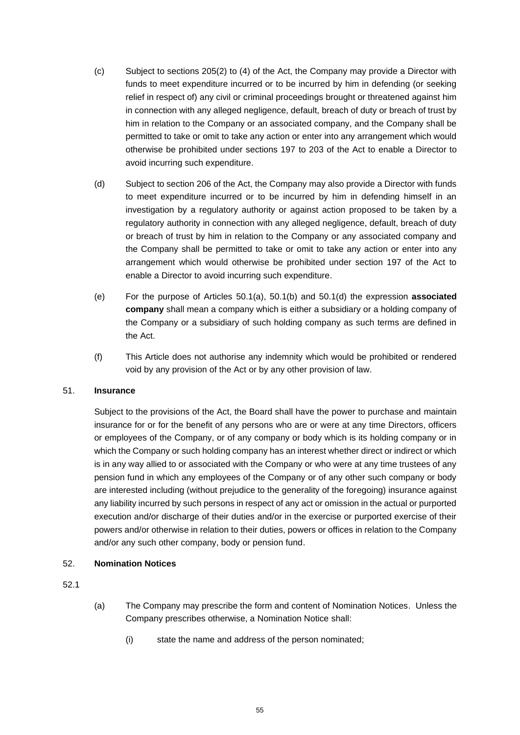- (c) Subject to sections 205(2) to (4) of the Act, the Company may provide a Director with funds to meet expenditure incurred or to be incurred by him in defending (or seeking relief in respect of) any civil or criminal proceedings brought or threatened against him in connection with any alleged negligence, default, breach of duty or breach of trust by him in relation to the Company or an associated company, and the Company shall be permitted to take or omit to take any action or enter into any arrangement which would otherwise be prohibited under sections 197 to 203 of the Act to enable a Director to avoid incurring such expenditure.
- <span id="page-57-2"></span>(d) Subject to section 206 of the Act, the Company may also provide a Director with funds to meet expenditure incurred or to be incurred by him in defending himself in an investigation by a regulatory authority or against action proposed to be taken by a regulatory authority in connection with any alleged negligence, default, breach of duty or breach of trust by him in relation to the Company or any associated company and the Company shall be permitted to take or omit to take any action or enter into any arrangement which would otherwise be prohibited under section 197 of the Act to enable a Director to avoid incurring such expenditure.
- (e) For the purpose of Articles [50.1\(a\),](#page-56-3) [50.1\(b\)](#page-56-4) and [50.1\(d\)](#page-57-2) the expression **associated company** shall mean a company which is either a subsidiary or a holding company of the Company or a subsidiary of such holding company as such terms are defined in the Act.
- (f) This Article does not authorise any indemnity which would be prohibited or rendered void by any provision of the Act or by any other provision of law.

# <span id="page-57-0"></span>51. **Insurance**

Subject to the provisions of the Act, the Board shall have the power to purchase and maintain insurance for or for the benefit of any persons who are or were at any time Directors, officers or employees of the Company, or of any company or body which is its holding company or in which the Company or such holding company has an interest whether direct or indirect or which is in any way allied to or associated with the Company or who were at any time trustees of any pension fund in which any employees of the Company or of any other such company or body are interested including (without prejudice to the generality of the foregoing) insurance against any liability incurred by such persons in respect of any act or omission in the actual or purported execution and/or discharge of their duties and/or in the exercise or purported exercise of their powers and/or otherwise in relation to their duties, powers or offices in relation to the Company and/or any such other company, body or pension fund.

# <span id="page-57-1"></span>52. **Nomination Notices**

- (a) The Company may prescribe the form and content of Nomination Notices. Unless the Company prescribes otherwise, a Nomination Notice shall:
	- (i) state the name and address of the person nominated;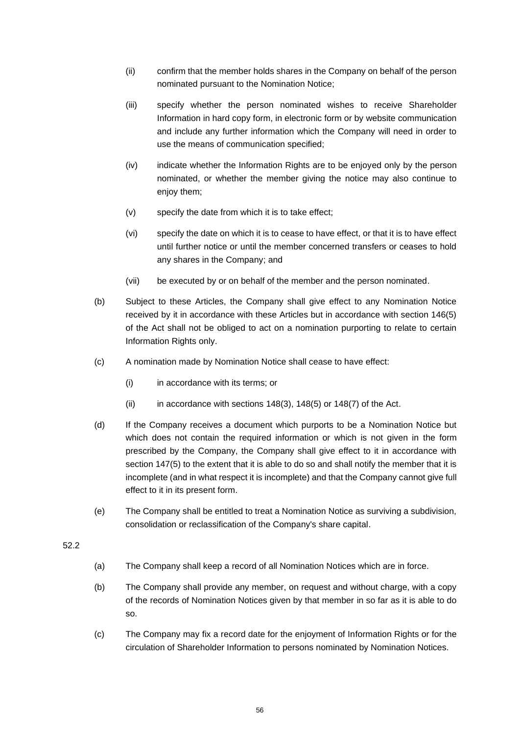- (ii) confirm that the member holds shares in the Company on behalf of the person nominated pursuant to the Nomination Notice;
- (iii) specify whether the person nominated wishes to receive Shareholder Information in hard copy form, in electronic form or by website communication and include any further information which the Company will need in order to use the means of communication specified;
- (iv) indicate whether the Information Rights are to be enjoyed only by the person nominated, or whether the member giving the notice may also continue to enjoy them;
- (v) specify the date from which it is to take effect;
- (vi) specify the date on which it is to cease to have effect, or that it is to have effect until further notice or until the member concerned transfers or ceases to hold any shares in the Company; and
- (vii) be executed by or on behalf of the member and the person nominated.
- (b) Subject to these Articles, the Company shall give effect to any Nomination Notice received by it in accordance with these Articles but in accordance with section 146(5) of the Act shall not be obliged to act on a nomination purporting to relate to certain Information Rights only.
- (c) A nomination made by Nomination Notice shall cease to have effect:
	- (i) in accordance with its terms; or
	- $(ii)$  in accordance with sections 148(3), 148(5) or 148(7) of the Act.
- (d) If the Company receives a document which purports to be a Nomination Notice but which does not contain the required information or which is not given in the form prescribed by the Company, the Company shall give effect to it in accordance with section 147(5) to the extent that it is able to do so and shall notify the member that it is incomplete (and in what respect it is incomplete) and that the Company cannot give full effect to it in its present form.
- (e) The Company shall be entitled to treat a Nomination Notice as surviving a subdivision, consolidation or reclassification of the Company's share capital.

- <span id="page-58-0"></span>(a) The Company shall keep a record of all Nomination Notices which are in force.
- <span id="page-58-1"></span>(b) The Company shall provide any member, on request and without charge, with a copy of the records of Nomination Notices given by that member in so far as it is able to do so.
- (c) The Company may fix a record date for the enjoyment of Information Rights or for the circulation of Shareholder Information to persons nominated by Nomination Notices.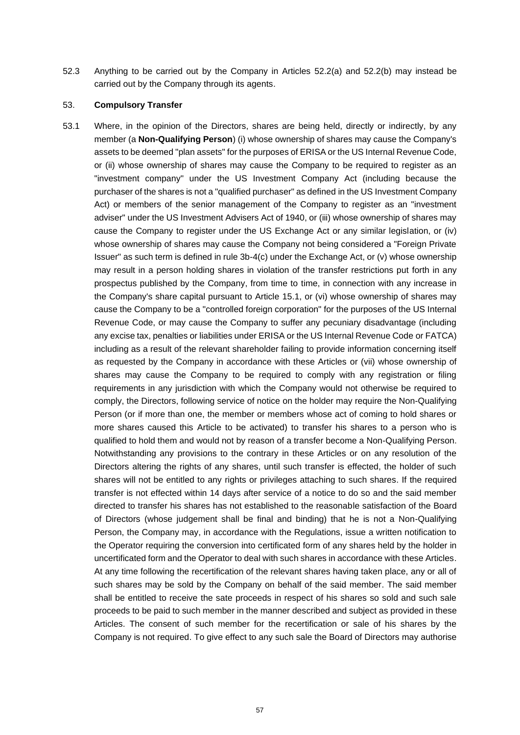52.3 Anything to be carried out by the Company in Articles [52.2\(a\)](#page-58-0) and [52.2\(b\)](#page-58-1) may instead be carried out by the Company through its agents.

#### <span id="page-59-0"></span>53. **Compulsory Transfer**

53.1 Where, in the opinion of the Directors, shares are being held, directly or indirectly, by any member (a **Non-Qualifying Person**) (i) whose ownership of shares may cause the Company's assets to be deemed "plan assets" for the purposes of ERISA or the US Internal Revenue Code, or (ii) whose ownership of shares may cause the Company to be required to register as an "investment company" under the US Investment Company Act (including because the purchaser of the shares is not a "qualified purchaser" as defined in the US Investment Company Act) or members of the senior management of the Company to register as an "investment adviser" under the US Investment Advisers Act of 1940, or (iii) whose ownership of shares may cause the Company to register under the US Exchange Act or any similar legislation, or (iv) whose ownership of shares may cause the Company not being considered a "Foreign Private Issuer" as such term is defined in rule 3b-4(c) under the Exchange Act, or (v) whose ownership may result in a person holding shares in violation of the transfer restrictions put forth in any prospectus published by the Company, from time to time, in connection with any increase in the Company's share capital pursuant to Article [15.1,](#page-17-3) or (vi) whose ownership of shares may cause the Company to be a "controlled foreign corporation" for the purposes of the US Internal Revenue Code, or may cause the Company to suffer any pecuniary disadvantage (including any excise tax, penalties or liabilities under ERISA or the US Internal Revenue Code or FATCA) including as a result of the relevant shareholder failing to provide information concerning itself as requested by the Company in accordance with these Articles or (vii) whose ownership of shares may cause the Company to be required to comply with any registration or filing requirements in any jurisdiction with which the Company would not otherwise be required to comply, the Directors, following service of notice on the holder may require the Non-Qualifying Person (or if more than one, the member or members whose act of coming to hold shares or more shares caused this Article to be activated) to transfer his shares to a person who is qualified to hold them and would not by reason of a transfer become a Non-Qualifying Person. Notwithstanding any provisions to the contrary in these Articles or on any resolution of the Directors altering the rights of any shares, until such transfer is effected, the holder of such shares will not be entitled to any rights or privileges attaching to such shares. If the required transfer is not effected within 14 days after service of a notice to do so and the said member directed to transfer his shares has not established to the reasonable satisfaction of the Board of Directors (whose judgement shall be final and binding) that he is not a Non-Qualifying Person, the Company may, in accordance with the Regulations, issue a written notification to the Operator requiring the conversion into certificated form of any shares held by the holder in uncertificated form and the Operator to deal with such shares in accordance with these Articles. At any time following the recertification of the relevant shares having taken place, any or all of such shares may be sold by the Company on behalf of the said member. The said member shall be entitled to receive the sate proceeds in respect of his shares so sold and such sale proceeds to be paid to such member in the manner described and subject as provided in these Articles. The consent of such member for the recertification or sale of his shares by the Company is not required. To give effect to any such sale the Board of Directors may authorise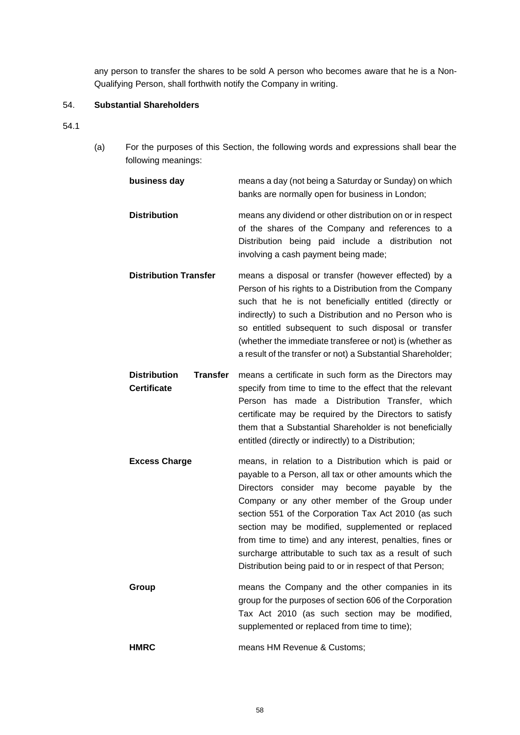any person to transfer the shares to be sold A person who becomes aware that he is a Non-Qualifying Person, shall forthwith notify the Company in writing.

# <span id="page-60-0"></span>54. **Substantial Shareholders**

- <span id="page-60-1"></span>54.1
- (a) For the purposes of this Section, the following words and expressions shall bear the following meanings:

| business day                                                 | means a day (not being a Saturday or Sunday) on which<br>banks are normally open for business in London;                                                                                                                                                                                                                                                                                                                                                                                                          |
|--------------------------------------------------------------|-------------------------------------------------------------------------------------------------------------------------------------------------------------------------------------------------------------------------------------------------------------------------------------------------------------------------------------------------------------------------------------------------------------------------------------------------------------------------------------------------------------------|
| <b>Distribution</b>                                          | means any dividend or other distribution on or in respect<br>of the shares of the Company and references to a<br>Distribution being paid include a distribution not<br>involving a cash payment being made;                                                                                                                                                                                                                                                                                                       |
| <b>Distribution Transfer</b>                                 | means a disposal or transfer (however effected) by a<br>Person of his rights to a Distribution from the Company<br>such that he is not beneficially entitled (directly or<br>indirectly) to such a Distribution and no Person who is<br>so entitled subsequent to such disposal or transfer<br>(whether the immediate transferee or not) is (whether as<br>a result of the transfer or not) a Substantial Shareholder;                                                                                            |
| <b>Distribution</b><br><b>Transfer</b><br><b>Certificate</b> | means a certificate in such form as the Directors may<br>specify from time to time to the effect that the relevant<br>Person has made a Distribution Transfer, which<br>certificate may be required by the Directors to satisfy<br>them that a Substantial Shareholder is not beneficially<br>entitled (directly or indirectly) to a Distribution;                                                                                                                                                                |
| <b>Excess Charge</b>                                         | means, in relation to a Distribution which is paid or<br>payable to a Person, all tax or other amounts which the<br>Directors consider may become payable by the<br>Company or any other member of the Group under<br>section 551 of the Corporation Tax Act 2010 (as such<br>section may be modified, supplemented or replaced<br>from time to time) and any interest, penalties, fines or<br>surcharge attributable to such tax as a result of such<br>Distribution being paid to or in respect of that Person; |
| Group                                                        | means the Company and the other companies in its<br>group for the purposes of section 606 of the Corporation<br>Tax Act 2010 (as such section may be modified,<br>supplemented or replaced from time to time);                                                                                                                                                                                                                                                                                                    |
| <b>HMRC</b>                                                  | means HM Revenue & Customs;                                                                                                                                                                                                                                                                                                                                                                                                                                                                                       |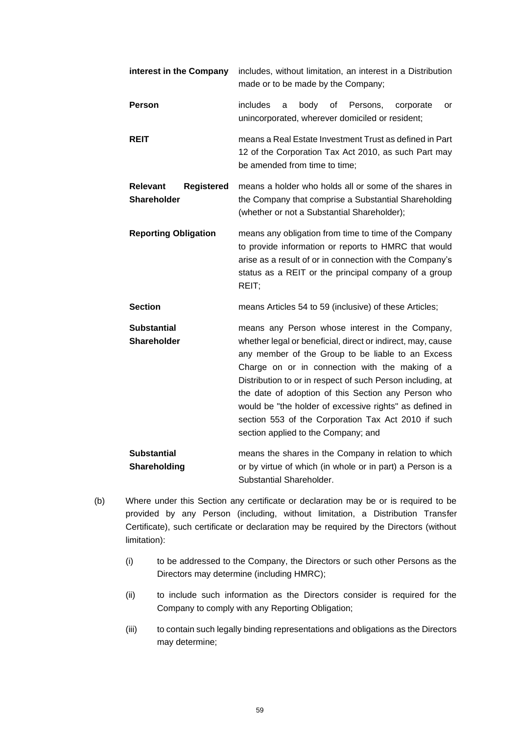| interest in the Company                             | includes, without limitation, an interest in a Distribution<br>made or to be made by the Company;                                                                                                                                                                                                                                                                                                                                                                                                    |  |
|-----------------------------------------------------|------------------------------------------------------------------------------------------------------------------------------------------------------------------------------------------------------------------------------------------------------------------------------------------------------------------------------------------------------------------------------------------------------------------------------------------------------------------------------------------------------|--|
| Person                                              | includes<br>body<br>of<br>Persons,<br>a<br>corporate<br>or<br>unincorporated, wherever domiciled or resident;                                                                                                                                                                                                                                                                                                                                                                                        |  |
| <b>REIT</b>                                         | means a Real Estate Investment Trust as defined in Part<br>12 of the Corporation Tax Act 2010, as such Part may<br>be amended from time to time;                                                                                                                                                                                                                                                                                                                                                     |  |
| <b>Relevant</b><br><b>Registered</b><br>Shareholder | means a holder who holds all or some of the shares in<br>the Company that comprise a Substantial Shareholding<br>(whether or not a Substantial Shareholder);                                                                                                                                                                                                                                                                                                                                         |  |
| <b>Reporting Obligation</b>                         | means any obligation from time to time of the Company<br>to provide information or reports to HMRC that would<br>arise as a result of or in connection with the Company's<br>status as a REIT or the principal company of a group<br>REIT;                                                                                                                                                                                                                                                           |  |
| <b>Section</b>                                      | means Articles 54 to 59 (inclusive) of these Articles;                                                                                                                                                                                                                                                                                                                                                                                                                                               |  |
| Substantial<br><b>Shareholder</b>                   | means any Person whose interest in the Company,<br>whether legal or beneficial, direct or indirect, may, cause<br>any member of the Group to be liable to an Excess<br>Charge on or in connection with the making of a<br>Distribution to or in respect of such Person including, at<br>the date of adoption of this Section any Person who<br>would be "the holder of excessive rights" as defined in<br>section 553 of the Corporation Tax Act 2010 if such<br>section applied to the Company; and |  |
| <b>Substantial</b><br>Shareholding                  | means the shares in the Company in relation to which<br>or by virtue of which (in whole or in part) a Person is a<br>Substantial Shareholder.                                                                                                                                                                                                                                                                                                                                                        |  |

- (b) Where under this Section any certificate or declaration may be or is required to be provided by any Person (including, without limitation, a Distribution Transfer Certificate), such certificate or declaration may be required by the Directors (without limitation):
	- (i) to be addressed to the Company, the Directors or such other Persons as the Directors may determine (including HMRC);
	- (ii) to include such information as the Directors consider is required for the Company to comply with any Reporting Obligation;
	- (iii) to contain such legally binding representations and obligations as the Directors may determine;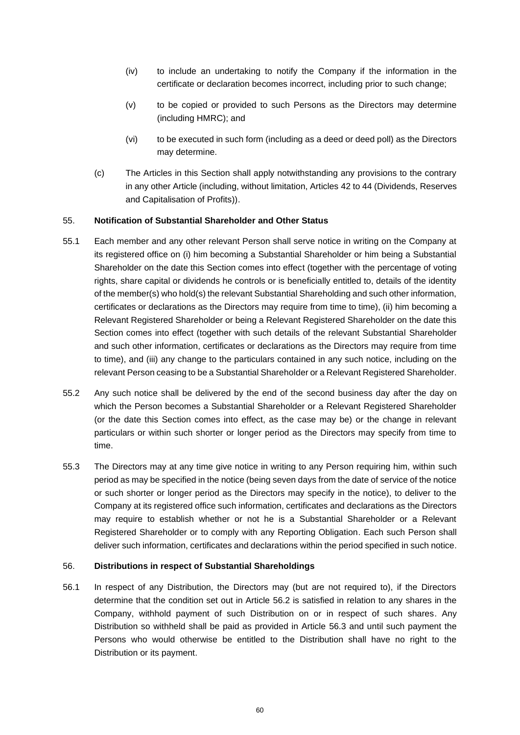- (iv) to include an undertaking to notify the Company if the information in the certificate or declaration becomes incorrect, including prior to such change;
- (v) to be copied or provided to such Persons as the Directors may determine (including HMRC); and
- (vi) to be executed in such form (including as a deed or deed poll) as the Directors may determine.
- (c) The Articles in this Section shall apply notwithstanding any provisions to the contrary in any other Article (including, without limitation, Articles [42](#page-44-1) to [44](#page-48-1) (Dividends, Reserves and Capitalisation of Profits)).

# <span id="page-62-0"></span>55. **Notification of Substantial Shareholder and Other Status**

- 55.1 Each member and any other relevant Person shall serve notice in writing on the Company at its registered office on (i) him becoming a Substantial Shareholder or him being a Substantial Shareholder on the date this Section comes into effect (together with the percentage of voting rights, share capital or dividends he controls or is beneficially entitled to, details of the identity of the member(s) who hold(s) the relevant Substantial Shareholding and such other information, certificates or declarations as the Directors may require from time to time), (ii) him becoming a Relevant Registered Shareholder or being a Relevant Registered Shareholder on the date this Section comes into effect (together with such details of the relevant Substantial Shareholder and such other information, certificates or declarations as the Directors may require from time to time), and (iii) any change to the particulars contained in any such notice, including on the relevant Person ceasing to be a Substantial Shareholder or a Relevant Registered Shareholder.
- 55.2 Any such notice shall be delivered by the end of the second business day after the day on which the Person becomes a Substantial Shareholder or a Relevant Registered Shareholder (or the date this Section comes into effect, as the case may be) or the change in relevant particulars or within such shorter or longer period as the Directors may specify from time to time.
- <span id="page-62-3"></span>55.3 The Directors may at any time give notice in writing to any Person requiring him, within such period as may be specified in the notice (being seven days from the date of service of the notice or such shorter or longer period as the Directors may specify in the notice), to deliver to the Company at its registered office such information, certificates and declarations as the Directors may require to establish whether or not he is a Substantial Shareholder or a Relevant Registered Shareholder or to comply with any Reporting Obligation. Each such Person shall deliver such information, certificates and declarations within the period specified in such notice.

# <span id="page-62-1"></span>56. **Distributions in respect of Substantial Shareholdings**

<span id="page-62-2"></span>56.1 In respect of any Distribution, the Directors may (but are not required to), if the Directors determine that the condition set out in Article [56.2](#page-63-0) is satisfied in relation to any shares in the Company, withhold payment of such Distribution on or in respect of such shares. Any Distribution so withheld shall be paid as provided in Article [56.3](#page-63-1) and until such payment the Persons who would otherwise be entitled to the Distribution shall have no right to the Distribution or its payment.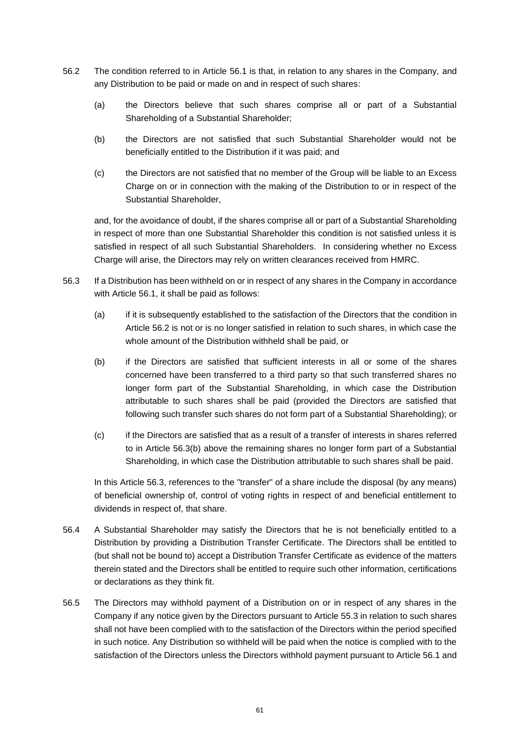- <span id="page-63-0"></span>56.2 The condition referred to in Article [56.1](#page-62-2) is that, in relation to any shares in the Company, and any Distribution to be paid or made on and in respect of such shares:
	- (a) the Directors believe that such shares comprise all or part of a Substantial Shareholding of a Substantial Shareholder;
	- (b) the Directors are not satisfied that such Substantial Shareholder would not be beneficially entitled to the Distribution if it was paid; and
	- (c) the Directors are not satisfied that no member of the Group will be liable to an Excess Charge on or in connection with the making of the Distribution to or in respect of the Substantial Shareholder,

and, for the avoidance of doubt, if the shares comprise all or part of a Substantial Shareholding in respect of more than one Substantial Shareholder this condition is not satisfied unless it is satisfied in respect of all such Substantial Shareholders. In considering whether no Excess Charge will arise, the Directors may rely on written clearances received from HMRC.

- <span id="page-63-2"></span><span id="page-63-1"></span>56.3 If a Distribution has been withheld on or in respect of any shares in the Company in accordance with Article [56.1,](#page-62-2) it shall be paid as follows:
	- (a) if it is subsequently established to the satisfaction of the Directors that the condition in Article [56.2](#page-63-0) is not or is no longer satisfied in relation to such shares, in which case the whole amount of the Distribution withheld shall be paid, or
	- (b) if the Directors are satisfied that sufficient interests in all or some of the shares concerned have been transferred to a third party so that such transferred shares no longer form part of the Substantial Shareholding, in which case the Distribution attributable to such shares shall be paid (provided the Directors are satisfied that following such transfer such shares do not form part of a Substantial Shareholding); or
	- (c) if the Directors are satisfied that as a result of a transfer of interests in shares referred to in Article [56.3\(b\)](#page-63-2) above the remaining shares no longer form part of a Substantial Shareholding, in which case the Distribution attributable to such shares shall be paid.

In this Article [56.3,](#page-63-1) references to the "transfer" of a share include the disposal (by any means) of beneficial ownership of, control of voting rights in respect of and beneficial entitlement to dividends in respect of, that share.

- 56.4 A Substantial Shareholder may satisfy the Directors that he is not beneficially entitled to a Distribution by providing a Distribution Transfer Certificate. The Directors shall be entitled to (but shall not be bound to) accept a Distribution Transfer Certificate as evidence of the matters therein stated and the Directors shall be entitled to require such other information, certifications or declarations as they think fit.
- <span id="page-63-3"></span>56.5 The Directors may withhold payment of a Distribution on or in respect of any shares in the Company if any notice given by the Directors pursuant to Article [55.3](#page-62-3) in relation to such shares shall not have been complied with to the satisfaction of the Directors within the period specified in such notice. Any Distribution so withheld will be paid when the notice is complied with to the satisfaction of the Directors unless the Directors withhold payment pursuant to Articl[e 56.1](#page-62-2) and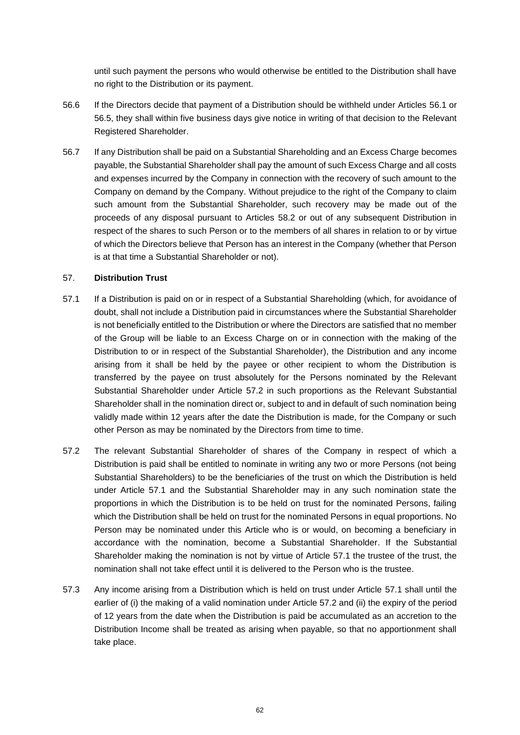until such payment the persons who would otherwise be entitled to the Distribution shall have no right to the Distribution or its payment.

- 56.6 If the Directors decide that payment of a Distribution should be withheld under Articles [56.1](#page-62-2) or [56.5,](#page-63-3) they shall within five business days give notice in writing of that decision to the Relevant Registered Shareholder.
- 56.7 If any Distribution shall be paid on a Substantial Shareholding and an Excess Charge becomes payable, the Substantial Shareholder shall pay the amount of such Excess Charge and all costs and expenses incurred by the Company in connection with the recovery of such amount to the Company on demand by the Company. Without prejudice to the right of the Company to claim such amount from the Substantial Shareholder, such recovery may be made out of the proceeds of any disposal pursuant to Articles [58.2](#page-65-1) or out of any subsequent Distribution in respect of the shares to such Person or to the members of all shares in relation to or by virtue of which the Directors believe that Person has an interest in the Company (whether that Person is at that time a Substantial Shareholder or not).

# <span id="page-64-0"></span>57. **Distribution Trust**

- <span id="page-64-2"></span>57.1 If a Distribution is paid on or in respect of a Substantial Shareholding (which, for avoidance of doubt, shall not include a Distribution paid in circumstances where the Substantial Shareholder is not beneficially entitled to the Distribution or where the Directors are satisfied that no member of the Group will be liable to an Excess Charge on or in connection with the making of the Distribution to or in respect of the Substantial Shareholder), the Distribution and any income arising from it shall be held by the payee or other recipient to whom the Distribution is transferred by the payee on trust absolutely for the Persons nominated by the Relevant Substantial Shareholder under Article [57.2](#page-64-1) in such proportions as the Relevant Substantial Shareholder shall in the nomination direct or, subject to and in default of such nomination being validly made within 12 years after the date the Distribution is made, for the Company or such other Person as may be nominated by the Directors from time to time.
- <span id="page-64-1"></span>57.2 The relevant Substantial Shareholder of shares of the Company in respect of which a Distribution is paid shall be entitled to nominate in writing any two or more Persons (not being Substantial Shareholders) to be the beneficiaries of the trust on which the Distribution is held under Article [57.1](#page-64-2) and the Substantial Shareholder may in any such nomination state the proportions in which the Distribution is to be held on trust for the nominated Persons, failing which the Distribution shall be held on trust for the nominated Persons in equal proportions. No Person may be nominated under this Article who is or would, on becoming a beneficiary in accordance with the nomination, become a Substantial Shareholder. If the Substantial Shareholder making the nomination is not by virtue of Article [57.1](#page-64-2) the trustee of the trust, the nomination shall not take effect until it is delivered to the Person who is the trustee.
- 57.3 Any income arising from a Distribution which is held on trust under Article [57.1](#page-64-2) shall until the earlier of (i) the making of a valid nomination under Article [57.2](#page-64-1) and (ii) the expiry of the period of 12 years from the date when the Distribution is paid be accumulated as an accretion to the Distribution Income shall be treated as arising when payable, so that no apportionment shall take place.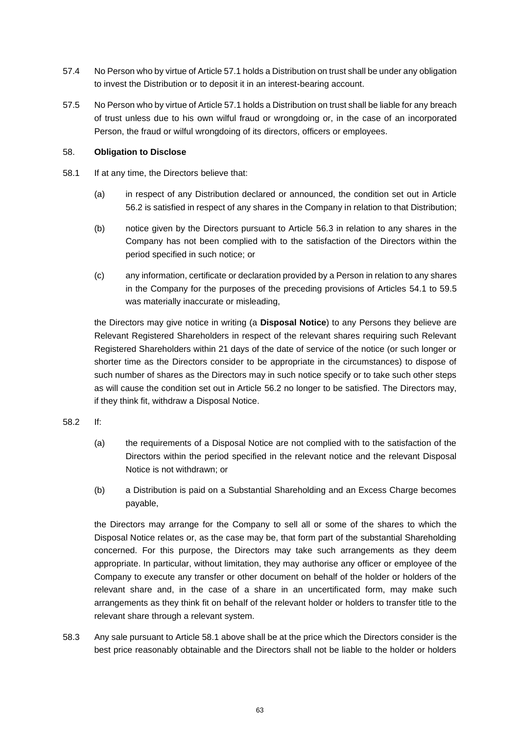- 57.4 No Person who by virtue of Articl[e 57.1](#page-64-2) holds a Distribution on trust shall be under any obligation to invest the Distribution or to deposit it in an interest-bearing account.
- 57.5 No Person who by virtue of Article [57.1](#page-64-2) holds a Distribution on trust shall be liable for any breach of trust unless due to his own wilful fraud or wrongdoing or, in the case of an incorporated Person, the fraud or wilful wrongdoing of its directors, officers or employees.

# <span id="page-65-0"></span>58. **Obligation to Disclose**

- <span id="page-65-2"></span>58.1 If at any time, the Directors believe that:
	- (a) in respect of any Distribution declared or announced, the condition set out in Article [56.2](#page-63-0) is satisfied in respect of any shares in the Company in relation to that Distribution;
	- (b) notice given by the Directors pursuant to Article [56.3](#page-63-1) in relation to any shares in the Company has not been complied with to the satisfaction of the Directors within the period specified in such notice; or
	- (c) any information, certificate or declaration provided by a Person in relation to any shares in the Company for the purposes of the preceding provisions of Articles [54.1](#page-60-1) to [59.5](#page-66-1) was materially inaccurate or misleading,

the Directors may give notice in writing (a **Disposal Notice**) to any Persons they believe are Relevant Registered Shareholders in respect of the relevant shares requiring such Relevant Registered Shareholders within 21 days of the date of service of the notice (or such longer or shorter time as the Directors consider to be appropriate in the circumstances) to dispose of such number of shares as the Directors may in such notice specify or to take such other steps as will cause the condition set out in Article [56.2](#page-63-0) no longer to be satisfied. The Directors may, if they think fit, withdraw a Disposal Notice.

- <span id="page-65-1"></span>58.2 If:
	- (a) the requirements of a Disposal Notice are not complied with to the satisfaction of the Directors within the period specified in the relevant notice and the relevant Disposal Notice is not withdrawn; or
	- (b) a Distribution is paid on a Substantial Shareholding and an Excess Charge becomes payable,

the Directors may arrange for the Company to sell all or some of the shares to which the Disposal Notice relates or, as the case may be, that form part of the substantial Shareholding concerned. For this purpose, the Directors may take such arrangements as they deem appropriate. In particular, without limitation, they may authorise any officer or employee of the Company to execute any transfer or other document on behalf of the holder or holders of the relevant share and, in the case of a share in an uncertificated form, may make such arrangements as they think fit on behalf of the relevant holder or holders to transfer title to the relevant share through a relevant system.

58.3 Any sale pursuant to Article [58.1](#page-65-2) above shall be at the price which the Directors consider is the best price reasonably obtainable and the Directors shall not be liable to the holder or holders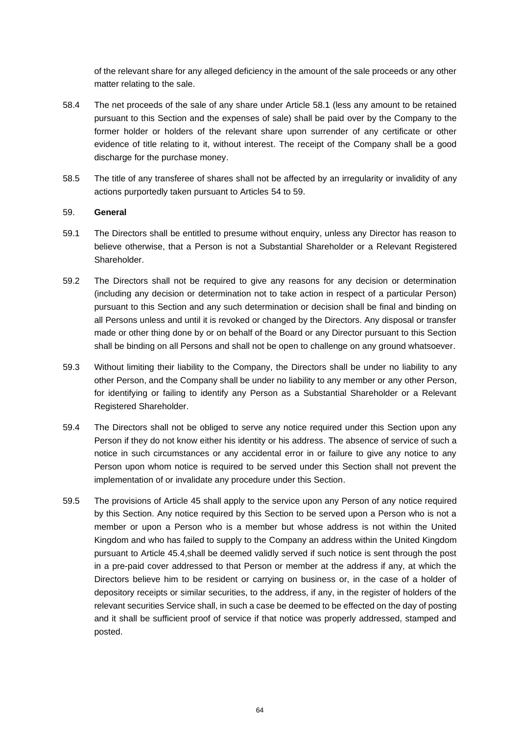of the relevant share for any alleged deficiency in the amount of the sale proceeds or any other matter relating to the sale.

- 58.4 The net proceeds of the sale of any share under Article [58.1](#page-65-2) (less any amount to be retained pursuant to this Section and the expenses of sale) shall be paid over by the Company to the former holder or holders of the relevant share upon surrender of any certificate or other evidence of title relating to it, without interest. The receipt of the Company shall be a good discharge for the purchase money.
- 58.5 The title of any transferee of shares shall not be affected by an irregularity or invalidity of any actions purportedly taken pursuant to Articles [54](#page-60-0) to [59.](#page-66-0)

# <span id="page-66-0"></span>59. **General**

- 59.1 The Directors shall be entitled to presume without enquiry, unless any Director has reason to believe otherwise, that a Person is not a Substantial Shareholder or a Relevant Registered Shareholder.
- 59.2 The Directors shall not be required to give any reasons for any decision or determination (including any decision or determination not to take action in respect of a particular Person) pursuant to this Section and any such determination or decision shall be final and binding on all Persons unless and until it is revoked or changed by the Directors. Any disposal or transfer made or other thing done by or on behalf of the Board or any Director pursuant to this Section shall be binding on all Persons and shall not be open to challenge on any ground whatsoever.
- 59.3 Without limiting their liability to the Company, the Directors shall be under no liability to any other Person, and the Company shall be under no liability to any member or any other Person, for identifying or failing to identify any Person as a Substantial Shareholder or a Relevant Registered Shareholder.
- 59.4 The Directors shall not be obliged to serve any notice required under this Section upon any Person if they do not know either his identity or his address. The absence of service of such a notice in such circumstances or any accidental error in or failure to give any notice to any Person upon whom notice is required to be served under this Section shall not prevent the implementation of or invalidate any procedure under this Section.
- <span id="page-66-1"></span>59.5 The provisions of Article [45](#page-49-0) shall apply to the service upon any Person of any notice required by this Section. Any notice required by this Section to be served upon a Person who is not a member or upon a Person who is a member but whose address is not within the United Kingdom and who has failed to supply to the Company an address within the United Kingdom pursuant to Article [45.4,](#page-50-2)shall be deemed validly served if such notice is sent through the post in a pre-paid cover addressed to that Person or member at the address if any, at which the Directors believe him to be resident or carrying on business or, in the case of a holder of depository receipts or similar securities, to the address, if any, in the register of holders of the relevant securities Service shall, in such a case be deemed to be effected on the day of posting and it shall be sufficient proof of service if that notice was properly addressed, stamped and posted.